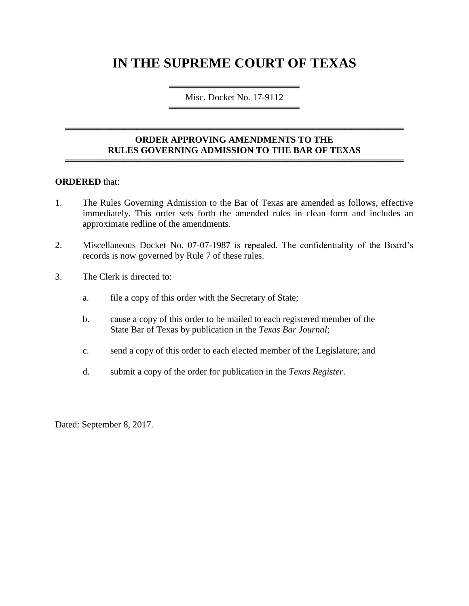# **IN THE SUPREME COURT OF TEXAS**

════════════════════════════════════ Misc. Docket No. 17-9112 ═════════════════════════════════════

#### **ORDER APPROVING AMENDMENTS TO THE RULES GOVERNING ADMISSION TO THE BAR OF TEXAS**  ════════════════════════════════════════════════════

════════════════════════════════════════════════════

#### **ORDERED** that:

- 1. The Rules Governing Admission to the Bar of Texas are amended as follows, effective immediately. This order sets forth the amended rules in clean form and includes an approximate redline of the amendments.
- 2. Miscellaneous Docket No. 07-07-1987 is repealed. The confidentiality of the Board's records is now governed by Rule 7 of these rules.
- 3. The Clerk is directed to:
	- a. file a copy of this order with the Secretary of State;
	- b. cause a copy of this order to be mailed to each registered member of the State Bar of Texas by publication in the *Texas Bar Journal*;
	- c. send a copy of this order to each elected member of the Legislature; and
	- d. submit a copy of the order for publication in the *Texas Register*.

Dated: September 8, 2017.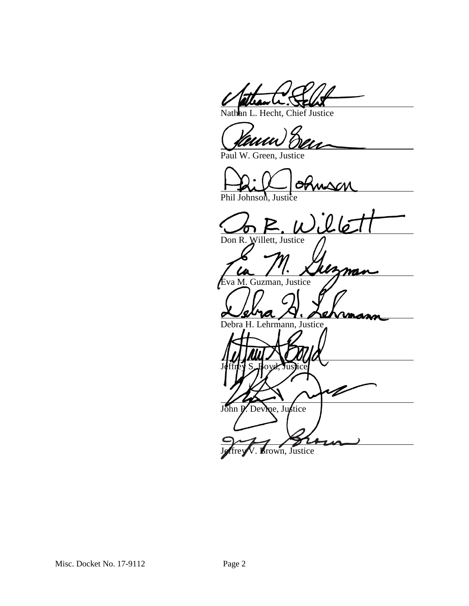Hecht, Chief Justice

Paul W. Green, Justice

Phil Johnson, Justice

تھائ Don R. Willett, Justice

Eva M. Guzman, Justice

Debra H. Lehrmann, Justice

11SMC6 V John P. Devine, Justice

Brown, Justice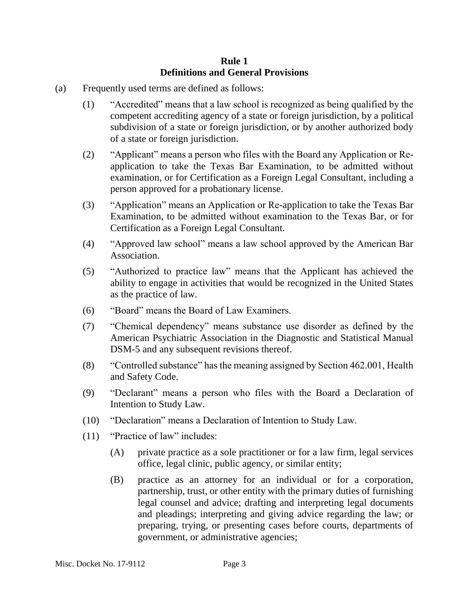## **Rule 1 Definitions and General Provisions**

- (a) Frequently used terms are defined as follows:
	- (1) "Accredited" means that a law school is recognized as being qualified by the competent accrediting agency of a state or foreign jurisdiction, by a political subdivision of a state or foreign jurisdiction, or by another authorized body of a state or foreign jurisdiction.
	- (2) "Applicant" means a person who files with the Board any Application or Reapplication to take the Texas Bar Examination, to be admitted without examination, or for Certification as a Foreign Legal Consultant, including a person approved for a probationary license.
	- (3) "Application" means an Application or Re-application to take the Texas Bar Examination, to be admitted without examination to the Texas Bar, or for Certification as a Foreign Legal Consultant.
	- (4) "Approved law school" means a law school approved by the American Bar Association.
	- (5) "Authorized to practice law" means that the Applicant has achieved the ability to engage in activities that would be recognized in the United States as the practice of law.
	- (6) "Board" means the Board of Law Examiners.
	- (7) "Chemical dependency" means substance use disorder as defined by the American Psychiatric Association in the Diagnostic and Statistical Manual DSM-5 and any subsequent revisions thereof.
	- (8) "Controlled substance" has the meaning assigned by Section 462.001, Health and Safety Code.
	- (9) "Declarant" means a person who files with the Board a Declaration of Intention to Study Law.
	- (10) "Declaration" means a Declaration of Intention to Study Law.
	- (11) "Practice of law" includes:
		- (A) private practice as a sole practitioner or for a law firm, legal services office, legal clinic, public agency, or similar entity;
		- (B) practice as an attorney for an individual or for a corporation, partnership, trust, or other entity with the primary duties of furnishing legal counsel and advice; drafting and interpreting legal documents and pleadings; interpreting and giving advice regarding the law; or preparing, trying, or presenting cases before courts, departments of government, or administrative agencies;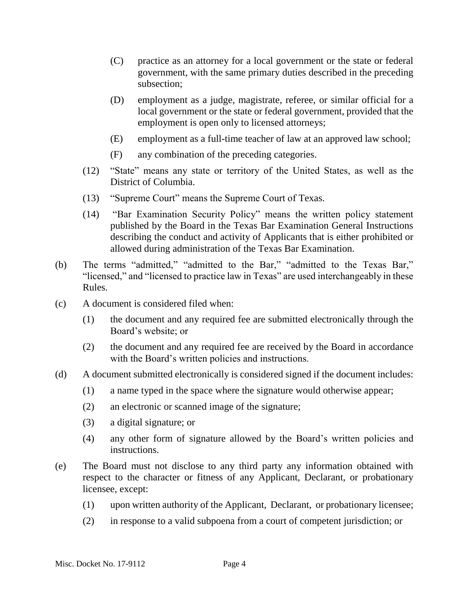- (C) practice as an attorney for a local government or the state or federal government, with the same primary duties described in the preceding subsection;
- (D) employment as a judge, magistrate, referee, or similar official for a local government or the state or federal government, provided that the employment is open only to licensed attorneys;
- (E) employment as a full-time teacher of law at an approved law school;
- (F) any combination of the preceding categories.
- (12) "State" means any state or territory of the United States, as well as the District of Columbia.
- (13) "Supreme Court" means the Supreme Court of Texas.
- (14) "Bar Examination Security Policy" means the written policy statement published by the Board in the Texas Bar Examination General Instructions describing the conduct and activity of Applicants that is either prohibited or allowed during administration of the Texas Bar Examination.
- (b) The terms "admitted," "admitted to the Bar," "admitted to the Texas Bar," "licensed," and "licensed to practice law in Texas" are used interchangeably in these Rules.
- (c) A document is considered filed when:
	- (1) the document and any required fee are submitted electronically through the Board's website; or
	- (2) the document and any required fee are received by the Board in accordance with the Board's written policies and instructions.
- (d) A document submitted electronically is considered signed if the document includes:
	- (1) a name typed in the space where the signature would otherwise appear;
	- (2) an electronic or scanned image of the signature;
	- (3) a digital signature; or
	- (4) any other form of signature allowed by the Board's written policies and instructions.
- (e) The Board must not disclose to any third party any information obtained with respect to the character or fitness of any Applicant, Declarant, or probationary licensee, except:
	- (1) upon written authority of the Applicant, Declarant, or probationary licensee;
	- (2) in response to a valid subpoena from a court of competent jurisdiction; or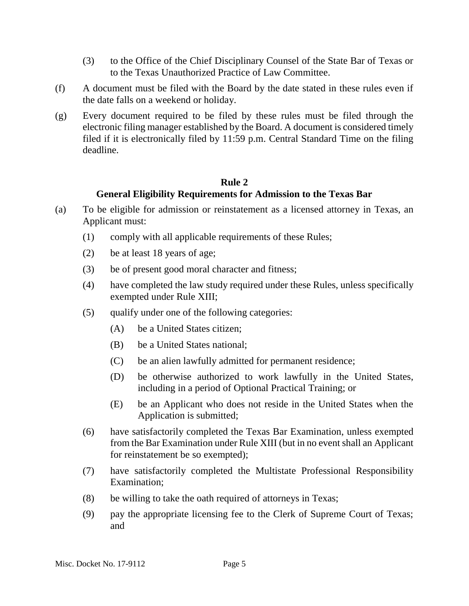- (3) to the Office of the Chief Disciplinary Counsel of the State Bar of Texas or to the Texas Unauthorized Practice of Law Committee.
- (f) A document must be filed with the Board by the date stated in these rules even if the date falls on a weekend or holiday.
- (g) Every document required to be filed by these rules must be filed through the electronic filing manager established by the Board. A document is considered timely filed if it is electronically filed by 11:59 p.m. Central Standard Time on the filing deadline.

## **Rule 2**

## **General Eligibility Requirements for Admission to the Texas Bar**

- (a) To be eligible for admission or reinstatement as a licensed attorney in Texas, an Applicant must:
	- (1) comply with all applicable requirements of these Rules;
	- (2) be at least 18 years of age;
	- (3) be of present good moral character and fitness;
	- (4) have completed the law study required under these Rules, unless specifically exempted under Rule XIII;
	- (5) qualify under one of the following categories:
		- (A) be a United States citizen;
		- (B) be a United States national;
		- (C) be an alien lawfully admitted for permanent residence;
		- (D) be otherwise authorized to work lawfully in the United States, including in a period of Optional Practical Training; or
		- (E) be an Applicant who does not reside in the United States when the Application is submitted;
	- (6) have satisfactorily completed the Texas Bar Examination, unless exempted from the Bar Examination under Rule XIII (but in no event shall an Applicant for reinstatement be so exempted);
	- (7) have satisfactorily completed the Multistate Professional Responsibility Examination;
	- (8) be willing to take the oath required of attorneys in Texas;
	- (9) pay the appropriate licensing fee to the Clerk of Supreme Court of Texas; and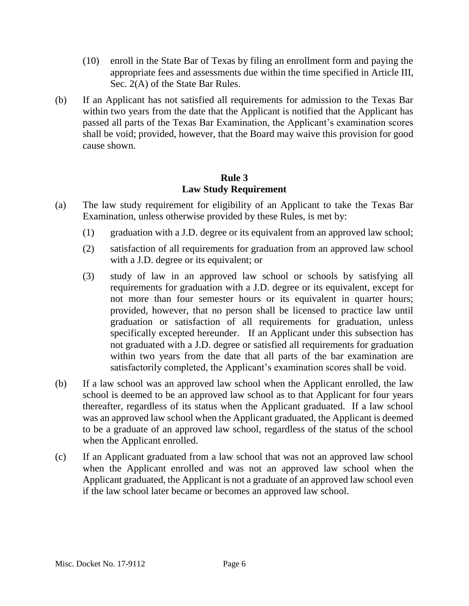- (10) enroll in the State Bar of Texas by filing an enrollment form and paying the appropriate fees and assessments due within the time specified in Article III, Sec. 2(A) of the State Bar Rules.
- (b) If an Applicant has not satisfied all requirements for admission to the Texas Bar within two years from the date that the Applicant is notified that the Applicant has passed all parts of the Texas Bar Examination, the Applicant's examination scores shall be void; provided, however, that the Board may waive this provision for good cause shown.

# **Rule 3 Law Study Requirement**

- (a) The law study requirement for eligibility of an Applicant to take the Texas Bar Examination, unless otherwise provided by these Rules, is met by:
	- (1) graduation with a J.D. degree or its equivalent from an approved law school;
	- (2) satisfaction of all requirements for graduation from an approved law school with a J.D. degree or its equivalent; or
	- (3) study of law in an approved law school or schools by satisfying all requirements for graduation with a J.D. degree or its equivalent, except for not more than four semester hours or its equivalent in quarter hours; provided, however, that no person shall be licensed to practice law until graduation or satisfaction of all requirements for graduation, unless specifically excepted hereunder. If an Applicant under this subsection has not graduated with a J.D. degree or satisfied all requirements for graduation within two years from the date that all parts of the bar examination are satisfactorily completed, the Applicant's examination scores shall be void.
- (b) If a law school was an approved law school when the Applicant enrolled, the law school is deemed to be an approved law school as to that Applicant for four years thereafter, regardless of its status when the Applicant graduated. If a law school was an approved law school when the Applicant graduated, the Applicant is deemed to be a graduate of an approved law school, regardless of the status of the school when the Applicant enrolled.
- (c) If an Applicant graduated from a law school that was not an approved law school when the Applicant enrolled and was not an approved law school when the Applicant graduated, the Applicant is not a graduate of an approved law school even if the law school later became or becomes an approved law school.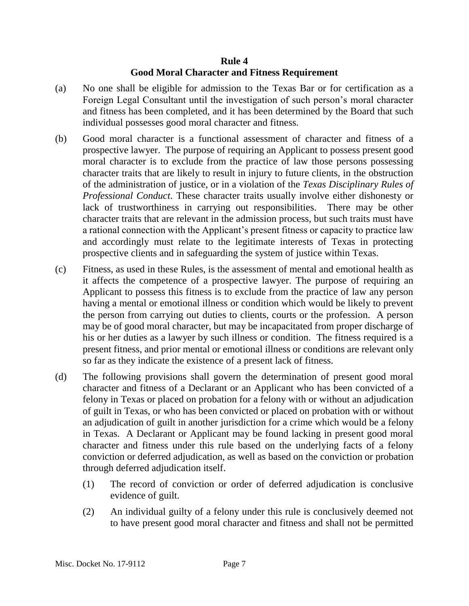#### **Rule 4 Good Moral Character and Fitness Requirement**

- (a) No one shall be eligible for admission to the Texas Bar or for certification as a Foreign Legal Consultant until the investigation of such person's moral character and fitness has been completed, and it has been determined by the Board that such individual possesses good moral character and fitness.
- (b) Good moral character is a functional assessment of character and fitness of a prospective lawyer. The purpose of requiring an Applicant to possess present good moral character is to exclude from the practice of law those persons possessing character traits that are likely to result in injury to future clients, in the obstruction of the administration of justice, or in a violation of the *Texas Disciplinary Rules of Professional Conduct*. These character traits usually involve either dishonesty or lack of trustworthiness in carrying out responsibilities. There may be other character traits that are relevant in the admission process, but such traits must have a rational connection with the Applicant's present fitness or capacity to practice law and accordingly must relate to the legitimate interests of Texas in protecting prospective clients and in safeguarding the system of justice within Texas.
- (c) Fitness, as used in these Rules, is the assessment of mental and emotional health as it affects the competence of a prospective lawyer. The purpose of requiring an Applicant to possess this fitness is to exclude from the practice of law any person having a mental or emotional illness or condition which would be likely to prevent the person from carrying out duties to clients, courts or the profession. A person may be of good moral character, but may be incapacitated from proper discharge of his or her duties as a lawyer by such illness or condition. The fitness required is a present fitness, and prior mental or emotional illness or conditions are relevant only so far as they indicate the existence of a present lack of fitness.
- (d) The following provisions shall govern the determination of present good moral character and fitness of a Declarant or an Applicant who has been convicted of a felony in Texas or placed on probation for a felony with or without an adjudication of guilt in Texas, or who has been convicted or placed on probation with or without an adjudication of guilt in another jurisdiction for a crime which would be a felony in Texas. A Declarant or Applicant may be found lacking in present good moral character and fitness under this rule based on the underlying facts of a felony conviction or deferred adjudication, as well as based on the conviction or probation through deferred adjudication itself.
	- (1) The record of conviction or order of deferred adjudication is conclusive evidence of guilt.
	- (2) An individual guilty of a felony under this rule is conclusively deemed not to have present good moral character and fitness and shall not be permitted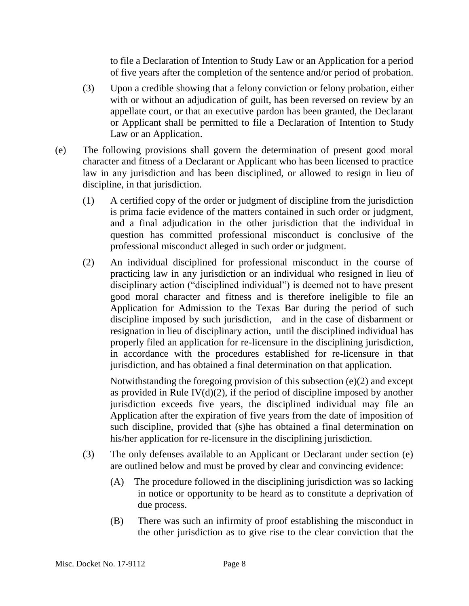to file a Declaration of Intention to Study Law or an Application for a period of five years after the completion of the sentence and/or period of probation.

- (3) Upon a credible showing that a felony conviction or felony probation, either with or without an adjudication of guilt, has been reversed on review by an appellate court, or that an executive pardon has been granted, the Declarant or Applicant shall be permitted to file a Declaration of Intention to Study Law or an Application.
- (e) The following provisions shall govern the determination of present good moral character and fitness of a Declarant or Applicant who has been licensed to practice law in any jurisdiction and has been disciplined, or allowed to resign in lieu of discipline, in that jurisdiction.
	- (1) A certified copy of the order or judgment of discipline from the jurisdiction is prima facie evidence of the matters contained in such order or judgment, and a final adjudication in the other jurisdiction that the individual in question has committed professional misconduct is conclusive of the professional misconduct alleged in such order or judgment.
	- (2) An individual disciplined for professional misconduct in the course of practicing law in any jurisdiction or an individual who resigned in lieu of disciplinary action ("disciplined individual") is deemed not to have present good moral character and fitness and is therefore ineligible to file an Application for Admission to the Texas Bar during the period of such discipline imposed by such jurisdiction, and in the case of disbarment or resignation in lieu of disciplinary action, until the disciplined individual has properly filed an application for re-licensure in the disciplining jurisdiction, in accordance with the procedures established for re-licensure in that jurisdiction, and has obtained a final determination on that application.

Notwithstanding the foregoing provision of this subsection  $(e)(2)$  and except as provided in Rule IV $(d)(2)$ , if the period of discipline imposed by another jurisdiction exceeds five years, the disciplined individual may file an Application after the expiration of five years from the date of imposition of such discipline, provided that (s)he has obtained a final determination on his/her application for re-licensure in the disciplining jurisdiction.

- (3) The only defenses available to an Applicant or Declarant under section (e) are outlined below and must be proved by clear and convincing evidence:
	- (A) The procedure followed in the disciplining jurisdiction was so lacking in notice or opportunity to be heard as to constitute a deprivation of due process.
	- (B) There was such an infirmity of proof establishing the misconduct in the other jurisdiction as to give rise to the clear conviction that the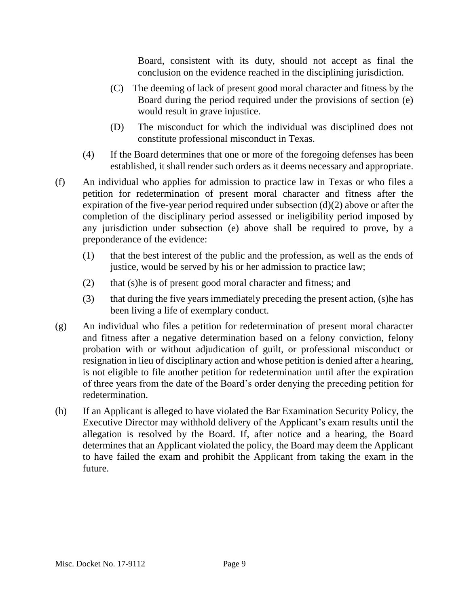Board, consistent with its duty, should not accept as final the conclusion on the evidence reached in the disciplining jurisdiction.

- (C) The deeming of lack of present good moral character and fitness by the Board during the period required under the provisions of section (e) would result in grave injustice.
- (D) The misconduct for which the individual was disciplined does not constitute professional misconduct in Texas.
- (4) If the Board determines that one or more of the foregoing defenses has been established, it shall render such orders as it deems necessary and appropriate.
- (f) An individual who applies for admission to practice law in Texas or who files a petition for redetermination of present moral character and fitness after the expiration of the five-year period required under subsection (d)(2) above or after the completion of the disciplinary period assessed or ineligibility period imposed by any jurisdiction under subsection (e) above shall be required to prove, by a preponderance of the evidence:
	- (1) that the best interest of the public and the profession, as well as the ends of justice, would be served by his or her admission to practice law;
	- (2) that (s)he is of present good moral character and fitness; and
	- (3) that during the five years immediately preceding the present action, (s)he has been living a life of exemplary conduct.
- (g) An individual who files a petition for redetermination of present moral character and fitness after a negative determination based on a felony conviction, felony probation with or without adjudication of guilt, or professional misconduct or resignation in lieu of disciplinary action and whose petition is denied after a hearing, is not eligible to file another petition for redetermination until after the expiration of three years from the date of the Board's order denying the preceding petition for redetermination.
- (h) If an Applicant is alleged to have violated the Bar Examination Security Policy, the Executive Director may withhold delivery of the Applicant's exam results until the allegation is resolved by the Board. If, after notice and a hearing, the Board determines that an Applicant violated the policy, the Board may deem the Applicant to have failed the exam and prohibit the Applicant from taking the exam in the future.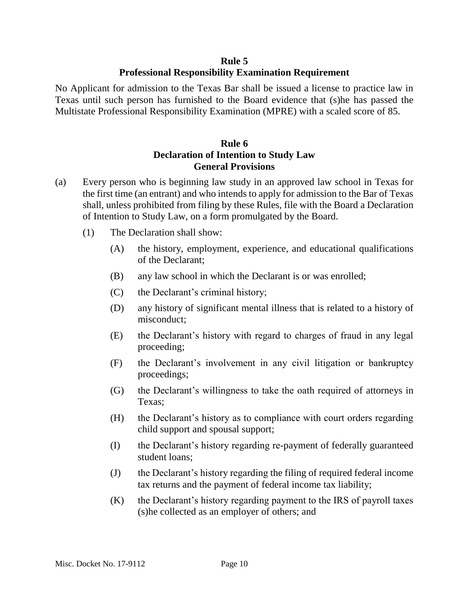## **Rule 5 Professional Responsibility Examination Requirement**

No Applicant for admission to the Texas Bar shall be issued a license to practice law in Texas until such person has furnished to the Board evidence that (s)he has passed the Multistate Professional Responsibility Examination (MPRE) with a scaled score of 85.

## **Rule 6 Declaration of Intention to Study Law General Provisions**

- (a) Every person who is beginning law study in an approved law school in Texas for the first time (an entrant) and who intends to apply for admission to the Bar of Texas shall, unless prohibited from filing by these Rules, file with the Board a Declaration of Intention to Study Law, on a form promulgated by the Board.
	- (1) The Declaration shall show:
		- (A) the history, employment, experience, and educational qualifications of the Declarant;
		- (B) any law school in which the Declarant is or was enrolled;
		- (C) the Declarant's criminal history;
		- (D) any history of significant mental illness that is related to a history of misconduct;
		- (E) the Declarant's history with regard to charges of fraud in any legal proceeding;
		- (F) the Declarant's involvement in any civil litigation or bankruptcy proceedings;
		- (G) the Declarant's willingness to take the oath required of attorneys in Texas;
		- (H) the Declarant's history as to compliance with court orders regarding child support and spousal support;
		- (I) the Declarant's history regarding re-payment of federally guaranteed student loans;
		- (J) the Declarant's history regarding the filing of required federal income tax returns and the payment of federal income tax liability;
		- (K) the Declarant's history regarding payment to the IRS of payroll taxes (s)he collected as an employer of others; and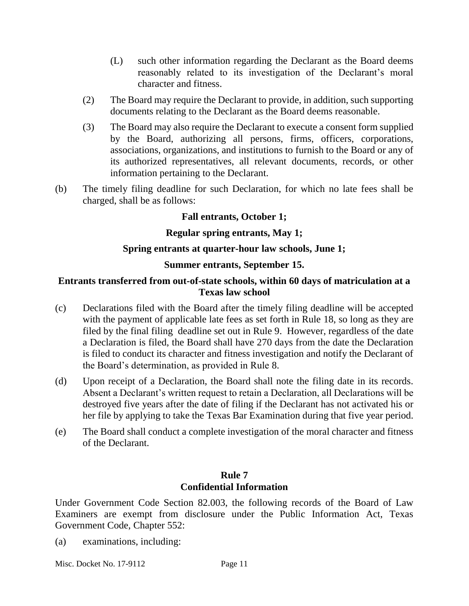- (L) such other information regarding the Declarant as the Board deems reasonably related to its investigation of the Declarant's moral character and fitness.
- (2) The Board may require the Declarant to provide, in addition, such supporting documents relating to the Declarant as the Board deems reasonable.
- (3) The Board may also require the Declarant to execute a consent form supplied by the Board, authorizing all persons, firms, officers, corporations, associations, organizations, and institutions to furnish to the Board or any of its authorized representatives, all relevant documents, records, or other information pertaining to the Declarant.
- (b) The timely filing deadline for such Declaration, for which no late fees shall be charged, shall be as follows:

# **Fall entrants, October 1;**

# **Regular spring entrants, May 1;**

# **Spring entrants at quarter-hour law schools, June 1;**

# **Summer entrants, September 15.**

#### **Entrants transferred from out-of-state schools, within 60 days of matriculation at a Texas law school**

- (c) Declarations filed with the Board after the timely filing deadline will be accepted with the payment of applicable late fees as set forth in Rule 18, so long as they are filed by the final filing deadline set out in Rule 9. However, regardless of the date a Declaration is filed, the Board shall have 270 days from the date the Declaration is filed to conduct its character and fitness investigation and notify the Declarant of the Board's determination, as provided in Rule 8.
- (d) Upon receipt of a Declaration, the Board shall note the filing date in its records. Absent a Declarant's written request to retain a Declaration, all Declarations will be destroyed five years after the date of filing if the Declarant has not activated his or her file by applying to take the Texas Bar Examination during that five year period.
- (e) The Board shall conduct a complete investigation of the moral character and fitness of the Declarant.

#### **Rule 7 Confidential Information**

Under Government Code Section 82.003, the following records of the Board of Law Examiners are exempt from disclosure under the Public Information Act, Texas Government Code, Chapter 552:

(a) examinations, including: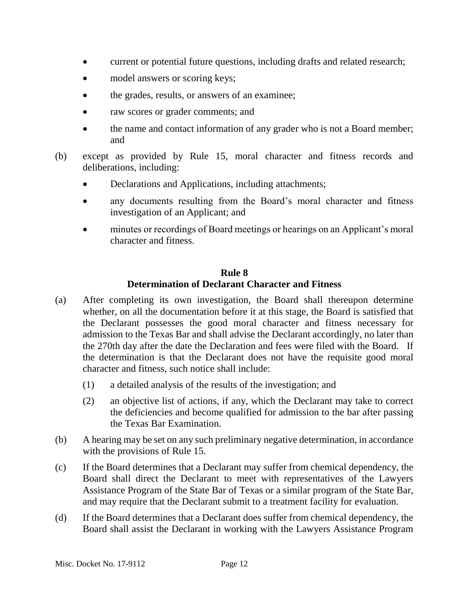- current or potential future questions, including drafts and related research;
- model answers or scoring keys;
- the grades, results, or answers of an examinee;
- raw scores or grader comments; and
- the name and contact information of any grader who is not a Board member; and
- (b) except as provided by Rule 15, moral character and fitness records and deliberations, including:
	- Declarations and Applications, including attachments;
	- any documents resulting from the Board's moral character and fitness investigation of an Applicant; and
	- minutes or recordings of Board meetings or hearings on an Applicant's moral character and fitness.

#### **Rule 8**

# **Determination of Declarant Character and Fitness**

- (a) After completing its own investigation, the Board shall thereupon determine whether, on all the documentation before it at this stage, the Board is satisfied that the Declarant possesses the good moral character and fitness necessary for admission to the Texas Bar and shall advise the Declarant accordingly, no later than the 270th day after the date the Declaration and fees were filed with the Board. If the determination is that the Declarant does not have the requisite good moral character and fitness, such notice shall include:
	- (1) a detailed analysis of the results of the investigation; and
	- (2) an objective list of actions, if any, which the Declarant may take to correct the deficiencies and become qualified for admission to the bar after passing the Texas Bar Examination.
- (b) A hearing may be set on any such preliminary negative determination, in accordance with the provisions of Rule 15.
- (c) If the Board determines that a Declarant may suffer from chemical dependency, the Board shall direct the Declarant to meet with representatives of the Lawyers Assistance Program of the State Bar of Texas or a similar program of the State Bar, and may require that the Declarant submit to a treatment facility for evaluation.
- (d) If the Board determines that a Declarant does suffer from chemical dependency, the Board shall assist the Declarant in working with the Lawyers Assistance Program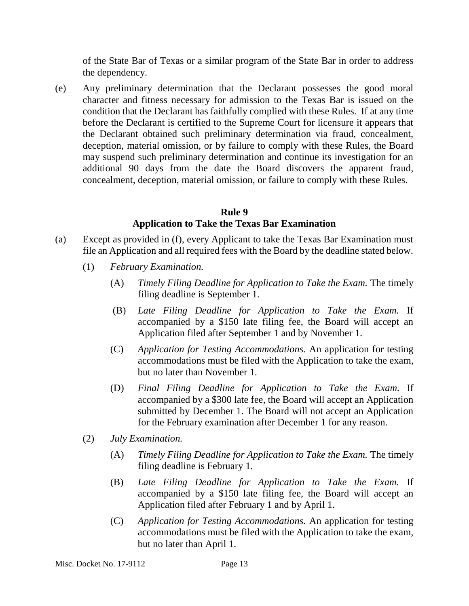of the State Bar of Texas or a similar program of the State Bar in order to address the dependency.

(e) Any preliminary determination that the Declarant possesses the good moral character and fitness necessary for admission to the Texas Bar is issued on the condition that the Declarant has faithfully complied with these Rules. If at any time before the Declarant is certified to the Supreme Court for licensure it appears that the Declarant obtained such preliminary determination via fraud, concealment, deception, material omission, or by failure to comply with these Rules, the Board may suspend such preliminary determination and continue its investigation for an additional 90 days from the date the Board discovers the apparent fraud, concealment, deception, material omission, or failure to comply with these Rules.

# **Rule 9 Application to Take the Texas Bar Examination**

- (a) Except as provided in (f), every Applicant to take the Texas Bar Examination must file an Application and all required fees with the Board by the deadline stated below.
	- (1) *February Examination.*
		- (A) *Timely Filing Deadline for Application to Take the Exam.* The timely filing deadline is September 1.
		- (B) *Late Filing Deadline for Application to Take the Exam.* If accompanied by a \$150 late filing fee, the Board will accept an Application filed after September 1 and by November 1.
		- (C) *Application for Testing Accommodations.* An application for testing accommodations must be filed with the Application to take the exam, but no later than November 1.
		- (D) *Final Filing Deadline for Application to Take the Exam.* If accompanied by a \$300 late fee, the Board will accept an Application submitted by December 1. The Board will not accept an Application for the February examination after December 1 for any reason.
	- (2) *July Examination.*
		- (A) *Timely Filing Deadline for Application to Take the Exam.* The timely filing deadline is February 1.
		- (B) *Late Filing Deadline for Application to Take the Exam.* If accompanied by a \$150 late filing fee, the Board will accept an Application filed after February 1 and by April 1.
		- (C) *Application for Testing Accommodations.* An application for testing accommodations must be filed with the Application to take the exam, but no later than April 1.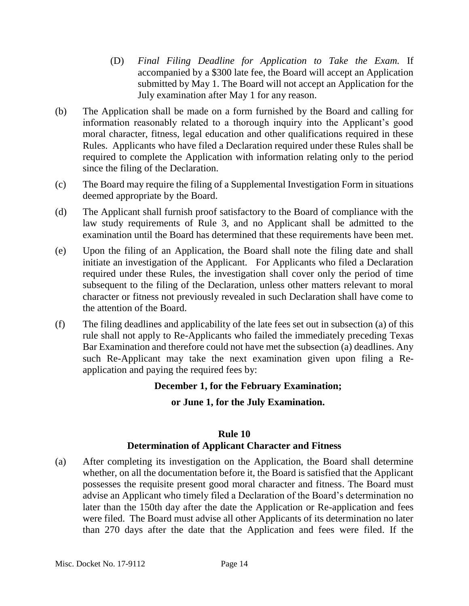- (D) *Final Filing Deadline for Application to Take the Exam.* If accompanied by a \$300 late fee, the Board will accept an Application submitted by May 1. The Board will not accept an Application for the July examination after May 1 for any reason.
- (b) The Application shall be made on a form furnished by the Board and calling for information reasonably related to a thorough inquiry into the Applicant's good moral character, fitness, legal education and other qualifications required in these Rules. Applicants who have filed a Declaration required under these Rules shall be required to complete the Application with information relating only to the period since the filing of the Declaration.
- (c) The Board may require the filing of a Supplemental Investigation Form in situations deemed appropriate by the Board.
- (d) The Applicant shall furnish proof satisfactory to the Board of compliance with the law study requirements of Rule 3, and no Applicant shall be admitted to the examination until the Board has determined that these requirements have been met.
- (e) Upon the filing of an Application, the Board shall note the filing date and shall initiate an investigation of the Applicant. For Applicants who filed a Declaration required under these Rules, the investigation shall cover only the period of time subsequent to the filing of the Declaration, unless other matters relevant to moral character or fitness not previously revealed in such Declaration shall have come to the attention of the Board.
- (f) The filing deadlines and applicability of the late fees set out in subsection (a) of this rule shall not apply to Re-Applicants who failed the immediately preceding Texas Bar Examination and therefore could not have met the subsection (a) deadlines. Any such Re-Applicant may take the next examination given upon filing a Reapplication and paying the required fees by:

## **December 1, for the February Examination;**

## **or June 1, for the July Examination.**

## **Rule 10 Determination of Applicant Character and Fitness**

(a) After completing its investigation on the Application, the Board shall determine whether, on all the documentation before it, the Board is satisfied that the Applicant possesses the requisite present good moral character and fitness. The Board must advise an Applicant who timely filed a Declaration of the Board's determination no later than the 150th day after the date the Application or Re-application and fees were filed. The Board must advise all other Applicants of its determination no later than 270 days after the date that the Application and fees were filed. If the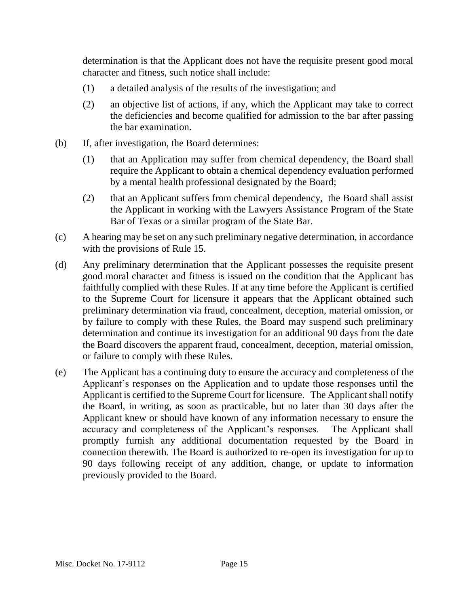determination is that the Applicant does not have the requisite present good moral character and fitness, such notice shall include:

- (1) a detailed analysis of the results of the investigation; and
- (2) an objective list of actions, if any, which the Applicant may take to correct the deficiencies and become qualified for admission to the bar after passing the bar examination.
- (b) If, after investigation, the Board determines:
	- (1) that an Application may suffer from chemical dependency, the Board shall require the Applicant to obtain a chemical dependency evaluation performed by a mental health professional designated by the Board;
	- (2) that an Applicant suffers from chemical dependency, the Board shall assist the Applicant in working with the Lawyers Assistance Program of the State Bar of Texas or a similar program of the State Bar.
- (c) A hearing may be set on any such preliminary negative determination, in accordance with the provisions of Rule 15.
- (d) Any preliminary determination that the Applicant possesses the requisite present good moral character and fitness is issued on the condition that the Applicant has faithfully complied with these Rules. If at any time before the Applicant is certified to the Supreme Court for licensure it appears that the Applicant obtained such preliminary determination via fraud, concealment, deception, material omission, or by failure to comply with these Rules, the Board may suspend such preliminary determination and continue its investigation for an additional 90 days from the date the Board discovers the apparent fraud, concealment, deception, material omission, or failure to comply with these Rules.
- (e) The Applicant has a continuing duty to ensure the accuracy and completeness of the Applicant's responses on the Application and to update those responses until the Applicant is certified to the Supreme Court for licensure. The Applicant shall notify the Board, in writing, as soon as practicable, but no later than 30 days after the Applicant knew or should have known of any information necessary to ensure the accuracy and completeness of the Applicant's responses. The Applicant shall promptly furnish any additional documentation requested by the Board in connection therewith. The Board is authorized to re-open its investigation for up to 90 days following receipt of any addition, change, or update to information previously provided to the Board.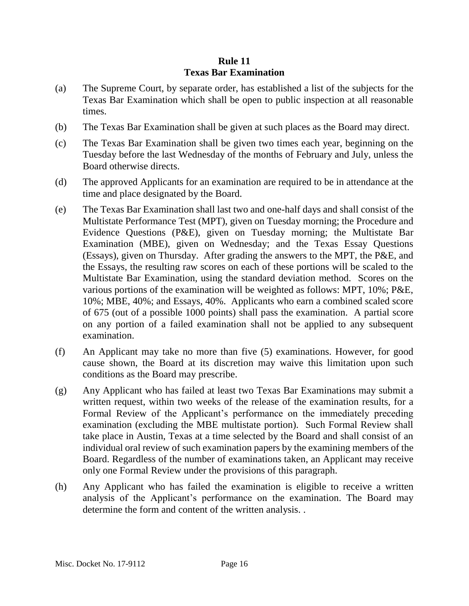## **Rule 11 Texas Bar Examination**

- (a) The Supreme Court, by separate order, has established a list of the subjects for the Texas Bar Examination which shall be open to public inspection at all reasonable times.
- (b) The Texas Bar Examination shall be given at such places as the Board may direct.
- (c) The Texas Bar Examination shall be given two times each year, beginning on the Tuesday before the last Wednesday of the months of February and July, unless the Board otherwise directs.
- (d) The approved Applicants for an examination are required to be in attendance at the time and place designated by the Board.
- (e) The Texas Bar Examination shall last two and one-half days and shall consist of the Multistate Performance Test (MPT), given on Tuesday morning; the Procedure and Evidence Questions (P&E), given on Tuesday morning; the Multistate Bar Examination (MBE), given on Wednesday; and the Texas Essay Questions (Essays), given on Thursday. After grading the answers to the MPT, the P&E, and the Essays, the resulting raw scores on each of these portions will be scaled to the Multistate Bar Examination, using the standard deviation method. Scores on the various portions of the examination will be weighted as follows: MPT, 10%; P&E, 10%; MBE, 40%; and Essays, 40%. Applicants who earn a combined scaled score of 675 (out of a possible 1000 points) shall pass the examination. A partial score on any portion of a failed examination shall not be applied to any subsequent examination.
- (f) An Applicant may take no more than five (5) examinations. However, for good cause shown, the Board at its discretion may waive this limitation upon such conditions as the Board may prescribe.
- (g) Any Applicant who has failed at least two Texas Bar Examinations may submit a written request, within two weeks of the release of the examination results, for a Formal Review of the Applicant's performance on the immediately preceding examination (excluding the MBE multistate portion). Such Formal Review shall take place in Austin, Texas at a time selected by the Board and shall consist of an individual oral review of such examination papers by the examining members of the Board. Regardless of the number of examinations taken, an Applicant may receive only one Formal Review under the provisions of this paragraph.
- (h) Any Applicant who has failed the examination is eligible to receive a written analysis of the Applicant's performance on the examination. The Board may determine the form and content of the written analysis. .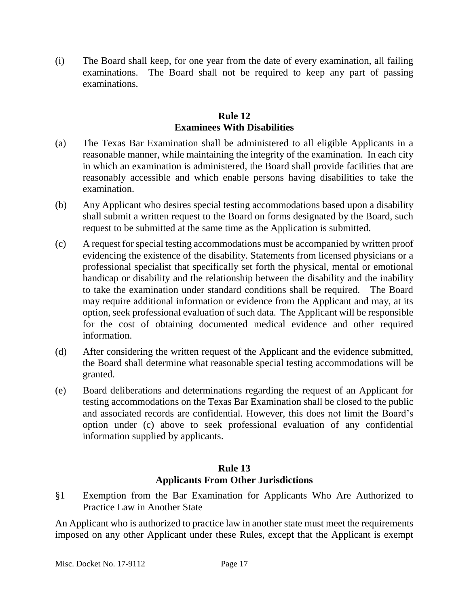(i) The Board shall keep, for one year from the date of every examination, all failing examinations. The Board shall not be required to keep any part of passing examinations.

#### **Rule 12 Examinees With Disabilities**

- (a) The Texas Bar Examination shall be administered to all eligible Applicants in a reasonable manner, while maintaining the integrity of the examination. In each city in which an examination is administered, the Board shall provide facilities that are reasonably accessible and which enable persons having disabilities to take the examination.
- (b) Any Applicant who desires special testing accommodations based upon a disability shall submit a written request to the Board on forms designated by the Board, such request to be submitted at the same time as the Application is submitted.
- (c) A request for special testing accommodations must be accompanied by written proof evidencing the existence of the disability. Statements from licensed physicians or a professional specialist that specifically set forth the physical, mental or emotional handicap or disability and the relationship between the disability and the inability to take the examination under standard conditions shall be required. The Board may require additional information or evidence from the Applicant and may, at its option, seek professional evaluation of such data. The Applicant will be responsible for the cost of obtaining documented medical evidence and other required information.
- (d) After considering the written request of the Applicant and the evidence submitted, the Board shall determine what reasonable special testing accommodations will be granted.
- (e) Board deliberations and determinations regarding the request of an Applicant for testing accommodations on the Texas Bar Examination shall be closed to the public and associated records are confidential. However, this does not limit the Board's option under (c) above to seek professional evaluation of any confidential information supplied by applicants.

# **Rule 13 Applicants From Other Jurisdictions**

§1 Exemption from the Bar Examination for Applicants Who Are Authorized to Practice Law in Another State

An Applicant who is authorized to practice law in another state must meet the requirements imposed on any other Applicant under these Rules, except that the Applicant is exempt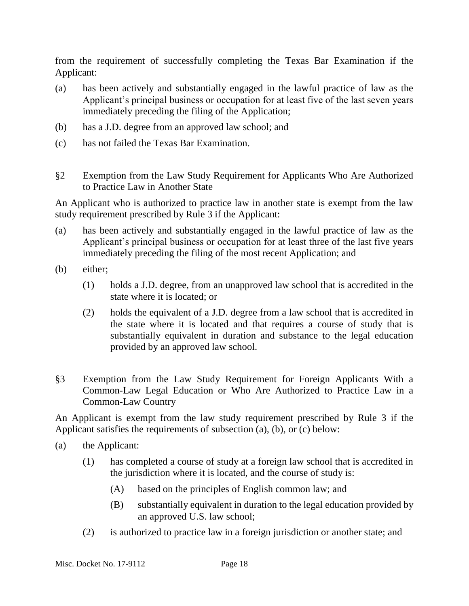from the requirement of successfully completing the Texas Bar Examination if the Applicant:

- (a) has been actively and substantially engaged in the lawful practice of law as the Applicant's principal business or occupation for at least five of the last seven years immediately preceding the filing of the Application;
- (b) has a J.D. degree from an approved law school; and
- (c) has not failed the Texas Bar Examination.
- §2 Exemption from the Law Study Requirement for Applicants Who Are Authorized to Practice Law in Another State

An Applicant who is authorized to practice law in another state is exempt from the law study requirement prescribed by Rule 3 if the Applicant:

- (a) has been actively and substantially engaged in the lawful practice of law as the Applicant's principal business or occupation for at least three of the last five years immediately preceding the filing of the most recent Application; and
- (b) either;
	- (1) holds a J.D. degree, from an unapproved law school that is accredited in the state where it is located; or
	- (2) holds the equivalent of a J.D. degree from a law school that is accredited in the state where it is located and that requires a course of study that is substantially equivalent in duration and substance to the legal education provided by an approved law school.
- §3 Exemption from the Law Study Requirement for Foreign Applicants With a Common-Law Legal Education or Who Are Authorized to Practice Law in a Common-Law Country

An Applicant is exempt from the law study requirement prescribed by Rule 3 if the Applicant satisfies the requirements of subsection (a), (b), or (c) below:

- (a) the Applicant:
	- (1) has completed a course of study at a foreign law school that is accredited in the jurisdiction where it is located, and the course of study is:
		- (A) based on the principles of English common law; and
		- (B) substantially equivalent in duration to the legal education provided by an approved U.S. law school;
	- (2) is authorized to practice law in a foreign jurisdiction or another state; and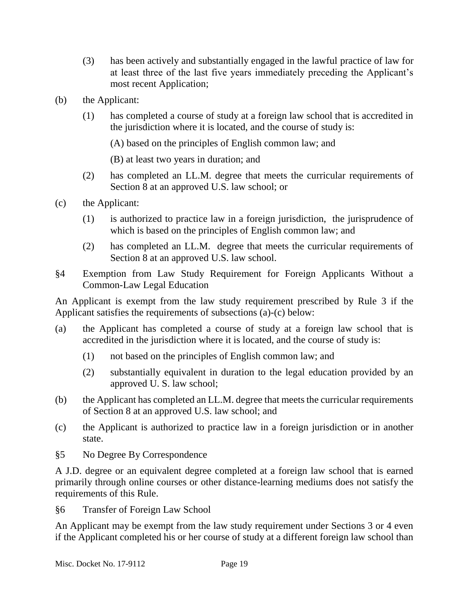- (3) has been actively and substantially engaged in the lawful practice of law for at least three of the last five years immediately preceding the Applicant's most recent Application;
- (b) the Applicant:
	- (1) has completed a course of study at a foreign law school that is accredited in the jurisdiction where it is located, and the course of study is:

(A) based on the principles of English common law; and

(B) at least two years in duration; and

- (2) has completed an LL.M. degree that meets the curricular requirements of Section 8 at an approved U.S. law school; or
- (c) the Applicant:
	- (1) is authorized to practice law in a foreign jurisdiction, the jurisprudence of which is based on the principles of English common law; and
	- (2) has completed an LL.M. degree that meets the curricular requirements of Section 8 at an approved U.S. law school.
- §4 Exemption from Law Study Requirement for Foreign Applicants Without a Common-Law Legal Education

An Applicant is exempt from the law study requirement prescribed by Rule 3 if the Applicant satisfies the requirements of subsections (a)-(c) below:

- (a) the Applicant has completed a course of study at a foreign law school that is accredited in the jurisdiction where it is located, and the course of study is:
	- (1) not based on the principles of English common law; and
	- (2) substantially equivalent in duration to the legal education provided by an approved U. S. law school;
- (b) the Applicant has completed an LL.M. degree that meets the curricular requirements of Section 8 at an approved U.S. law school; and
- (c) the Applicant is authorized to practice law in a foreign jurisdiction or in another state.
- §5 No Degree By Correspondence

A J.D. degree or an equivalent degree completed at a foreign law school that is earned primarily through online courses or other distance-learning mediums does not satisfy the requirements of this Rule.

§6 Transfer of Foreign Law School

An Applicant may be exempt from the law study requirement under Sections 3 or 4 even if the Applicant completed his or her course of study at a different foreign law school than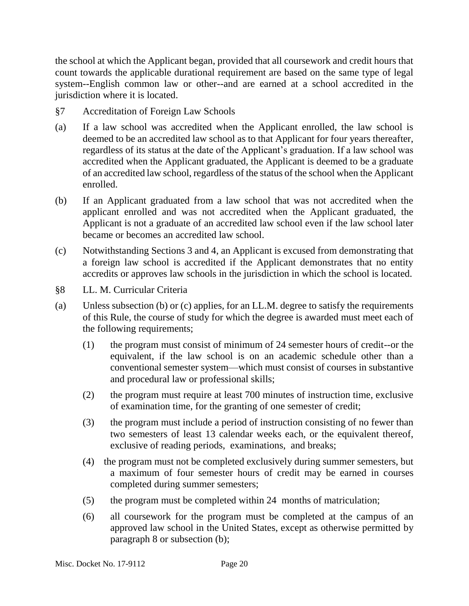the school at which the Applicant began, provided that all coursework and credit hours that count towards the applicable durational requirement are based on the same type of legal system--English common law or other--and are earned at a school accredited in the jurisdiction where it is located.

- §7 Accreditation of Foreign Law Schools
- (a) If a law school was accredited when the Applicant enrolled, the law school is deemed to be an accredited law school as to that Applicant for four years thereafter, regardless of its status at the date of the Applicant's graduation. If a law school was accredited when the Applicant graduated, the Applicant is deemed to be a graduate of an accredited law school, regardless of the status of the school when the Applicant enrolled.
- (b) If an Applicant graduated from a law school that was not accredited when the applicant enrolled and was not accredited when the Applicant graduated, the Applicant is not a graduate of an accredited law school even if the law school later became or becomes an accredited law school.
- (c) Notwithstanding Sections 3 and 4, an Applicant is excused from demonstrating that a foreign law school is accredited if the Applicant demonstrates that no entity accredits or approves law schools in the jurisdiction in which the school is located.
- §8 LL. M. Curricular Criteria
- (a) Unless subsection (b) or (c) applies, for an LL.M. degree to satisfy the requirements of this Rule, the course of study for which the degree is awarded must meet each of the following requirements;
	- (1) the program must consist of minimum of 24 semester hours of credit--or the equivalent, if the law school is on an academic schedule other than a conventional semester system—which must consist of courses in substantive and procedural law or professional skills;
	- (2) the program must require at least 700 minutes of instruction time, exclusive of examination time, for the granting of one semester of credit;
	- (3) the program must include a period of instruction consisting of no fewer than two semesters of least 13 calendar weeks each, or the equivalent thereof, exclusive of reading periods, examinations, and breaks;
	- (4) the program must not be completed exclusively during summer semesters, but a maximum of four semester hours of credit may be earned in courses completed during summer semesters;
	- (5) the program must be completed within 24 months of matriculation;
	- (6) all coursework for the program must be completed at the campus of an approved law school in the United States, except as otherwise permitted by paragraph 8 or subsection (b);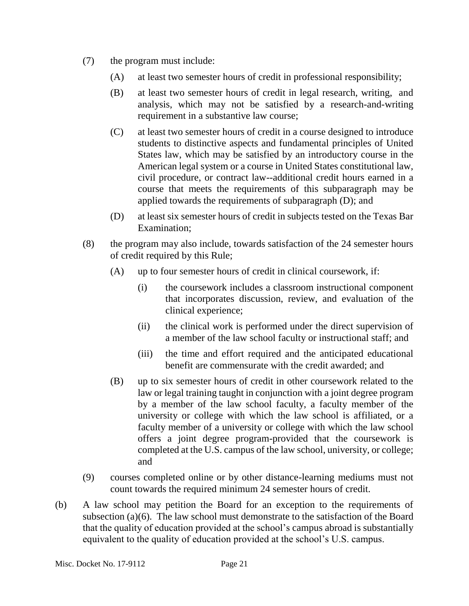- (7) the program must include:
	- (A) at least two semester hours of credit in professional responsibility;
	- (B) at least two semester hours of credit in legal research, writing, and analysis, which may not be satisfied by a research-and-writing requirement in a substantive law course;
	- (C) at least two semester hours of credit in a course designed to introduce students to distinctive aspects and fundamental principles of United States law, which may be satisfied by an introductory course in the American legal system or a course in United States constitutional law, civil procedure, or contract law--additional credit hours earned in a course that meets the requirements of this subparagraph may be applied towards the requirements of subparagraph (D); and
	- (D) at least six semester hours of credit in subjects tested on the Texas Bar Examination;
- (8) the program may also include, towards satisfaction of the 24 semester hours of credit required by this Rule;
	- (A) up to four semester hours of credit in clinical coursework, if:
		- (i) the coursework includes a classroom instructional component that incorporates discussion, review, and evaluation of the clinical experience;
		- (ii) the clinical work is performed under the direct supervision of a member of the law school faculty or instructional staff; and
		- (iii) the time and effort required and the anticipated educational benefit are commensurate with the credit awarded; and
	- (B) up to six semester hours of credit in other coursework related to the law or legal training taught in conjunction with a joint degree program by a member of the law school faculty, a faculty member of the university or college with which the law school is affiliated, or a faculty member of a university or college with which the law school offers a joint degree program-provided that the coursework is completed at the U.S. campus of the law school, university, or college; and
- (9) courses completed online or by other distance-learning mediums must not count towards the required minimum 24 semester hours of credit.
- (b) A law school may petition the Board for an exception to the requirements of subsection (a)(6). The law school must demonstrate to the satisfaction of the Board that the quality of education provided at the school's campus abroad is substantially equivalent to the quality of education provided at the school's U.S. campus.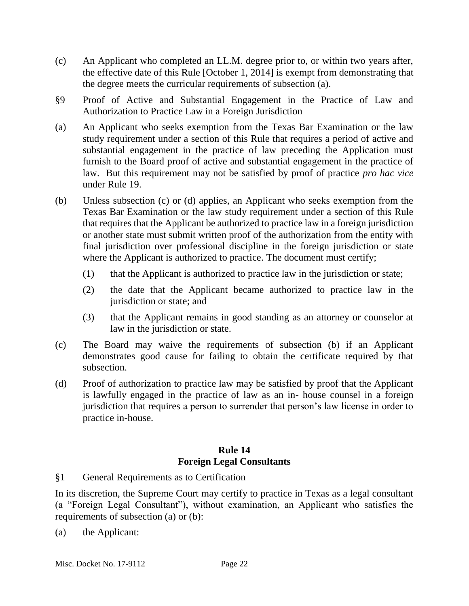- (c) An Applicant who completed an LL.M. degree prior to, or within two years after, the effective date of this Rule [October 1, 2014] is exempt from demonstrating that the degree meets the curricular requirements of subsection (a).
- §9 Proof of Active and Substantial Engagement in the Practice of Law and Authorization to Practice Law in a Foreign Jurisdiction
- (a) An Applicant who seeks exemption from the Texas Bar Examination or the law study requirement under a section of this Rule that requires a period of active and substantial engagement in the practice of law preceding the Application must furnish to the Board proof of active and substantial engagement in the practice of law. But this requirement may not be satisfied by proof of practice *pro hac vice*  under Rule 19.
- (b) Unless subsection (c) or (d) applies, an Applicant who seeks exemption from the Texas Bar Examination or the law study requirement under a section of this Rule that requires that the Applicant be authorized to practice law in a foreign jurisdiction or another state must submit written proof of the authorization from the entity with final jurisdiction over professional discipline in the foreign jurisdiction or state where the Applicant is authorized to practice. The document must certify;
	- (1) that the Applicant is authorized to practice law in the jurisdiction or state;
	- (2) the date that the Applicant became authorized to practice law in the jurisdiction or state; and
	- (3) that the Applicant remains in good standing as an attorney or counselor at law in the jurisdiction or state.
- (c) The Board may waive the requirements of subsection (b) if an Applicant demonstrates good cause for failing to obtain the certificate required by that subsection.
- (d) Proof of authorization to practice law may be satisfied by proof that the Applicant is lawfully engaged in the practice of law as an in- house counsel in a foreign jurisdiction that requires a person to surrender that person's law license in order to practice in-house.

#### **Rule 14 Foreign Legal Consultants**

§1 General Requirements as to Certification

In its discretion, the Supreme Court may certify to practice in Texas as a legal consultant (a "Foreign Legal Consultant"), without examination, an Applicant who satisfies the requirements of subsection (a) or (b):

(a) the Applicant: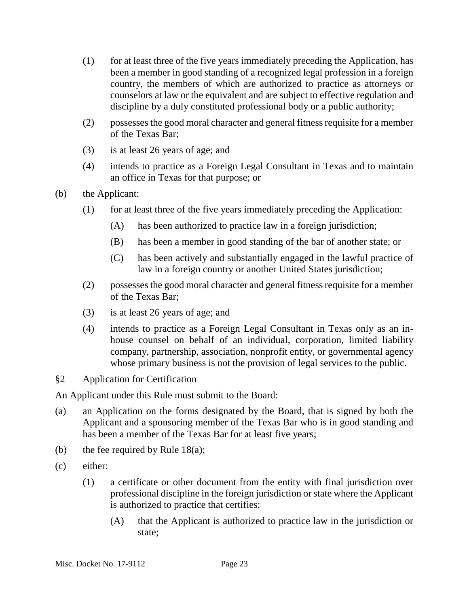- (1) for at least three of the five years immediately preceding the Application, has been a member in good standing of a recognized legal profession in a foreign country, the members of which are authorized to practice as attorneys or counselors at law or the equivalent and are subject to effective regulation and discipline by a duly constituted professional body or a public authority;
- (2) possesses the good moral character and general fitness requisite for a member of the Texas Bar;
- (3) is at least 26 years of age; and
- (4) intends to practice as a Foreign Legal Consultant in Texas and to maintain an office in Texas for that purpose; or
- (b) the Applicant:
	- (1) for at least three of the five years immediately preceding the Application:
		- (A) has been authorized to practice law in a foreign jurisdiction;
		- (B) has been a member in good standing of the bar of another state; or
		- (C) has been actively and substantially engaged in the lawful practice of law in a foreign country or another United States jurisdiction;
	- (2) possesses the good moral character and general fitness requisite for a member of the Texas Bar;
	- (3) is at least 26 years of age; and
	- (4) intends to practice as a Foreign Legal Consultant in Texas only as an inhouse counsel on behalf of an individual, corporation, limited liability company, partnership, association, nonprofit entity, or governmental agency whose primary business is not the provision of legal services to the public.
- §2 Application for Certification

An Applicant under this Rule must submit to the Board:

- (a) an Application on the forms designated by the Board, that is signed by both the Applicant and a sponsoring member of the Texas Bar who is in good standing and has been a member of the Texas Bar for at least five years;
- (b) the fee required by Rule  $18(a)$ ;
- (c) either:
	- (1) a certificate or other document from the entity with final jurisdiction over professional discipline in the foreign jurisdiction or state where the Applicant is authorized to practice that certifies:
		- (A) that the Applicant is authorized to practice law in the jurisdiction or state;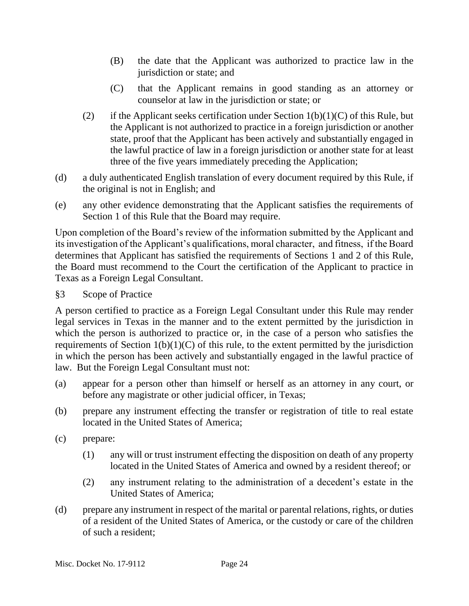- (B) the date that the Applicant was authorized to practice law in the jurisdiction or state; and
- (C) that the Applicant remains in good standing as an attorney or counselor at law in the jurisdiction or state; or
- (2) if the Applicant seeks certification under Section  $1(b)(1)(C)$  of this Rule, but the Applicant is not authorized to practice in a foreign jurisdiction or another state, proof that the Applicant has been actively and substantially engaged in the lawful practice of law in a foreign jurisdiction or another state for at least three of the five years immediately preceding the Application;
- (d) a duly authenticated English translation of every document required by this Rule, if the original is not in English; and
- (e) any other evidence demonstrating that the Applicant satisfies the requirements of Section 1 of this Rule that the Board may require.

Upon completion of the Board's review of the information submitted by the Applicant and its investigation of the Applicant's qualifications, moral character, and fitness, if the Board determines that Applicant has satisfied the requirements of Sections 1 and 2 of this Rule, the Board must recommend to the Court the certification of the Applicant to practice in Texas as a Foreign Legal Consultant.

§3 Scope of Practice

A person certified to practice as a Foreign Legal Consultant under this Rule may render legal services in Texas in the manner and to the extent permitted by the jurisdiction in which the person is authorized to practice or, in the case of a person who satisfies the requirements of Section  $1(b)(1)(C)$  of this rule, to the extent permitted by the jurisdiction in which the person has been actively and substantially engaged in the lawful practice of law. But the Foreign Legal Consultant must not:

- (a) appear for a person other than himself or herself as an attorney in any court, or before any magistrate or other judicial officer, in Texas;
- (b) prepare any instrument effecting the transfer or registration of title to real estate located in the United States of America;
- (c) prepare:
	- (1) any will or trust instrument effecting the disposition on death of any property located in the United States of America and owned by a resident thereof; or
	- (2) any instrument relating to the administration of a decedent's estate in the United States of America;
- (d) prepare any instrument in respect of the marital or parental relations, rights, or duties of a resident of the United States of America, or the custody or care of the children of such a resident;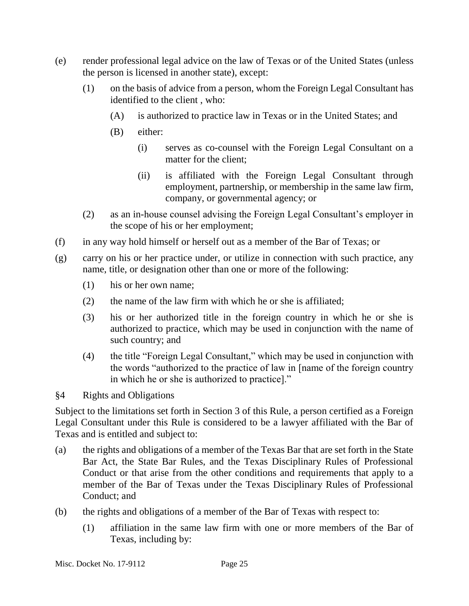- (e) render professional legal advice on the law of Texas or of the United States (unless the person is licensed in another state), except:
	- (1) on the basis of advice from a person, whom the Foreign Legal Consultant has identified to the client , who:
		- (A) is authorized to practice law in Texas or in the United States; and
		- (B) either:
			- (i) serves as co-counsel with the Foreign Legal Consultant on a matter for the client;
			- (ii) is affiliated with the Foreign Legal Consultant through employment, partnership, or membership in the same law firm, company, or governmental agency; or
	- (2) as an in-house counsel advising the Foreign Legal Consultant's employer in the scope of his or her employment;
- (f) in any way hold himself or herself out as a member of the Bar of Texas; or
- (g) carry on his or her practice under, or utilize in connection with such practice, any name, title, or designation other than one or more of the following:
	- (1) his or her own name;
	- (2) the name of the law firm with which he or she is affiliated;
	- (3) his or her authorized title in the foreign country in which he or she is authorized to practice, which may be used in conjunction with the name of such country; and
	- (4) the title "Foreign Legal Consultant," which may be used in conjunction with the words "authorized to the practice of law in [name of the foreign country in which he or she is authorized to practice]."

§4 Rights and Obligations

Subject to the limitations set forth in Section 3 of this Rule, a person certified as a Foreign Legal Consultant under this Rule is considered to be a lawyer affiliated with the Bar of Texas and is entitled and subject to:

- (a) the rights and obligations of a member of the Texas Bar that are set forth in the State Bar Act, the State Bar Rules, and the Texas Disciplinary Rules of Professional Conduct or that arise from the other conditions and requirements that apply to a member of the Bar of Texas under the Texas Disciplinary Rules of Professional Conduct; and
- (b) the rights and obligations of a member of the Bar of Texas with respect to:
	- (1) affiliation in the same law firm with one or more members of the Bar of Texas, including by: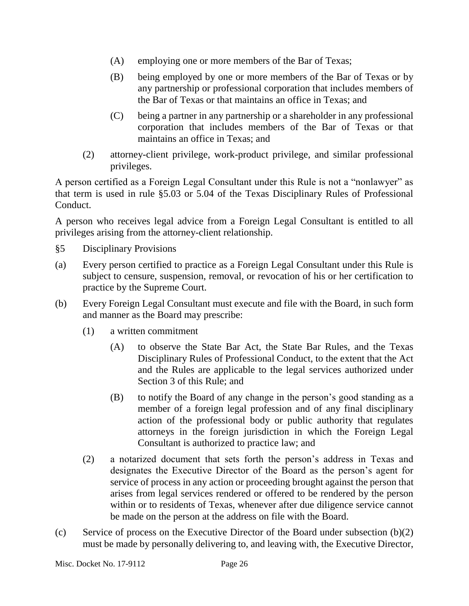- (A) employing one or more members of the Bar of Texas;
- (B) being employed by one or more members of the Bar of Texas or by any partnership or professional corporation that includes members of the Bar of Texas or that maintains an office in Texas; and
- (C) being a partner in any partnership or a shareholder in any professional corporation that includes members of the Bar of Texas or that maintains an office in Texas; and
- (2) attorney-client privilege, work-product privilege, and similar professional privileges.

A person certified as a Foreign Legal Consultant under this Rule is not a "nonlawyer" as that term is used in rule §5.03 or 5.04 of the Texas Disciplinary Rules of Professional Conduct.

A person who receives legal advice from a Foreign Legal Consultant is entitled to all privileges arising from the attorney-client relationship.

- §5 Disciplinary Provisions
- (a) Every person certified to practice as a Foreign Legal Consultant under this Rule is subject to censure, suspension, removal, or revocation of his or her certification to practice by the Supreme Court.
- (b) Every Foreign Legal Consultant must execute and file with the Board, in such form and manner as the Board may prescribe:
	- (1) a written commitment
		- (A) to observe the State Bar Act, the State Bar Rules, and the Texas Disciplinary Rules of Professional Conduct, to the extent that the Act and the Rules are applicable to the legal services authorized under Section 3 of this Rule; and
		- (B) to notify the Board of any change in the person's good standing as a member of a foreign legal profession and of any final disciplinary action of the professional body or public authority that regulates attorneys in the foreign jurisdiction in which the Foreign Legal Consultant is authorized to practice law; and
	- (2) a notarized document that sets forth the person's address in Texas and designates the Executive Director of the Board as the person's agent for service of process in any action or proceeding brought against the person that arises from legal services rendered or offered to be rendered by the person within or to residents of Texas, whenever after due diligence service cannot be made on the person at the address on file with the Board.
- (c) Service of process on the Executive Director of the Board under subsection (b)(2) must be made by personally delivering to, and leaving with, the Executive Director,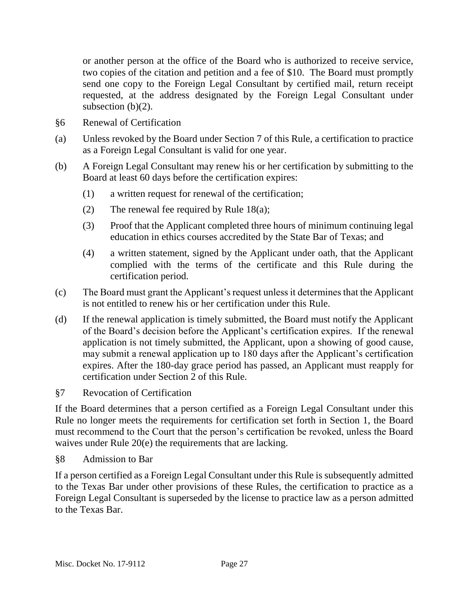or another person at the office of the Board who is authorized to receive service, two copies of the citation and petition and a fee of \$10. The Board must promptly send one copy to the Foreign Legal Consultant by certified mail, return receipt requested, at the address designated by the Foreign Legal Consultant under subsection  $(b)(2)$ .

- §6 Renewal of Certification
- (a) Unless revoked by the Board under Section 7 of this Rule, a certification to practice as a Foreign Legal Consultant is valid for one year.
- (b) A Foreign Legal Consultant may renew his or her certification by submitting to the Board at least 60 days before the certification expires:
	- (1) a written request for renewal of the certification;
	- (2) The renewal fee required by Rule  $18(a)$ ;
	- (3) Proof that the Applicant completed three hours of minimum continuing legal education in ethics courses accredited by the State Bar of Texas; and
	- (4) a written statement, signed by the Applicant under oath, that the Applicant complied with the terms of the certificate and this Rule during the certification period.
- (c) The Board must grant the Applicant's request unless it determines that the Applicant is not entitled to renew his or her certification under this Rule.
- (d) If the renewal application is timely submitted, the Board must notify the Applicant of the Board's decision before the Applicant's certification expires. If the renewal application is not timely submitted, the Applicant, upon a showing of good cause, may submit a renewal application up to 180 days after the Applicant's certification expires. After the 180-day grace period has passed, an Applicant must reapply for certification under Section 2 of this Rule.
- §7 Revocation of Certification

If the Board determines that a person certified as a Foreign Legal Consultant under this Rule no longer meets the requirements for certification set forth in Section 1, the Board must recommend to the Court that the person's certification be revoked, unless the Board waives under Rule 20(e) the requirements that are lacking.

§8 Admission to Bar

If a person certified as a Foreign Legal Consultant under this Rule is subsequently admitted to the Texas Bar under other provisions of these Rules, the certification to practice as a Foreign Legal Consultant is superseded by the license to practice law as a person admitted to the Texas Bar.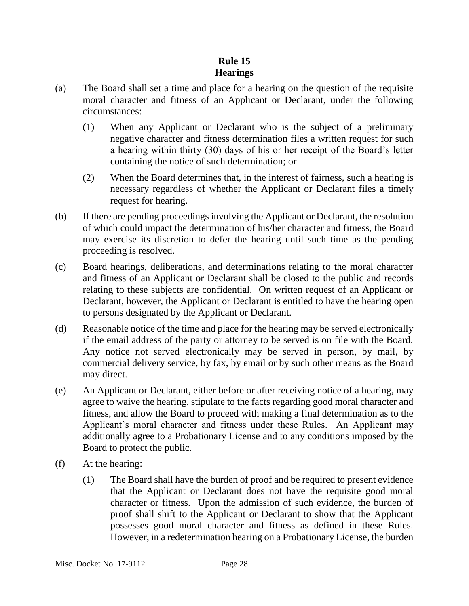# **Rule 15 Hearings**

- (a) The Board shall set a time and place for a hearing on the question of the requisite moral character and fitness of an Applicant or Declarant, under the following circumstances:
	- (1) When any Applicant or Declarant who is the subject of a preliminary negative character and fitness determination files a written request for such a hearing within thirty (30) days of his or her receipt of the Board's letter containing the notice of such determination; or
	- (2) When the Board determines that, in the interest of fairness, such a hearing is necessary regardless of whether the Applicant or Declarant files a timely request for hearing.
- (b) If there are pending proceedings involving the Applicant or Declarant, the resolution of which could impact the determination of his/her character and fitness, the Board may exercise its discretion to defer the hearing until such time as the pending proceeding is resolved.
- (c) Board hearings, deliberations, and determinations relating to the moral character and fitness of an Applicant or Declarant shall be closed to the public and records relating to these subjects are confidential. On written request of an Applicant or Declarant, however, the Applicant or Declarant is entitled to have the hearing open to persons designated by the Applicant or Declarant.
- (d) Reasonable notice of the time and place for the hearing may be served electronically if the email address of the party or attorney to be served is on file with the Board. Any notice not served electronically may be served in person, by mail, by commercial delivery service, by fax, by email or by such other means as the Board may direct.
- (e) An Applicant or Declarant, either before or after receiving notice of a hearing, may agree to waive the hearing, stipulate to the facts regarding good moral character and fitness, and allow the Board to proceed with making a final determination as to the Applicant's moral character and fitness under these Rules. An Applicant may additionally agree to a Probationary License and to any conditions imposed by the Board to protect the public.
- (f) At the hearing:
	- (1) The Board shall have the burden of proof and be required to present evidence that the Applicant or Declarant does not have the requisite good moral character or fitness. Upon the admission of such evidence, the burden of proof shall shift to the Applicant or Declarant to show that the Applicant possesses good moral character and fitness as defined in these Rules. However, in a redetermination hearing on a Probationary License, the burden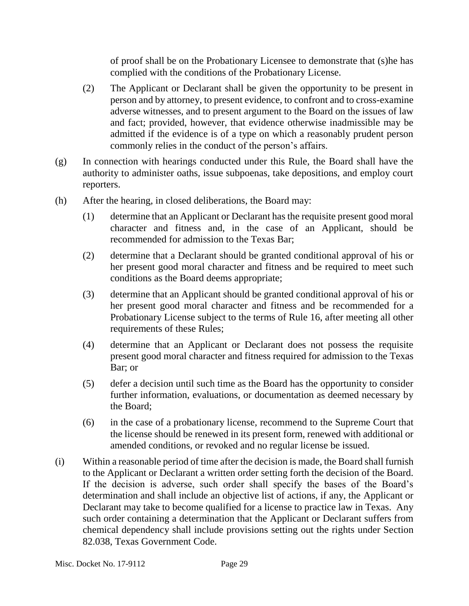of proof shall be on the Probationary Licensee to demonstrate that (s)he has complied with the conditions of the Probationary License.

- (2) The Applicant or Declarant shall be given the opportunity to be present in person and by attorney, to present evidence, to confront and to cross-examine adverse witnesses, and to present argument to the Board on the issues of law and fact; provided, however, that evidence otherwise inadmissible may be admitted if the evidence is of a type on which a reasonably prudent person commonly relies in the conduct of the person's affairs.
- (g) In connection with hearings conducted under this Rule, the Board shall have the authority to administer oaths, issue subpoenas, take depositions, and employ court reporters.
- (h) After the hearing, in closed deliberations, the Board may:
	- (1) determine that an Applicant or Declarant has the requisite present good moral character and fitness and, in the case of an Applicant, should be recommended for admission to the Texas Bar;
	- (2) determine that a Declarant should be granted conditional approval of his or her present good moral character and fitness and be required to meet such conditions as the Board deems appropriate;
	- (3) determine that an Applicant should be granted conditional approval of his or her present good moral character and fitness and be recommended for a Probationary License subject to the terms of Rule 16, after meeting all other requirements of these Rules;
	- (4) determine that an Applicant or Declarant does not possess the requisite present good moral character and fitness required for admission to the Texas Bar; or
	- (5) defer a decision until such time as the Board has the opportunity to consider further information, evaluations, or documentation as deemed necessary by the Board;
	- (6) in the case of a probationary license, recommend to the Supreme Court that the license should be renewed in its present form, renewed with additional or amended conditions, or revoked and no regular license be issued.
- (i) Within a reasonable period of time after the decision is made, the Board shall furnish to the Applicant or Declarant a written order setting forth the decision of the Board. If the decision is adverse, such order shall specify the bases of the Board's determination and shall include an objective list of actions, if any, the Applicant or Declarant may take to become qualified for a license to practice law in Texas. Any such order containing a determination that the Applicant or Declarant suffers from chemical dependency shall include provisions setting out the rights under Section 82.038, Texas Government Code.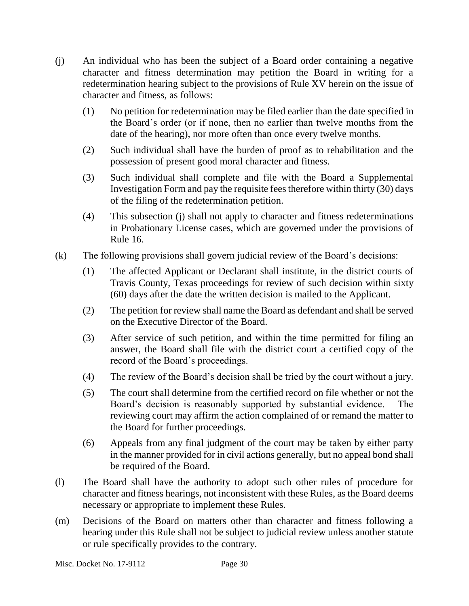- (j) An individual who has been the subject of a Board order containing a negative character and fitness determination may petition the Board in writing for a redetermination hearing subject to the provisions of Rule XV herein on the issue of character and fitness, as follows:
	- (1) No petition for redetermination may be filed earlier than the date specified in the Board's order (or if none, then no earlier than twelve months from the date of the hearing), nor more often than once every twelve months.
	- (2) Such individual shall have the burden of proof as to rehabilitation and the possession of present good moral character and fitness.
	- (3) Such individual shall complete and file with the Board a Supplemental Investigation Form and pay the requisite fees therefore within thirty (30) days of the filing of the redetermination petition.
	- (4) This subsection (j) shall not apply to character and fitness redeterminations in Probationary License cases, which are governed under the provisions of Rule 16.
- (k) The following provisions shall govern judicial review of the Board's decisions:
	- (1) The affected Applicant or Declarant shall institute, in the district courts of Travis County, Texas proceedings for review of such decision within sixty (60) days after the date the written decision is mailed to the Applicant.
	- (2) The petition for review shall name the Board as defendant and shall be served on the Executive Director of the Board.
	- (3) After service of such petition, and within the time permitted for filing an answer, the Board shall file with the district court a certified copy of the record of the Board's proceedings.
	- (4) The review of the Board's decision shall be tried by the court without a jury.
	- (5) The court shall determine from the certified record on file whether or not the Board's decision is reasonably supported by substantial evidence. The reviewing court may affirm the action complained of or remand the matter to the Board for further proceedings.
	- (6) Appeals from any final judgment of the court may be taken by either party in the manner provided for in civil actions generally, but no appeal bond shall be required of the Board.
- (l) The Board shall have the authority to adopt such other rules of procedure for character and fitness hearings, not inconsistent with these Rules, as the Board deems necessary or appropriate to implement these Rules.
- (m) Decisions of the Board on matters other than character and fitness following a hearing under this Rule shall not be subject to judicial review unless another statute or rule specifically provides to the contrary.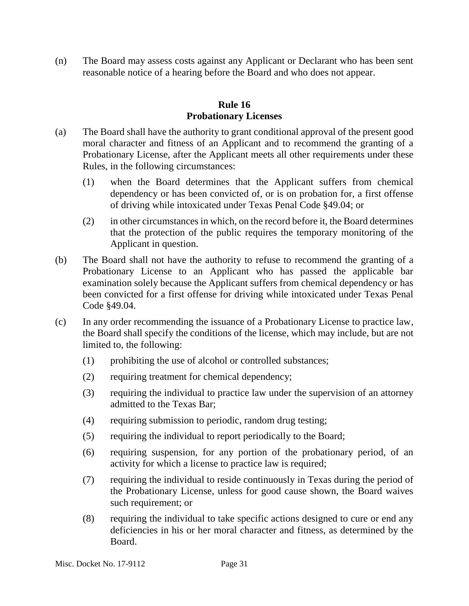(n) The Board may assess costs against any Applicant or Declarant who has been sent reasonable notice of a hearing before the Board and who does not appear.

## **Rule 16 Probationary Licenses**

- (a) The Board shall have the authority to grant conditional approval of the present good moral character and fitness of an Applicant and to recommend the granting of a Probationary License, after the Applicant meets all other requirements under these Rules, in the following circumstances:
	- (1) when the Board determines that the Applicant suffers from chemical dependency or has been convicted of, or is on probation for, a first offense of driving while intoxicated under Texas Penal Code §49.04; or
	- (2) in other circumstances in which, on the record before it, the Board determines that the protection of the public requires the temporary monitoring of the Applicant in question.
- (b) The Board shall not have the authority to refuse to recommend the granting of a Probationary License to an Applicant who has passed the applicable bar examination solely because the Applicant suffers from chemical dependency or has been convicted for a first offense for driving while intoxicated under Texas Penal Code §49.04.
- (c) In any order recommending the issuance of a Probationary License to practice law, the Board shall specify the conditions of the license, which may include, but are not limited to, the following:
	- (1) prohibiting the use of alcohol or controlled substances;
	- (2) requiring treatment for chemical dependency;
	- (3) requiring the individual to practice law under the supervision of an attorney admitted to the Texas Bar;
	- (4) requiring submission to periodic, random drug testing;
	- (5) requiring the individual to report periodically to the Board;
	- (6) requiring suspension, for any portion of the probationary period, of an activity for which a license to practice law is required;
	- (7) requiring the individual to reside continuously in Texas during the period of the Probationary License, unless for good cause shown, the Board waives such requirement; or
	- (8) requiring the individual to take specific actions designed to cure or end any deficiencies in his or her moral character and fitness, as determined by the Board.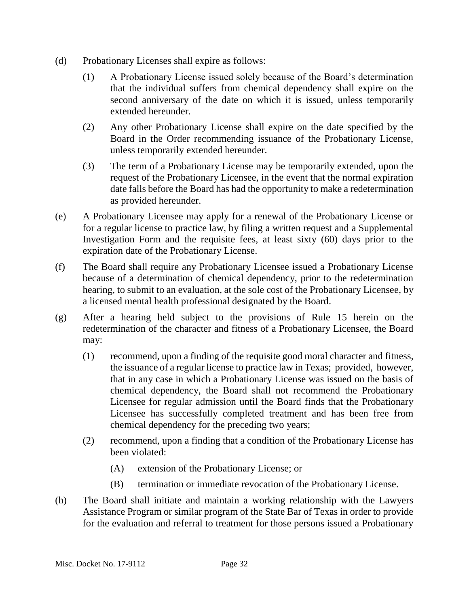- (d) Probationary Licenses shall expire as follows:
	- (1) A Probationary License issued solely because of the Board's determination that the individual suffers from chemical dependency shall expire on the second anniversary of the date on which it is issued, unless temporarily extended hereunder.
	- (2) Any other Probationary License shall expire on the date specified by the Board in the Order recommending issuance of the Probationary License, unless temporarily extended hereunder.
	- (3) The term of a Probationary License may be temporarily extended, upon the request of the Probationary Licensee, in the event that the normal expiration date falls before the Board has had the opportunity to make a redetermination as provided hereunder.
- (e) A Probationary Licensee may apply for a renewal of the Probationary License or for a regular license to practice law, by filing a written request and a Supplemental Investigation Form and the requisite fees, at least sixty (60) days prior to the expiration date of the Probationary License.
- (f) The Board shall require any Probationary Licensee issued a Probationary License because of a determination of chemical dependency, prior to the redetermination hearing, to submit to an evaluation, at the sole cost of the Probationary Licensee, by a licensed mental health professional designated by the Board.
- (g) After a hearing held subject to the provisions of Rule 15 herein on the redetermination of the character and fitness of a Probationary Licensee, the Board may:
	- (1) recommend, upon a finding of the requisite good moral character and fitness, the issuance of a regular license to practice law in Texas; provided, however, that in any case in which a Probationary License was issued on the basis of chemical dependency, the Board shall not recommend the Probationary Licensee for regular admission until the Board finds that the Probationary Licensee has successfully completed treatment and has been free from chemical dependency for the preceding two years;
	- (2) recommend, upon a finding that a condition of the Probationary License has been violated:
		- (A) extension of the Probationary License; or
		- (B) termination or immediate revocation of the Probationary License.
- (h) The Board shall initiate and maintain a working relationship with the Lawyers Assistance Program or similar program of the State Bar of Texas in order to provide for the evaluation and referral to treatment for those persons issued a Probationary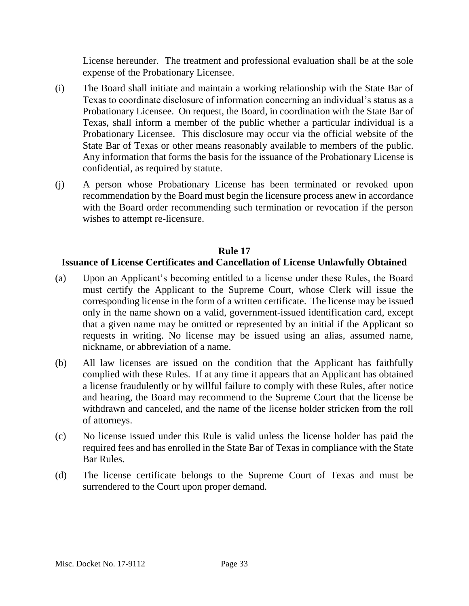License hereunder. The treatment and professional evaluation shall be at the sole expense of the Probationary Licensee.

- (i) The Board shall initiate and maintain a working relationship with the State Bar of Texas to coordinate disclosure of information concerning an individual's status as a Probationary Licensee. On request, the Board, in coordination with the State Bar of Texas, shall inform a member of the public whether a particular individual is a Probationary Licensee. This disclosure may occur via the official website of the State Bar of Texas or other means reasonably available to members of the public. Any information that forms the basis for the issuance of the Probationary License is confidential, as required by statute.
- (j) A person whose Probationary License has been terminated or revoked upon recommendation by the Board must begin the licensure process anew in accordance with the Board order recommending such termination or revocation if the person wishes to attempt re-licensure.

# **Rule 17**

# **Issuance of License Certificates and Cancellation of License Unlawfully Obtained**

- (a) Upon an Applicant's becoming entitled to a license under these Rules, the Board must certify the Applicant to the Supreme Court, whose Clerk will issue the corresponding license in the form of a written certificate. The license may be issued only in the name shown on a valid, government-issued identification card, except that a given name may be omitted or represented by an initial if the Applicant so requests in writing. No license may be issued using an alias, assumed name, nickname, or abbreviation of a name.
- (b) All law licenses are issued on the condition that the Applicant has faithfully complied with these Rules. If at any time it appears that an Applicant has obtained a license fraudulently or by willful failure to comply with these Rules, after notice and hearing, the Board may recommend to the Supreme Court that the license be withdrawn and canceled, and the name of the license holder stricken from the roll of attorneys.
- (c) No license issued under this Rule is valid unless the license holder has paid the required fees and has enrolled in the State Bar of Texas in compliance with the State Bar Rules.
- (d) The license certificate belongs to the Supreme Court of Texas and must be surrendered to the Court upon proper demand.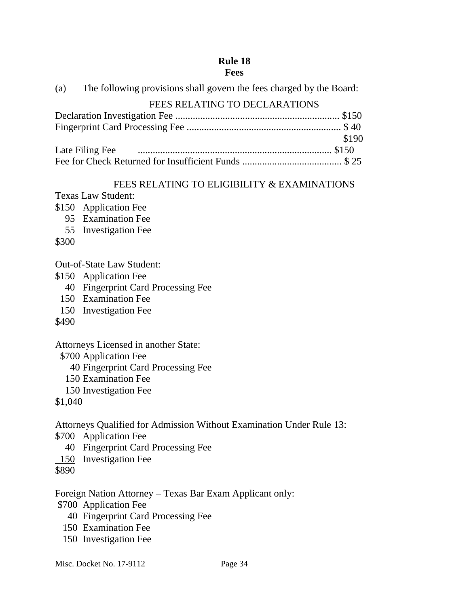#### **Rule 18 Fees**

| (a) |  | The following provisions shall govern the fees charged by the Board: |
|-----|--|----------------------------------------------------------------------|
|     |  |                                                                      |

# FEES RELATING TO DECLARATIONS

| \$190 |
|-------|
|       |
|       |

## FEES RELATING TO ELIGIBILITY & EXAMINATIONS

Texas Law Student:

- \$150 Application Fee
	- 95 Examination Fee
	- 55 Investigation Fee

\$300

Out-of-State Law Student:

- \$150 Application Fee
	- 40 Fingerprint Card Processing Fee
	- 150 Examination Fee
- 150 Investigation Fee

\$490

Attorneys Licensed in another State:

## \$700 Application Fee

- 40 Fingerprint Card Processing Fee
- 150 Examination Fee
- 150 Investigation Fee

\$1,040

Attorneys Qualified for Admission Without Examination Under Rule 13:

- \$700 Application Fee
	- 40 Fingerprint Card Processing Fee
- 150 Investigation Fee

\$890

Foreign Nation Attorney – Texas Bar Exam Applicant only:

- \$700 Application Fee
	- 40 Fingerprint Card Processing Fee
	- 150 Examination Fee
	- 150 Investigation Fee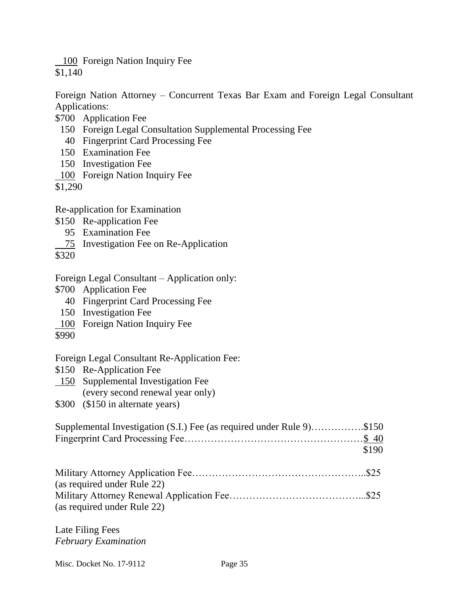100 Foreign Nation Inquiry Fee \$1,140

Foreign Nation Attorney – Concurrent Texas Bar Exam and Foreign Legal Consultant Applications:

- \$700 Application Fee
	- 150 Foreign Legal Consultation Supplemental Processing Fee
	- 40 Fingerprint Card Processing Fee
	- 150 Examination Fee
	- 150 Investigation Fee
- 100 Foreign Nation Inquiry Fee

\$1,290

Re-application for Examination

- \$150 Re-application Fee
	- 95 Examination Fee
	- 75 Investigation Fee on Re-Application

\$320

Foreign Legal Consultant – Application only:

- \$700 Application Fee
	- 40 Fingerprint Card Processing Fee
	- 150 Investigation Fee
	- 100 Foreign Nation Inquiry Fee

\$990

Foreign Legal Consultant Re-Application Fee:

- \$150 Re-Application Fee
- 150 Supplemental Investigation Fee (every second renewal year only)
- \$300 (\$150 in alternate years)

| Supplemental Investigation (S.I.) Fee (as required under Rule 9)\$150 |       |
|-----------------------------------------------------------------------|-------|
|                                                                       |       |
|                                                                       | \$190 |
|                                                                       |       |

Military Attorney Application Fee……………………………………………..\$25 (as required under Rule 22) Military Attorney Renewal Application Fee…………………………………...\$25 (as required under Rule 22)

Late Filing Fees *February Examination*

```
Misc. Docket No. 17-9112 Page 35
```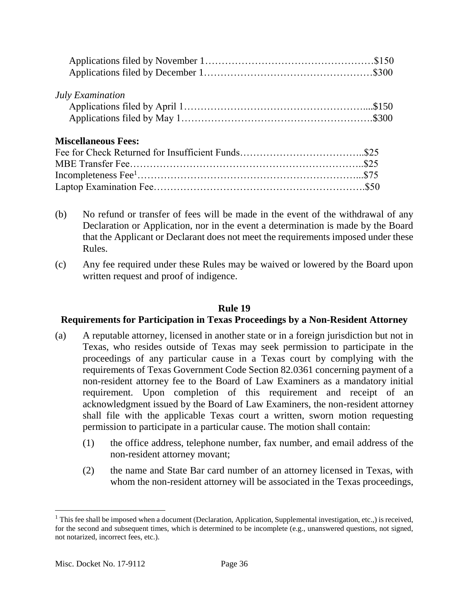| <b>July Examination</b>    |  |
|----------------------------|--|
|                            |  |
|                            |  |
|                            |  |
| <b>Miscellaneous Fees:</b> |  |
|                            |  |
|                            |  |
|                            |  |
|                            |  |

- (b) No refund or transfer of fees will be made in the event of the withdrawal of any Declaration or Application, nor in the event a determination is made by the Board that the Applicant or Declarant does not meet the requirements imposed under these Rules.
- (c) Any fee required under these Rules may be waived or lowered by the Board upon written request and proof of indigence.

## **Rule 19**

## **Requirements for Participation in Texas Proceedings by a Non-Resident Attorney**

- (a) A reputable attorney, licensed in another state or in a foreign jurisdiction but not in Texas, who resides outside of Texas may seek permission to participate in the proceedings of any particular cause in a Texas court by complying with the requirements of Texas Government Code Section 82.0361 concerning payment of a non-resident attorney fee to the Board of Law Examiners as a mandatory initial requirement. Upon completion of this requirement and receipt of an acknowledgment issued by the Board of Law Examiners, the non-resident attorney shall file with the applicable Texas court a written, sworn motion requesting permission to participate in a particular cause. The motion shall contain:
	- (1) the office address, telephone number, fax number, and email address of the non-resident attorney movant;
	- (2) the name and State Bar card number of an attorney licensed in Texas, with whom the non-resident attorney will be associated in the Texas proceedings,

 $\overline{\phantom{a}}$ 

<sup>&</sup>lt;sup>1</sup> This fee shall be imposed when a document (Declaration, Application, Supplemental investigation, etc.,) is received, for the second and subsequent times, which is determined to be incomplete (e.g., unanswered questions, not signed, not notarized, incorrect fees, etc.).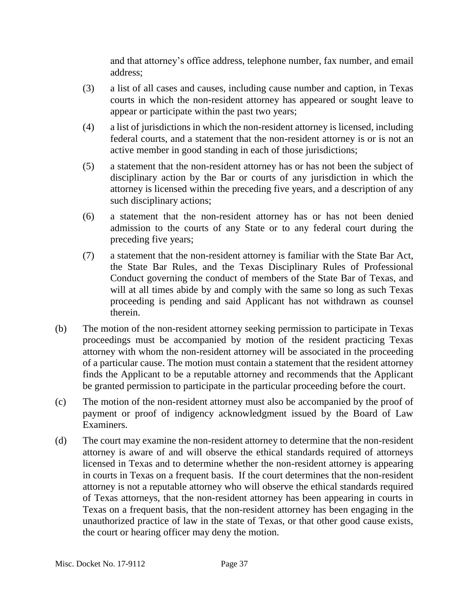and that attorney's office address, telephone number, fax number, and email address;

- (3) a list of all cases and causes, including cause number and caption, in Texas courts in which the non-resident attorney has appeared or sought leave to appear or participate within the past two years;
- (4) a list of jurisdictions in which the non-resident attorney is licensed, including federal courts, and a statement that the non-resident attorney is or is not an active member in good standing in each of those jurisdictions;
- (5) a statement that the non-resident attorney has or has not been the subject of disciplinary action by the Bar or courts of any jurisdiction in which the attorney is licensed within the preceding five years, and a description of any such disciplinary actions;
- (6) a statement that the non-resident attorney has or has not been denied admission to the courts of any State or to any federal court during the preceding five years;
- (7) a statement that the non-resident attorney is familiar with the State Bar Act, the State Bar Rules, and the Texas Disciplinary Rules of Professional Conduct governing the conduct of members of the State Bar of Texas, and will at all times abide by and comply with the same so long as such Texas proceeding is pending and said Applicant has not withdrawn as counsel therein.
- (b) The motion of the non-resident attorney seeking permission to participate in Texas proceedings must be accompanied by motion of the resident practicing Texas attorney with whom the non-resident attorney will be associated in the proceeding of a particular cause. The motion must contain a statement that the resident attorney finds the Applicant to be a reputable attorney and recommends that the Applicant be granted permission to participate in the particular proceeding before the court.
- (c) The motion of the non-resident attorney must also be accompanied by the proof of payment or proof of indigency acknowledgment issued by the Board of Law Examiners.
- (d) The court may examine the non-resident attorney to determine that the non-resident attorney is aware of and will observe the ethical standards required of attorneys licensed in Texas and to determine whether the non-resident attorney is appearing in courts in Texas on a frequent basis. If the court determines that the non-resident attorney is not a reputable attorney who will observe the ethical standards required of Texas attorneys, that the non-resident attorney has been appearing in courts in Texas on a frequent basis, that the non-resident attorney has been engaging in the unauthorized practice of law in the state of Texas, or that other good cause exists, the court or hearing officer may deny the motion.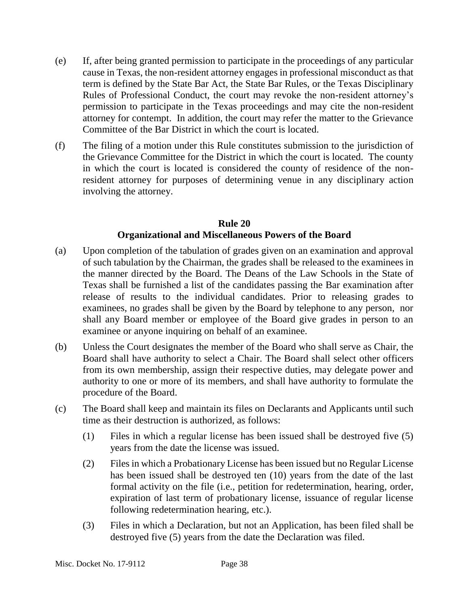- (e) If, after being granted permission to participate in the proceedings of any particular cause in Texas, the non-resident attorney engages in professional misconduct as that term is defined by the State Bar Act, the State Bar Rules, or the Texas Disciplinary Rules of Professional Conduct, the court may revoke the non-resident attorney's permission to participate in the Texas proceedings and may cite the non-resident attorney for contempt. In addition, the court may refer the matter to the Grievance Committee of the Bar District in which the court is located.
- (f) The filing of a motion under this Rule constitutes submission to the jurisdiction of the Grievance Committee for the District in which the court is located. The county in which the court is located is considered the county of residence of the nonresident attorney for purposes of determining venue in any disciplinary action involving the attorney.

#### **Rule 20 Organizational and Miscellaneous Powers of the Board**

- (a) Upon completion of the tabulation of grades given on an examination and approval of such tabulation by the Chairman, the grades shall be released to the examinees in the manner directed by the Board. The Deans of the Law Schools in the State of Texas shall be furnished a list of the candidates passing the Bar examination after release of results to the individual candidates. Prior to releasing grades to examinees, no grades shall be given by the Board by telephone to any person, nor shall any Board member or employee of the Board give grades in person to an examinee or anyone inquiring on behalf of an examinee.
- (b) Unless the Court designates the member of the Board who shall serve as Chair, the Board shall have authority to select a Chair. The Board shall select other officers from its own membership, assign their respective duties, may delegate power and authority to one or more of its members, and shall have authority to formulate the procedure of the Board.
- (c) The Board shall keep and maintain its files on Declarants and Applicants until such time as their destruction is authorized, as follows:
	- (1) Files in which a regular license has been issued shall be destroyed five (5) years from the date the license was issued.
	- (2) Files in which a Probationary License has been issued but no Regular License has been issued shall be destroyed ten (10) years from the date of the last formal activity on the file (i.e., petition for redetermination, hearing, order, expiration of last term of probationary license, issuance of regular license following redetermination hearing, etc.).
	- (3) Files in which a Declaration, but not an Application, has been filed shall be destroyed five (5) years from the date the Declaration was filed.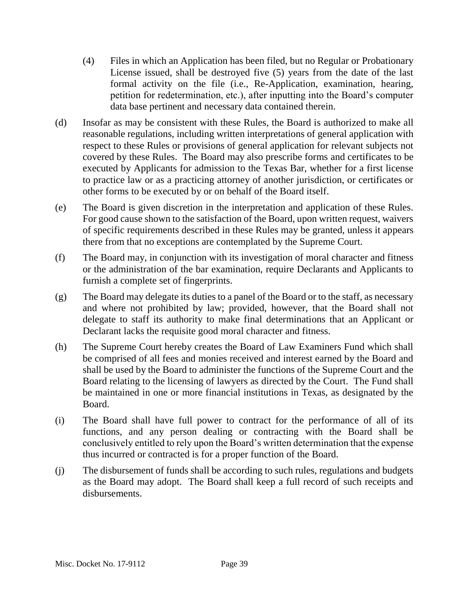- (4) Files in which an Application has been filed, but no Regular or Probationary License issued, shall be destroyed five (5) years from the date of the last formal activity on the file (i.e., Re-Application, examination, hearing, petition for redetermination, etc.), after inputting into the Board's computer data base pertinent and necessary data contained therein.
- (d) Insofar as may be consistent with these Rules, the Board is authorized to make all reasonable regulations, including written interpretations of general application with respect to these Rules or provisions of general application for relevant subjects not covered by these Rules. The Board may also prescribe forms and certificates to be executed by Applicants for admission to the Texas Bar, whether for a first license to practice law or as a practicing attorney of another jurisdiction, or certificates or other forms to be executed by or on behalf of the Board itself.
- (e) The Board is given discretion in the interpretation and application of these Rules. For good cause shown to the satisfaction of the Board, upon written request, waivers of specific requirements described in these Rules may be granted, unless it appears there from that no exceptions are contemplated by the Supreme Court.
- (f) The Board may, in conjunction with its investigation of moral character and fitness or the administration of the bar examination, require Declarants and Applicants to furnish a complete set of fingerprints.
- (g) The Board may delegate its duties to a panel of the Board or to the staff, as necessary and where not prohibited by law; provided, however, that the Board shall not delegate to staff its authority to make final determinations that an Applicant or Declarant lacks the requisite good moral character and fitness.
- (h) The Supreme Court hereby creates the Board of Law Examiners Fund which shall be comprised of all fees and monies received and interest earned by the Board and shall be used by the Board to administer the functions of the Supreme Court and the Board relating to the licensing of lawyers as directed by the Court. The Fund shall be maintained in one or more financial institutions in Texas, as designated by the Board.
- (i) The Board shall have full power to contract for the performance of all of its functions, and any person dealing or contracting with the Board shall be conclusively entitled to rely upon the Board's written determination that the expense thus incurred or contracted is for a proper function of the Board.
- (j) The disbursement of funds shall be according to such rules, regulations and budgets as the Board may adopt. The Board shall keep a full record of such receipts and disbursements.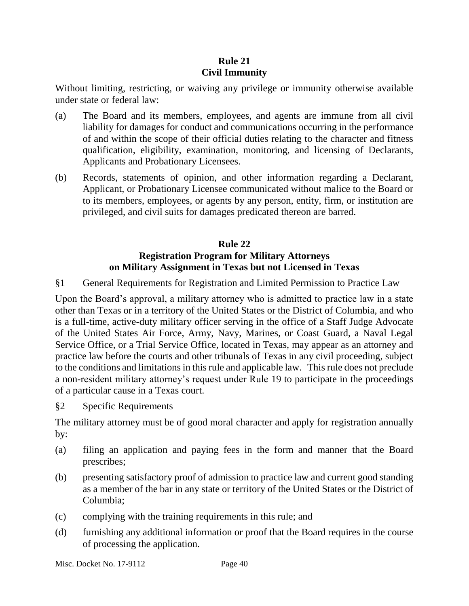## **Rule 21 Civil Immunity**

Without limiting, restricting, or waiving any privilege or immunity otherwise available under state or federal law:

- (a) The Board and its members, employees, and agents are immune from all civil liability for damages for conduct and communications occurring in the performance of and within the scope of their official duties relating to the character and fitness qualification, eligibility, examination, monitoring, and licensing of Declarants, Applicants and Probationary Licensees.
- (b) Records, statements of opinion, and other information regarding a Declarant, Applicant, or Probationary Licensee communicated without malice to the Board or to its members, employees, or agents by any person, entity, firm, or institution are privileged, and civil suits for damages predicated thereon are barred.

## **Rule 22 Registration Program for Military Attorneys on Military Assignment in Texas but not Licensed in Texas**

§1 General Requirements for Registration and Limited Permission to Practice Law

Upon the Board's approval, a military attorney who is admitted to practice law in a state other than Texas or in a territory of the United States or the District of Columbia, and who is a full-time, active-duty military officer serving in the office of a Staff Judge Advocate of the United States Air Force, Army, Navy, Marines, or Coast Guard, a Naval Legal Service Office, or a Trial Service Office, located in Texas, may appear as an attorney and practice law before the courts and other tribunals of Texas in any civil proceeding, subject to the conditions and limitations in this rule and applicable law. This rule does not preclude a non-resident military attorney's request under Rule 19 to participate in the proceedings of a particular cause in a Texas court.

§2 Specific Requirements

The military attorney must be of good moral character and apply for registration annually by:

- (a) filing an application and paying fees in the form and manner that the Board prescribes;
- (b) presenting satisfactory proof of admission to practice law and current good standing as a member of the bar in any state or territory of the United States or the District of Columbia;
- (c) complying with the training requirements in this rule; and
- (d) furnishing any additional information or proof that the Board requires in the course of processing the application.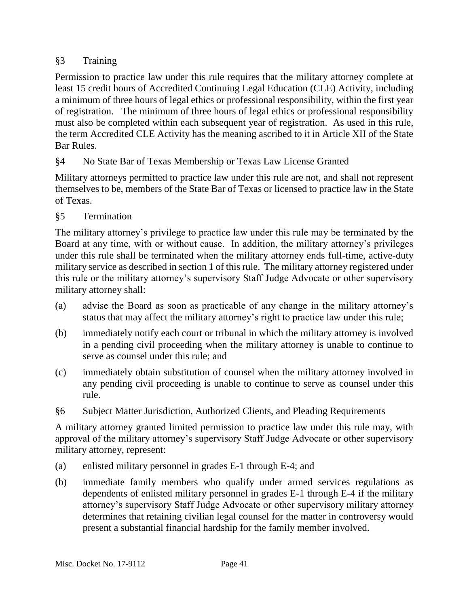## §3 Training

Permission to practice law under this rule requires that the military attorney complete at least 15 credit hours of Accredited Continuing Legal Education (CLE) Activity, including a minimum of three hours of legal ethics or professional responsibility, within the first year of registration. The minimum of three hours of legal ethics or professional responsibility must also be completed within each subsequent year of registration. As used in this rule, the term Accredited CLE Activity has the meaning ascribed to it in Article XII of the State Bar Rules.

# §4 No State Bar of Texas Membership or Texas Law License Granted

Military attorneys permitted to practice law under this rule are not, and shall not represent themselves to be, members of the State Bar of Texas or licensed to practice law in the State of Texas.

§5 Termination

The military attorney's privilege to practice law under this rule may be terminated by the Board at any time, with or without cause. In addition, the military attorney's privileges under this rule shall be terminated when the military attorney ends full-time, active-duty military service as described in section 1 of this rule. The military attorney registered under this rule or the military attorney's supervisory Staff Judge Advocate or other supervisory military attorney shall:

- (a) advise the Board as soon as practicable of any change in the military attorney's status that may affect the military attorney's right to practice law under this rule;
- (b) immediately notify each court or tribunal in which the military attorney is involved in a pending civil proceeding when the military attorney is unable to continue to serve as counsel under this rule; and
- (c) immediately obtain substitution of counsel when the military attorney involved in any pending civil proceeding is unable to continue to serve as counsel under this rule.
- §6 Subject Matter Jurisdiction, Authorized Clients, and Pleading Requirements

A military attorney granted limited permission to practice law under this rule may, with approval of the military attorney's supervisory Staff Judge Advocate or other supervisory military attorney, represent:

- (a) enlisted military personnel in grades E-1 through E-4; and
- (b) immediate family members who qualify under armed services regulations as dependents of enlisted military personnel in grades E-1 through E-4 if the military attorney's supervisory Staff Judge Advocate or other supervisory military attorney determines that retaining civilian legal counsel for the matter in controversy would present a substantial financial hardship for the family member involved.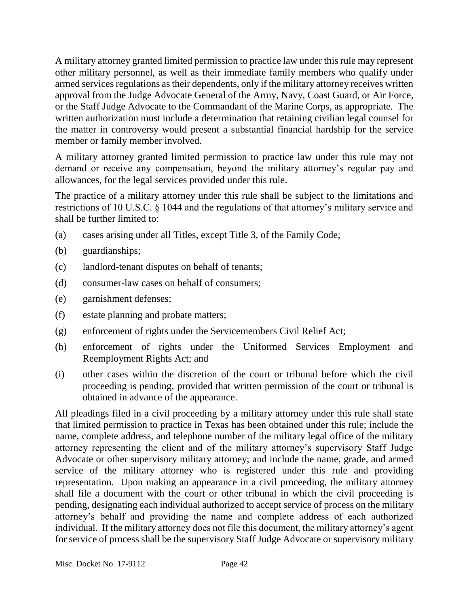A military attorney granted limited permission to practice law under this rule may represent other military personnel, as well as their immediate family members who qualify under armed services regulations as their dependents, only if the military attorney receives written approval from the Judge Advocate General of the Army, Navy, Coast Guard, or Air Force, or the Staff Judge Advocate to the Commandant of the Marine Corps, as appropriate. The written authorization must include a determination that retaining civilian legal counsel for the matter in controversy would present a substantial financial hardship for the service member or family member involved.

A military attorney granted limited permission to practice law under this rule may not demand or receive any compensation, beyond the military attorney's regular pay and allowances, for the legal services provided under this rule.

The practice of a military attorney under this rule shall be subject to the limitations and restrictions of 10 U.S.C. § 1044 and the regulations of that attorney's military service and shall be further limited to:

- (a) cases arising under all Titles, except Title 3, of the Family Code;
- (b) guardianships;
- (c) landlord-tenant disputes on behalf of tenants;
- (d) consumer-law cases on behalf of consumers;
- (e) garnishment defenses;
- (f) estate planning and probate matters;
- (g) enforcement of rights under the Servicemembers Civil Relief Act;
- (h) enforcement of rights under the Uniformed Services Employment and Reemployment Rights Act; and
- (i) other cases within the discretion of the court or tribunal before which the civil proceeding is pending, provided that written permission of the court or tribunal is obtained in advance of the appearance.

All pleadings filed in a civil proceeding by a military attorney under this rule shall state that limited permission to practice in Texas has been obtained under this rule; include the name, complete address, and telephone number of the military legal office of the military attorney representing the client and of the military attorney's supervisory Staff Judge Advocate or other supervisory military attorney; and include the name, grade, and armed service of the military attorney who is registered under this rule and providing representation. Upon making an appearance in a civil proceeding, the military attorney shall file a document with the court or other tribunal in which the civil proceeding is pending, designating each individual authorized to accept service of process on the military attorney's behalf and providing the name and complete address of each authorized individual. If the military attorney does not file this document, the military attorney's agent for service of process shall be the supervisory Staff Judge Advocate or supervisory military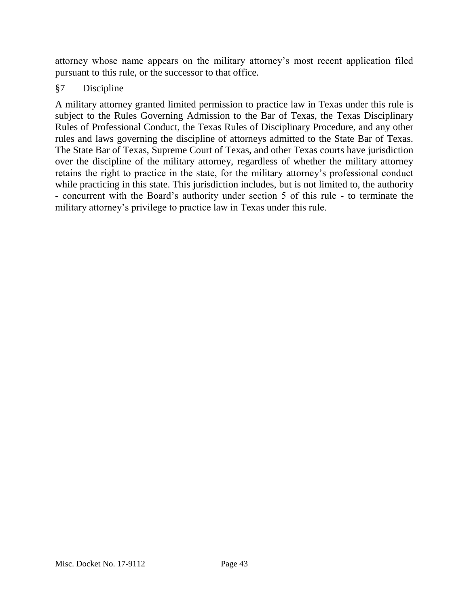attorney whose name appears on the military attorney's most recent application filed pursuant to this rule, or the successor to that office.

## §7 Discipline

A military attorney granted limited permission to practice law in Texas under this rule is subject to the Rules Governing Admission to the Bar of Texas, the Texas Disciplinary Rules of Professional Conduct, the Texas Rules of Disciplinary Procedure, and any other rules and laws governing the discipline of attorneys admitted to the State Bar of Texas. The State Bar of Texas, Supreme Court of Texas, and other Texas courts have jurisdiction over the discipline of the military attorney, regardless of whether the military attorney retains the right to practice in the state, for the military attorney's professional conduct while practicing in this state. This jurisdiction includes, but is not limited to, the authority - concurrent with the Board's authority under section 5 of this rule - to terminate the military attorney's privilege to practice law in Texas under this rule.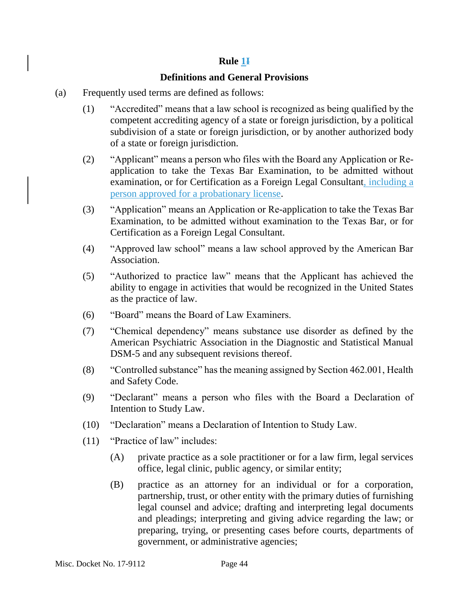#### **Rule 1I**

#### **Definitions and General Provisions**

- (a) Frequently used terms are defined as follows:
	- (1) "Accredited" means that a law school is recognized as being qualified by the competent accrediting agency of a state or foreign jurisdiction, by a political subdivision of a state or foreign jurisdiction, or by another authorized body of a state or foreign jurisdiction.
	- (2) "Applicant" means a person who files with the Board any Application or Reapplication to take the Texas Bar Examination, to be admitted without examination, or for Certification as a Foreign Legal Consultant, including a person approved for a probationary license.
	- (3) "Application" means an Application or Re-application to take the Texas Bar Examination, to be admitted without examination to the Texas Bar, or for Certification as a Foreign Legal Consultant.
	- (4) "Approved law school" means a law school approved by the American Bar Association.
	- (5) "Authorized to practice law" means that the Applicant has achieved the ability to engage in activities that would be recognized in the United States as the practice of law.
	- (6) "Board" means the Board of Law Examiners.
	- (7) "Chemical dependency" means substance use disorder as defined by the American Psychiatric Association in the Diagnostic and Statistical Manual DSM-5 and any subsequent revisions thereof.
	- (8) "Controlled substance" has the meaning assigned by Section 462.001, Health and Safety Code.
	- (9) "Declarant" means a person who files with the Board a Declaration of Intention to Study Law.
	- (10) "Declaration" means a Declaration of Intention to Study Law.
	- (11) "Practice of law" includes:
		- (A) private practice as a sole practitioner or for a law firm, legal services office, legal clinic, public agency, or similar entity;
		- (B) practice as an attorney for an individual or for a corporation, partnership, trust, or other entity with the primary duties of furnishing legal counsel and advice; drafting and interpreting legal documents and pleadings; interpreting and giving advice regarding the law; or preparing, trying, or presenting cases before courts, departments of government, or administrative agencies;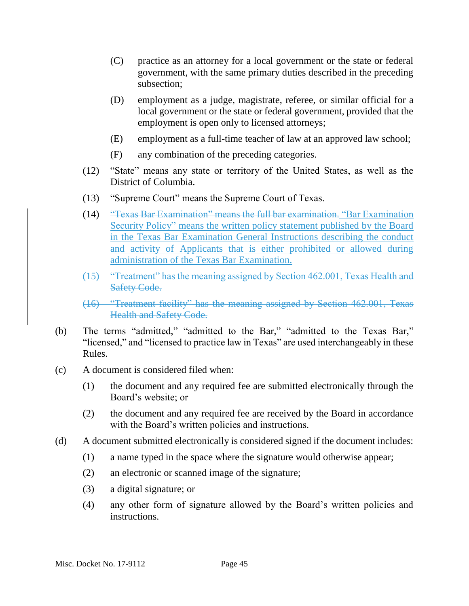- (C) practice as an attorney for a local government or the state or federal government, with the same primary duties described in the preceding subsection;
- (D) employment as a judge, magistrate, referee, or similar official for a local government or the state or federal government, provided that the employment is open only to licensed attorneys;
- (E) employment as a full-time teacher of law at an approved law school;
- (F) any combination of the preceding categories.
- (12) "State" means any state or territory of the United States, as well as the District of Columbia.
- (13) "Supreme Court" means the Supreme Court of Texas.
- (14) "Texas Bar Examination" means the full bar examination. "Bar Examination Security Policy" means the written policy statement published by the Board in the Texas Bar Examination General Instructions describing the conduct and activity of Applicants that is either prohibited or allowed during administration of the Texas Bar Examination.
- (15) "Treatment" has the meaning assigned by Section 462.001, Texas Health and **Safety Code.**
- (16) "Treatment facility" has the meaning assigned by Section 462.001, Texas Health and Safety Code.
- (b) The terms "admitted," "admitted to the Bar," "admitted to the Texas Bar," "licensed," and "licensed to practice law in Texas" are used interchangeably in these Rules.
- (c) A document is considered filed when:
	- (1) the document and any required fee are submitted electronically through the Board's website; or
	- (2) the document and any required fee are received by the Board in accordance with the Board's written policies and instructions.
- (d) A document submitted electronically is considered signed if the document includes:
	- (1) a name typed in the space where the signature would otherwise appear;
	- (2) an electronic or scanned image of the signature;
	- (3) a digital signature; or
	- (4) any other form of signature allowed by the Board's written policies and instructions.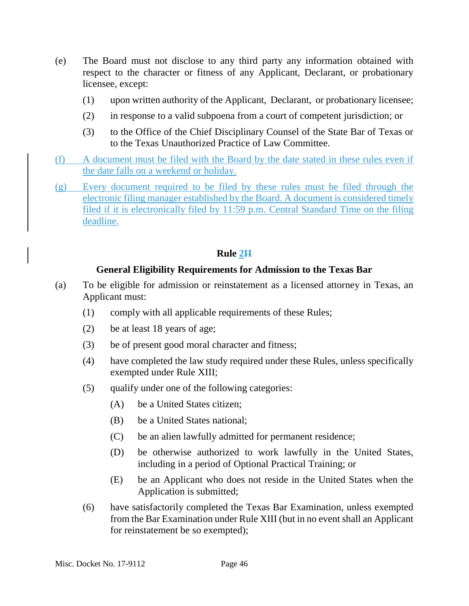- (e) The Board must not disclose to any third party any information obtained with respect to the character or fitness of any Applicant, Declarant, or probationary licensee, except:
	- (1) upon written authority of the Applicant, Declarant, or probationary licensee;
	- (2) in response to a valid subpoena from a court of competent jurisdiction; or
	- (3) to the Office of the Chief Disciplinary Counsel of the State Bar of Texas or to the Texas Unauthorized Practice of Law Committee.
- (f) A document must be filed with the Board by the date stated in these rules even if the date falls on a weekend or holiday.
- (g) Every document required to be filed by these rules must be filed through the electronic filing manager established by the Board. A document is considered timely filed if it is electronically filed by 11:59 p.m. Central Standard Time on the filing deadline.

#### **Rule 2II**

#### **General Eligibility Requirements for Admission to the Texas Bar**

- (a) To be eligible for admission or reinstatement as a licensed attorney in Texas, an Applicant must:
	- (1) comply with all applicable requirements of these Rules;
	- (2) be at least 18 years of age;
	- (3) be of present good moral character and fitness;
	- (4) have completed the law study required under these Rules, unless specifically exempted under Rule XIII;
	- (5) qualify under one of the following categories:
		- (A) be a United States citizen;
		- (B) be a United States national;
		- (C) be an alien lawfully admitted for permanent residence;
		- (D) be otherwise authorized to work lawfully in the United States, including in a period of Optional Practical Training; or
		- (E) be an Applicant who does not reside in the United States when the Application is submitted;
	- (6) have satisfactorily completed the Texas Bar Examination, unless exempted from the Bar Examination under Rule XIII (but in no event shall an Applicant for reinstatement be so exempted);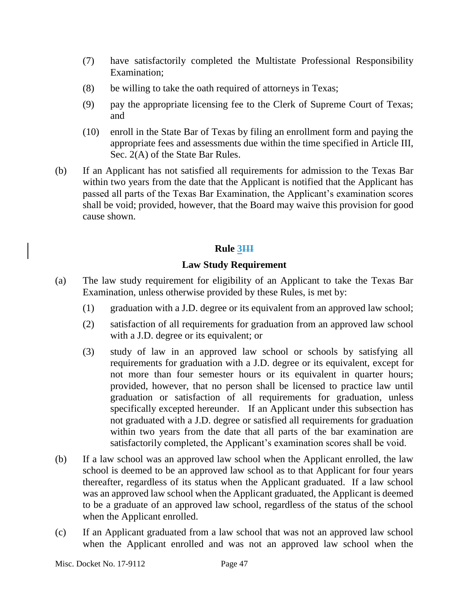- (7) have satisfactorily completed the Multistate Professional Responsibility Examination;
- (8) be willing to take the oath required of attorneys in Texas;
- (9) pay the appropriate licensing fee to the Clerk of Supreme Court of Texas; and
- (10) enroll in the State Bar of Texas by filing an enrollment form and paying the appropriate fees and assessments due within the time specified in Article III, Sec. 2(A) of the State Bar Rules.
- (b) If an Applicant has not satisfied all requirements for admission to the Texas Bar within two years from the date that the Applicant is notified that the Applicant has passed all parts of the Texas Bar Examination, the Applicant's examination scores shall be void; provided, however, that the Board may waive this provision for good cause shown.

## **Rule 3III**

## **Law Study Requirement**

- (a) The law study requirement for eligibility of an Applicant to take the Texas Bar Examination, unless otherwise provided by these Rules, is met by:
	- (1) graduation with a J.D. degree or its equivalent from an approved law school;
	- (2) satisfaction of all requirements for graduation from an approved law school with a J.D. degree or its equivalent; or
	- (3) study of law in an approved law school or schools by satisfying all requirements for graduation with a J.D. degree or its equivalent, except for not more than four semester hours or its equivalent in quarter hours; provided, however, that no person shall be licensed to practice law until graduation or satisfaction of all requirements for graduation, unless specifically excepted hereunder. If an Applicant under this subsection has not graduated with a J.D. degree or satisfied all requirements for graduation within two years from the date that all parts of the bar examination are satisfactorily completed, the Applicant's examination scores shall be void.
- (b) If a law school was an approved law school when the Applicant enrolled, the law school is deemed to be an approved law school as to that Applicant for four years thereafter, regardless of its status when the Applicant graduated. If a law school was an approved law school when the Applicant graduated, the Applicant is deemed to be a graduate of an approved law school, regardless of the status of the school when the Applicant enrolled.
- (c) If an Applicant graduated from a law school that was not an approved law school when the Applicant enrolled and was not an approved law school when the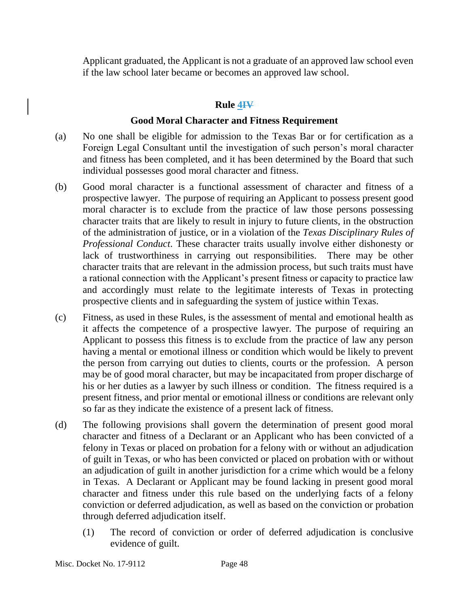Applicant graduated, the Applicant is not a graduate of an approved law school even if the law school later became or becomes an approved law school.

# **Rule 4IV**

### **Good Moral Character and Fitness Requirement**

- (a) No one shall be eligible for admission to the Texas Bar or for certification as a Foreign Legal Consultant until the investigation of such person's moral character and fitness has been completed, and it has been determined by the Board that such individual possesses good moral character and fitness.
- (b) Good moral character is a functional assessment of character and fitness of a prospective lawyer. The purpose of requiring an Applicant to possess present good moral character is to exclude from the practice of law those persons possessing character traits that are likely to result in injury to future clients, in the obstruction of the administration of justice, or in a violation of the *Texas Disciplinary Rules of Professional Conduct*. These character traits usually involve either dishonesty or lack of trustworthiness in carrying out responsibilities. There may be other character traits that are relevant in the admission process, but such traits must have a rational connection with the Applicant's present fitness or capacity to practice law and accordingly must relate to the legitimate interests of Texas in protecting prospective clients and in safeguarding the system of justice within Texas.
- (c) Fitness, as used in these Rules, is the assessment of mental and emotional health as it affects the competence of a prospective lawyer. The purpose of requiring an Applicant to possess this fitness is to exclude from the practice of law any person having a mental or emotional illness or condition which would be likely to prevent the person from carrying out duties to clients, courts or the profession. A person may be of good moral character, but may be incapacitated from proper discharge of his or her duties as a lawyer by such illness or condition. The fitness required is a present fitness, and prior mental or emotional illness or conditions are relevant only so far as they indicate the existence of a present lack of fitness.
- (d) The following provisions shall govern the determination of present good moral character and fitness of a Declarant or an Applicant who has been convicted of a felony in Texas or placed on probation for a felony with or without an adjudication of guilt in Texas, or who has been convicted or placed on probation with or without an adjudication of guilt in another jurisdiction for a crime which would be a felony in Texas. A Declarant or Applicant may be found lacking in present good moral character and fitness under this rule based on the underlying facts of a felony conviction or deferred adjudication, as well as based on the conviction or probation through deferred adjudication itself.
	- (1) The record of conviction or order of deferred adjudication is conclusive evidence of guilt.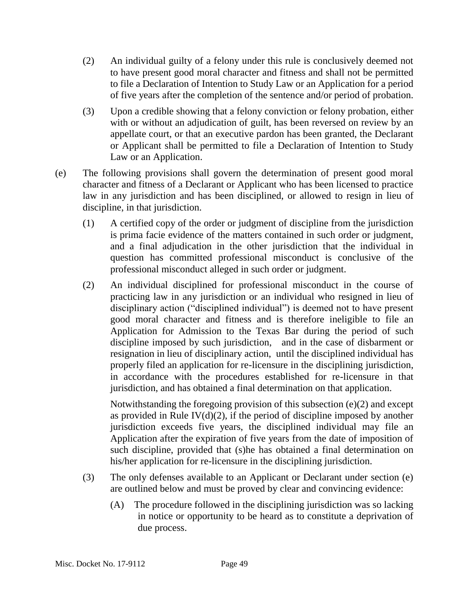- (2) An individual guilty of a felony under this rule is conclusively deemed not to have present good moral character and fitness and shall not be permitted to file a Declaration of Intention to Study Law or an Application for a period of five years after the completion of the sentence and/or period of probation.
- (3) Upon a credible showing that a felony conviction or felony probation, either with or without an adjudication of guilt, has been reversed on review by an appellate court, or that an executive pardon has been granted, the Declarant or Applicant shall be permitted to file a Declaration of Intention to Study Law or an Application.
- (e) The following provisions shall govern the determination of present good moral character and fitness of a Declarant or Applicant who has been licensed to practice law in any jurisdiction and has been disciplined, or allowed to resign in lieu of discipline, in that jurisdiction.
	- (1) A certified copy of the order or judgment of discipline from the jurisdiction is prima facie evidence of the matters contained in such order or judgment, and a final adjudication in the other jurisdiction that the individual in question has committed professional misconduct is conclusive of the professional misconduct alleged in such order or judgment.
	- (2) An individual disciplined for professional misconduct in the course of practicing law in any jurisdiction or an individual who resigned in lieu of disciplinary action ("disciplined individual") is deemed not to have present good moral character and fitness and is therefore ineligible to file an Application for Admission to the Texas Bar during the period of such discipline imposed by such jurisdiction, and in the case of disbarment or resignation in lieu of disciplinary action, until the disciplined individual has properly filed an application for re-licensure in the disciplining jurisdiction, in accordance with the procedures established for re-licensure in that jurisdiction, and has obtained a final determination on that application.

Notwithstanding the foregoing provision of this subsection (e)(2) and except as provided in Rule IV $(d)(2)$ , if the period of discipline imposed by another jurisdiction exceeds five years, the disciplined individual may file an Application after the expiration of five years from the date of imposition of such discipline, provided that (s)he has obtained a final determination on his/her application for re-licensure in the disciplining jurisdiction.

- (3) The only defenses available to an Applicant or Declarant under section (e) are outlined below and must be proved by clear and convincing evidence:
	- (A) The procedure followed in the disciplining jurisdiction was so lacking in notice or opportunity to be heard as to constitute a deprivation of due process.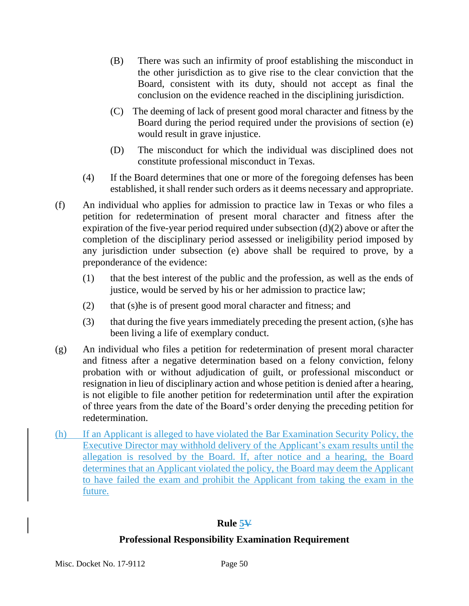- (B) There was such an infirmity of proof establishing the misconduct in the other jurisdiction as to give rise to the clear conviction that the Board, consistent with its duty, should not accept as final the conclusion on the evidence reached in the disciplining jurisdiction.
- (C) The deeming of lack of present good moral character and fitness by the Board during the period required under the provisions of section (e) would result in grave injustice.
- (D) The misconduct for which the individual was disciplined does not constitute professional misconduct in Texas.
- (4) If the Board determines that one or more of the foregoing defenses has been established, it shall render such orders as it deems necessary and appropriate.
- (f) An individual who applies for admission to practice law in Texas or who files a petition for redetermination of present moral character and fitness after the expiration of the five-year period required under subsection (d)(2) above or after the completion of the disciplinary period assessed or ineligibility period imposed by any jurisdiction under subsection (e) above shall be required to prove, by a preponderance of the evidence:
	- (1) that the best interest of the public and the profession, as well as the ends of justice, would be served by his or her admission to practice law;
	- (2) that (s)he is of present good moral character and fitness; and
	- (3) that during the five years immediately preceding the present action, (s)he has been living a life of exemplary conduct.
- (g) An individual who files a petition for redetermination of present moral character and fitness after a negative determination based on a felony conviction, felony probation with or without adjudication of guilt, or professional misconduct or resignation in lieu of disciplinary action and whose petition is denied after a hearing, is not eligible to file another petition for redetermination until after the expiration of three years from the date of the Board's order denying the preceding petition for redetermination.
- (h) If an Applicant is alleged to have violated the Bar Examination Security Policy, the Executive Director may withhold delivery of the Applicant's exam results until the allegation is resolved by the Board. If, after notice and a hearing, the Board determines that an Applicant violated the policy, the Board may deem the Applicant to have failed the exam and prohibit the Applicant from taking the exam in the future.

### **Rule 5V**

### **Professional Responsibility Examination Requirement**

Misc. Docket No. 17-9112 Page 50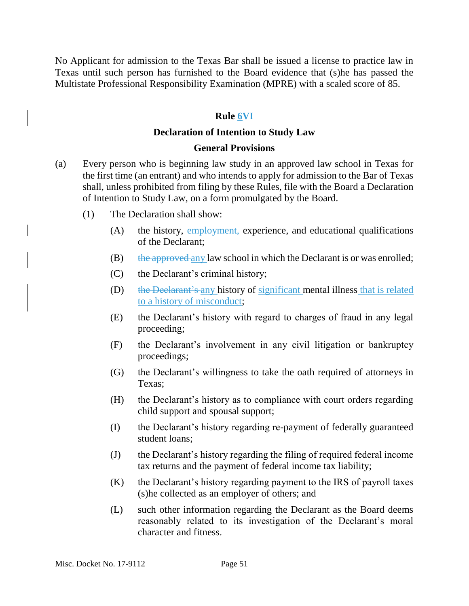No Applicant for admission to the Texas Bar shall be issued a license to practice law in Texas until such person has furnished to the Board evidence that (s)he has passed the Multistate Professional Responsibility Examination (MPRE) with a scaled score of 85.

### **Rule 6VI**

#### **Declaration of Intention to Study Law**

#### **General Provisions**

- (a) Every person who is beginning law study in an approved law school in Texas for the first time (an entrant) and who intends to apply for admission to the Bar of Texas shall, unless prohibited from filing by these Rules, file with the Board a Declaration of Intention to Study Law, on a form promulgated by the Board.
	- (1) The Declaration shall show:
		- (A) the history, employment, experience, and educational qualifications of the Declarant;
		- (B) the approved any law school in which the Declarant is or was enrolled;
		- (C) the Declarant's criminal history;
		- (D) the Declarant's any history of significant mental illness that is related to a history of misconduct;
		- (E) the Declarant's history with regard to charges of fraud in any legal proceeding;
		- (F) the Declarant's involvement in any civil litigation or bankruptcy proceedings;
		- (G) the Declarant's willingness to take the oath required of attorneys in Texas;
		- (H) the Declarant's history as to compliance with court orders regarding child support and spousal support;
		- (I) the Declarant's history regarding re-payment of federally guaranteed student loans;
		- (J) the Declarant's history regarding the filing of required federal income tax returns and the payment of federal income tax liability;
		- (K) the Declarant's history regarding payment to the IRS of payroll taxes (s)he collected as an employer of others; and
		- (L) such other information regarding the Declarant as the Board deems reasonably related to its investigation of the Declarant's moral character and fitness.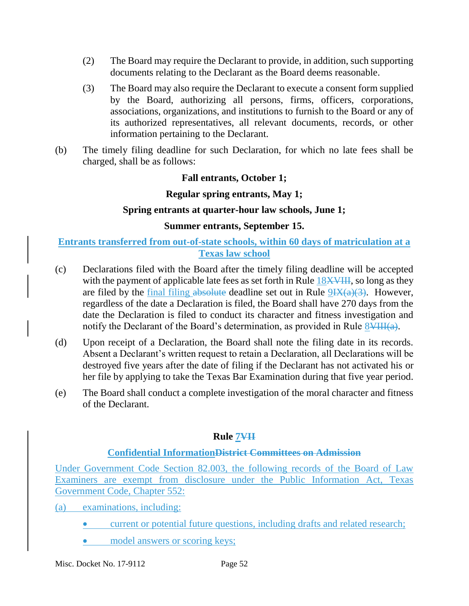- (2) The Board may require the Declarant to provide, in addition, such supporting documents relating to the Declarant as the Board deems reasonable.
- (3) The Board may also require the Declarant to execute a consent form supplied by the Board, authorizing all persons, firms, officers, corporations, associations, organizations, and institutions to furnish to the Board or any of its authorized representatives, all relevant documents, records, or other information pertaining to the Declarant.
- (b) The timely filing deadline for such Declaration, for which no late fees shall be charged, shall be as follows:

### **Fall entrants, October 1;**

#### **Regular spring entrants, May 1;**

### **Spring entrants at quarter-hour law schools, June 1;**

#### **Summer entrants, September 15.**

**Entrants transferred from out-of-state schools, within 60 days of matriculation at a Texas law school**

- (c) Declarations filed with the Board after the timely filing deadline will be accepted with the payment of applicable late fees as set forth in Rule 18<sup>XVIII</sup>, so long as they are filed by the final filing absolute deadline set out in Rule  $9K(a)(3)$ . However, regardless of the date a Declaration is filed, the Board shall have 270 days from the date the Declaration is filed to conduct its character and fitness investigation and notify the Declarant of the Board's determination, as provided in Rule 8<del>VIII(a)</del>.
- (d) Upon receipt of a Declaration, the Board shall note the filing date in its records. Absent a Declarant's written request to retain a Declaration, all Declarations will be destroyed five years after the date of filing if the Declarant has not activated his or her file by applying to take the Texas Bar Examination during that five year period.
- (e) The Board shall conduct a complete investigation of the moral character and fitness of the Declarant.

### **Rule 7VII**

#### **Confidential InformationDistrict Committees on Admission**

Under Government Code Section 82.003, the following records of the Board of Law Examiners are exempt from disclosure under the Public Information Act, Texas Government Code, Chapter 552:

- (a) examinations, including:
	- current or potential future questions, including drafts and related research;
	- model answers or scoring keys;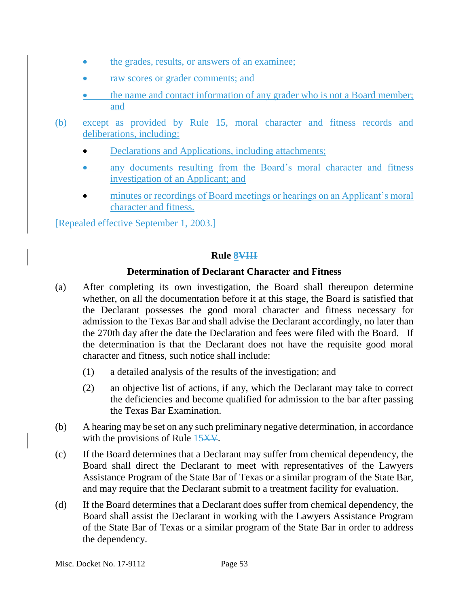- the grades, results, or answers of an examinee;
- raw scores or grader comments; and
- the name and contact information of any grader who is not a Board member; and
- (b) except as provided by Rule 15, moral character and fitness records and deliberations, including:
	- Declarations and Applications, including attachments;
	- any documents resulting from the Board's moral character and fitness investigation of an Applicant; and
	- **e** minutes or recordings of Board meetings or hearings on an Applicant's moral character and fitness.

[Repealed effective September 1, 2003.]

## **Rule 8VIII**

### **Determination of Declarant Character and Fitness**

- (a) After completing its own investigation, the Board shall thereupon determine whether, on all the documentation before it at this stage, the Board is satisfied that the Declarant possesses the good moral character and fitness necessary for admission to the Texas Bar and shall advise the Declarant accordingly, no later than the 270th day after the date the Declaration and fees were filed with the Board. If the determination is that the Declarant does not have the requisite good moral character and fitness, such notice shall include:
	- (1) a detailed analysis of the results of the investigation; and
	- (2) an objective list of actions, if any, which the Declarant may take to correct the deficiencies and become qualified for admission to the bar after passing the Texas Bar Examination.
- (b) A hearing may be set on any such preliminary negative determination, in accordance with the provisions of Rule 15XV.
- (c) If the Board determines that a Declarant may suffer from chemical dependency, the Board shall direct the Declarant to meet with representatives of the Lawyers Assistance Program of the State Bar of Texas or a similar program of the State Bar, and may require that the Declarant submit to a treatment facility for evaluation.
- (d) If the Board determines that a Declarant does suffer from chemical dependency, the Board shall assist the Declarant in working with the Lawyers Assistance Program of the State Bar of Texas or a similar program of the State Bar in order to address the dependency.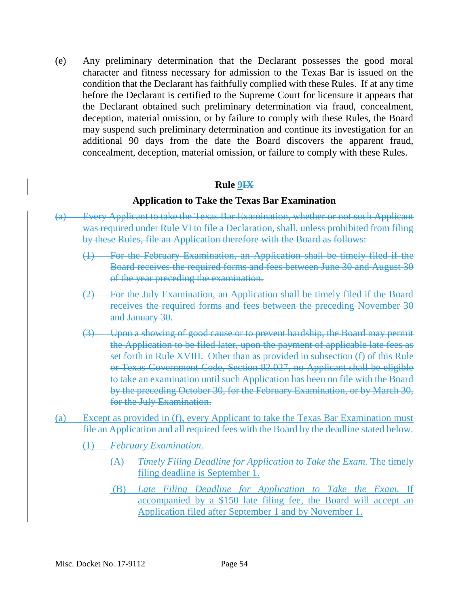(e) Any preliminary determination that the Declarant possesses the good moral character and fitness necessary for admission to the Texas Bar is issued on the condition that the Declarant has faithfully complied with these Rules. If at any time before the Declarant is certified to the Supreme Court for licensure it appears that the Declarant obtained such preliminary determination via fraud, concealment, deception, material omission, or by failure to comply with these Rules, the Board may suspend such preliminary determination and continue its investigation for an additional 90 days from the date the Board discovers the apparent fraud, concealment, deception, material omission, or failure to comply with these Rules.

#### **Rule 9IX**

#### **Application to Take the Texas Bar Examination**

- (a) Every Applicant to take the Texas Bar Examination, whether or not such Applicant was required under Rule VI to file a Declaration, shall, unless prohibited from filing by these Rules, file an Application therefore with the Board as follows:
	- (1) For the February Examination, an Application shall be timely filed if the Board receives the required forms and fees between June 30 and August 30 of the year preceding the examination.
	- (2) For the July Examination, an Application shall be timely filed if the Board receives the required forms and fees between the preceding November 30 and January 30.
	- (3) Upon a showing of good cause or to prevent hardship, the Board may permit the Application to be filed later, upon the payment of applicable late fees as set forth in Rule XVIII. Other than as provided in subsection (f) of this Rule or Texas Government Code, Section 82.027, no Applicant shall be eligible to take an examination until such Application has been on file with the Board by the preceding October 30, for the February Examination, or by March 30, for the July Examination.
- (a) Except as provided in (f), every Applicant to take the Texas Bar Examination must file an Application and all required fees with the Board by the deadline stated below.

(1) *February Examination.*

- (A) *Timely Filing Deadline for Application to Take the Exam.* The timely filing deadline is September 1.
- (B) *Late Filing Deadline for Application to Take the Exam.* If accompanied by a \$150 late filing fee, the Board will accept an Application filed after September 1 and by November 1.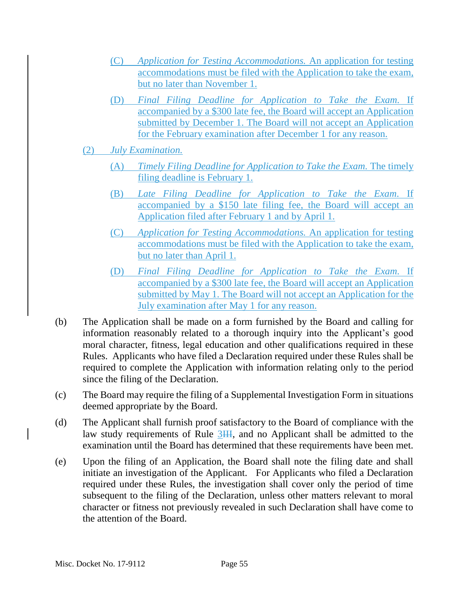- (C) *Application for Testing Accommodations.* An application for testing accommodations must be filed with the Application to take the exam, but no later than November 1.
- (D) *Final Filing Deadline for Application to Take the Exam.* If accompanied by a \$300 late fee, the Board will accept an Application submitted by December 1. The Board will not accept an Application for the February examination after December 1 for any reason.
- (2) *July Examination.*
	- (A) *Timely Filing Deadline for Application to Take the Exam.* The timely filing deadline is February 1.
	- (B) *Late Filing Deadline for Application to Take the Exam.* If accompanied by a \$150 late filing fee, the Board will accept an Application filed after February 1 and by April 1.
	- (C) *Application for Testing Accommodations.* An application for testing accommodations must be filed with the Application to take the exam, but no later than April 1.
	- (D) *Final Filing Deadline for Application to Take the Exam.* If accompanied by a \$300 late fee, the Board will accept an Application submitted by May 1. The Board will not accept an Application for the July examination after May 1 for any reason.
- (b) The Application shall be made on a form furnished by the Board and calling for information reasonably related to a thorough inquiry into the Applicant's good moral character, fitness, legal education and other qualifications required in these Rules. Applicants who have filed a Declaration required under these Rules shall be required to complete the Application with information relating only to the period since the filing of the Declaration.
- (c) The Board may require the filing of a Supplemental Investigation Form in situations deemed appropriate by the Board.
- (d) The Applicant shall furnish proof satisfactory to the Board of compliance with the law study requirements of Rule 3<sup>III</sup>, and no Applicant shall be admitted to the examination until the Board has determined that these requirements have been met.
- (e) Upon the filing of an Application, the Board shall note the filing date and shall initiate an investigation of the Applicant. For Applicants who filed a Declaration required under these Rules, the investigation shall cover only the period of time subsequent to the filing of the Declaration, unless other matters relevant to moral character or fitness not previously revealed in such Declaration shall have come to the attention of the Board.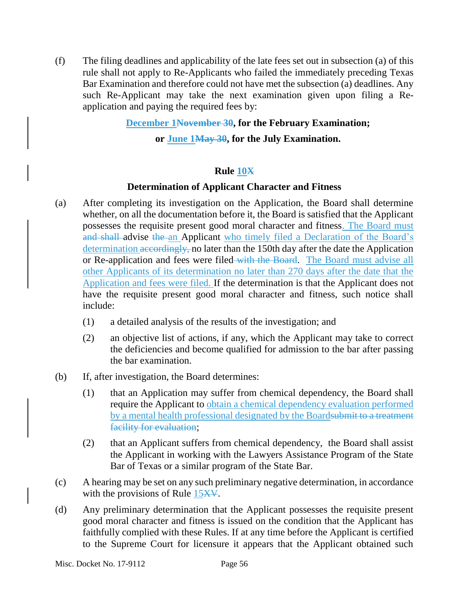(f) The filing deadlines and applicability of the late fees set out in subsection (a) of this rule shall not apply to Re-Applicants who failed the immediately preceding Texas Bar Examination and therefore could not have met the subsection (a) deadlines. Any such Re-Applicant may take the next examination given upon filing a Reapplication and paying the required fees by:

> **December 1November 30, for the February Examination; or June 1May 30, for the July Examination.**

## **Rule 10X**

### **Determination of Applicant Character and Fitness**

- (a) After completing its investigation on the Application, the Board shall determine whether, on all the documentation before it, the Board is satisfied that the Applicant possesses the requisite present good moral character and fitness. The Board must and shall advise the an Applicant who timely filed a Declaration of the Board's determination accordingly, no later than the 150th day after the date the Application or Re-application and fees were filed with the Board. The Board must advise all other Applicants of its determination no later than 270 days after the date that the Application and fees were filed. If the determination is that the Applicant does not have the requisite present good moral character and fitness, such notice shall include:
	- (1) a detailed analysis of the results of the investigation; and
	- (2) an objective list of actions, if any, which the Applicant may take to correct the deficiencies and become qualified for admission to the bar after passing the bar examination.
- (b) If, after investigation, the Board determines:
	- (1) that an Application may suffer from chemical dependency, the Board shall require the Applicant to obtain a chemical dependency evaluation performed by a mental health professional designated by the Boardsubmit to a treatment facility for evaluation;
	- (2) that an Applicant suffers from chemical dependency, the Board shall assist the Applicant in working with the Lawyers Assistance Program of the State Bar of Texas or a similar program of the State Bar.
- (c) A hearing may be set on any such preliminary negative determination, in accordance with the provisions of Rule 15XV.
- (d) Any preliminary determination that the Applicant possesses the requisite present good moral character and fitness is issued on the condition that the Applicant has faithfully complied with these Rules. If at any time before the Applicant is certified to the Supreme Court for licensure it appears that the Applicant obtained such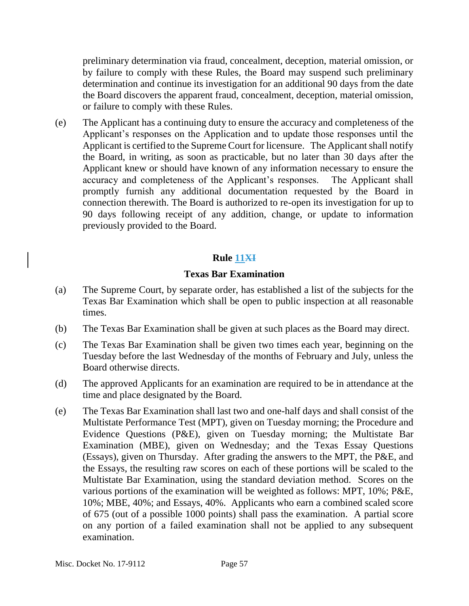preliminary determination via fraud, concealment, deception, material omission, or by failure to comply with these Rules, the Board may suspend such preliminary determination and continue its investigation for an additional 90 days from the date the Board discovers the apparent fraud, concealment, deception, material omission, or failure to comply with these Rules.

(e) The Applicant has a continuing duty to ensure the accuracy and completeness of the Applicant's responses on the Application and to update those responses until the Applicant is certified to the Supreme Court for licensure. The Applicant shall notify the Board, in writing, as soon as practicable, but no later than 30 days after the Applicant knew or should have known of any information necessary to ensure the accuracy and completeness of the Applicant's responses. The Applicant shall promptly furnish any additional documentation requested by the Board in connection therewith. The Board is authorized to re-open its investigation for up to 90 days following receipt of any addition, change, or update to information previously provided to the Board.

## **Rule 11XI**

#### **Texas Bar Examination**

- (a) The Supreme Court, by separate order, has established a list of the subjects for the Texas Bar Examination which shall be open to public inspection at all reasonable times.
- (b) The Texas Bar Examination shall be given at such places as the Board may direct.
- (c) The Texas Bar Examination shall be given two times each year, beginning on the Tuesday before the last Wednesday of the months of February and July, unless the Board otherwise directs.
- (d) The approved Applicants for an examination are required to be in attendance at the time and place designated by the Board.
- (e) The Texas Bar Examination shall last two and one-half days and shall consist of the Multistate Performance Test (MPT), given on Tuesday morning; the Procedure and Evidence Questions (P&E), given on Tuesday morning; the Multistate Bar Examination (MBE), given on Wednesday; and the Texas Essay Questions (Essays), given on Thursday. After grading the answers to the MPT, the P&E, and the Essays, the resulting raw scores on each of these portions will be scaled to the Multistate Bar Examination, using the standard deviation method. Scores on the various portions of the examination will be weighted as follows: MPT, 10%; P&E, 10%; MBE, 40%; and Essays, 40%. Applicants who earn a combined scaled score of 675 (out of a possible 1000 points) shall pass the examination. A partial score on any portion of a failed examination shall not be applied to any subsequent examination.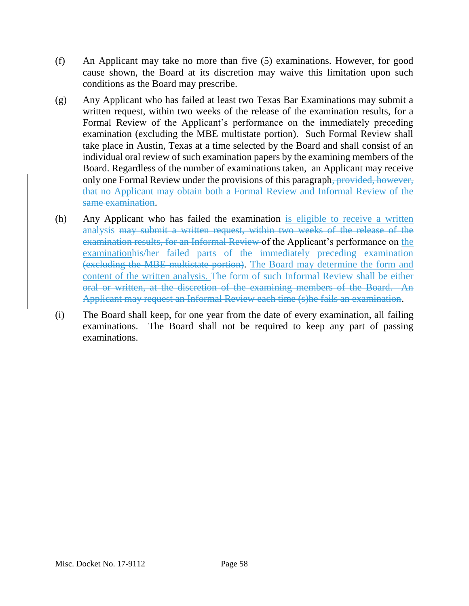- (f) An Applicant may take no more than five (5) examinations. However, for good cause shown, the Board at its discretion may waive this limitation upon such conditions as the Board may prescribe.
- (g) Any Applicant who has failed at least two Texas Bar Examinations may submit a written request, within two weeks of the release of the examination results, for a Formal Review of the Applicant's performance on the immediately preceding examination (excluding the MBE multistate portion). Such Formal Review shall take place in Austin, Texas at a time selected by the Board and shall consist of an individual oral review of such examination papers by the examining members of the Board. Regardless of the number of examinations taken, an Applicant may receive only one Formal Review under the provisions of this paragraph, provided, however, that no Applicant may obtain both a Formal Review and Informal Review of the same examination.
- (h) Any Applicant who has failed the examination is eligible to receive a written analysis may submit a written request, within two weeks of the release of the examination results, for an Informal Review of the Applicant's performance on the examinationhis/her failed parts of the immediately preceding examination (excluding the MBE multistate portion). The Board may determine the form and content of the written analysis. The form of such Informal Review shall be either oral or written, at the discretion of the examining members of the Board. An Applicant may request an Informal Review each time (s)he fails an examination.
- (i) The Board shall keep, for one year from the date of every examination, all failing examinations. The Board shall not be required to keep any part of passing examinations.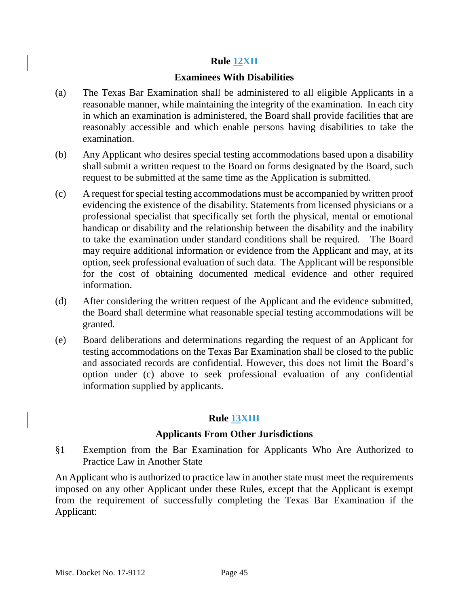#### **Rule 12XII**

#### **Examinees With Disabilities**

- (a) The Texas Bar Examination shall be administered to all eligible Applicants in a reasonable manner, while maintaining the integrity of the examination. In each city in which an examination is administered, the Board shall provide facilities that are reasonably accessible and which enable persons having disabilities to take the examination.
- (b) Any Applicant who desires special testing accommodations based upon a disability shall submit a written request to the Board on forms designated by the Board, such request to be submitted at the same time as the Application is submitted.
- (c) A request for special testing accommodations must be accompanied by written proof evidencing the existence of the disability. Statements from licensed physicians or a professional specialist that specifically set forth the physical, mental or emotional handicap or disability and the relationship between the disability and the inability to take the examination under standard conditions shall be required. The Board may require additional information or evidence from the Applicant and may, at its option, seek professional evaluation of such data. The Applicant will be responsible for the cost of obtaining documented medical evidence and other required information.
- (d) After considering the written request of the Applicant and the evidence submitted, the Board shall determine what reasonable special testing accommodations will be granted.
- (e) Board deliberations and determinations regarding the request of an Applicant for testing accommodations on the Texas Bar Examination shall be closed to the public and associated records are confidential. However, this does not limit the Board's option under (c) above to seek professional evaluation of any confidential information supplied by applicants.

# **Rule 13XIII**

### **Applicants From Other Jurisdictions**

§1 Exemption from the Bar Examination for Applicants Who Are Authorized to Practice Law in Another State

An Applicant who is authorized to practice law in another state must meet the requirements imposed on any other Applicant under these Rules, except that the Applicant is exempt from the requirement of successfully completing the Texas Bar Examination if the Applicant: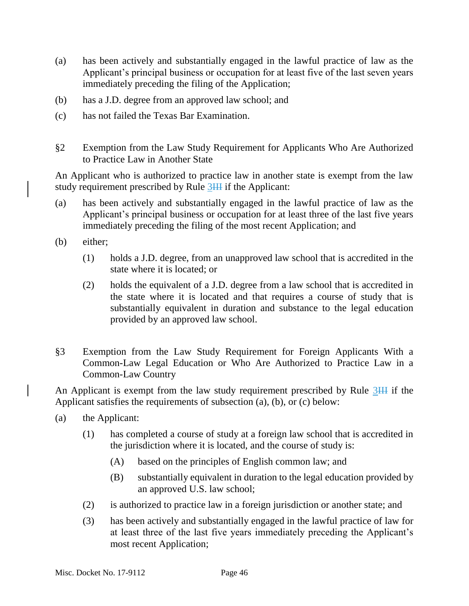- (a) has been actively and substantially engaged in the lawful practice of law as the Applicant's principal business or occupation for at least five of the last seven years immediately preceding the filing of the Application;
- (b) has a J.D. degree from an approved law school; and
- (c) has not failed the Texas Bar Examination.
- §2 Exemption from the Law Study Requirement for Applicants Who Are Authorized to Practice Law in Another State

An Applicant who is authorized to practice law in another state is exempt from the law study requirement prescribed by Rule 3HH if the Applicant:

- (a) has been actively and substantially engaged in the lawful practice of law as the Applicant's principal business or occupation for at least three of the last five years immediately preceding the filing of the most recent Application; and
- (b) either;
	- (1) holds a J.D. degree, from an unapproved law school that is accredited in the state where it is located; or
	- (2) holds the equivalent of a J.D. degree from a law school that is accredited in the state where it is located and that requires a course of study that is substantially equivalent in duration and substance to the legal education provided by an approved law school.
- §3 Exemption from the Law Study Requirement for Foreign Applicants With a Common-Law Legal Education or Who Are Authorized to Practice Law in a Common-Law Country

An Applicant is exempt from the law study requirement prescribed by Rule  $3\text{H}$  if the Applicant satisfies the requirements of subsection (a), (b), or (c) below:

- (a) the Applicant:
	- (1) has completed a course of study at a foreign law school that is accredited in the jurisdiction where it is located, and the course of study is:
		- (A) based on the principles of English common law; and
		- (B) substantially equivalent in duration to the legal education provided by an approved U.S. law school;
	- (2) is authorized to practice law in a foreign jurisdiction or another state; and
	- (3) has been actively and substantially engaged in the lawful practice of law for at least three of the last five years immediately preceding the Applicant's most recent Application;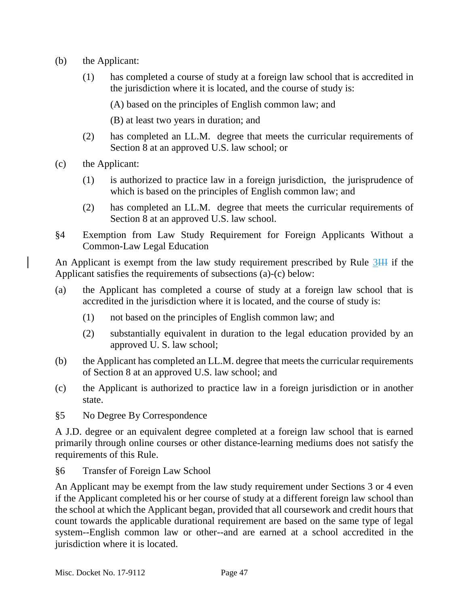- (b) the Applicant:
	- (1) has completed a course of study at a foreign law school that is accredited in the jurisdiction where it is located, and the course of study is:
		- (A) based on the principles of English common law; and
		- (B) at least two years in duration; and
	- (2) has completed an LL.M. degree that meets the curricular requirements of Section 8 at an approved U.S. law school; or
- (c) the Applicant:
	- (1) is authorized to practice law in a foreign jurisdiction, the jurisprudence of which is based on the principles of English common law; and
	- (2) has completed an LL.M. degree that meets the curricular requirements of Section 8 at an approved U.S. law school.
- §4 Exemption from Law Study Requirement for Foreign Applicants Without a Common-Law Legal Education

An Applicant is exempt from the law study requirement prescribed by Rule  $3\text{H}$  if the Applicant satisfies the requirements of subsections (a)-(c) below:

- (a) the Applicant has completed a course of study at a foreign law school that is accredited in the jurisdiction where it is located, and the course of study is:
	- (1) not based on the principles of English common law; and
	- (2) substantially equivalent in duration to the legal education provided by an approved U. S. law school;
- (b) the Applicant has completed an LL.M. degree that meets the curricular requirements of Section 8 at an approved U.S. law school; and
- (c) the Applicant is authorized to practice law in a foreign jurisdiction or in another state.
- §5 No Degree By Correspondence

A J.D. degree or an equivalent degree completed at a foreign law school that is earned primarily through online courses or other distance-learning mediums does not satisfy the requirements of this Rule.

§6 Transfer of Foreign Law School

An Applicant may be exempt from the law study requirement under Sections 3 or 4 even if the Applicant completed his or her course of study at a different foreign law school than the school at which the Applicant began, provided that all coursework and credit hours that count towards the applicable durational requirement are based on the same type of legal system--English common law or other--and are earned at a school accredited in the jurisdiction where it is located.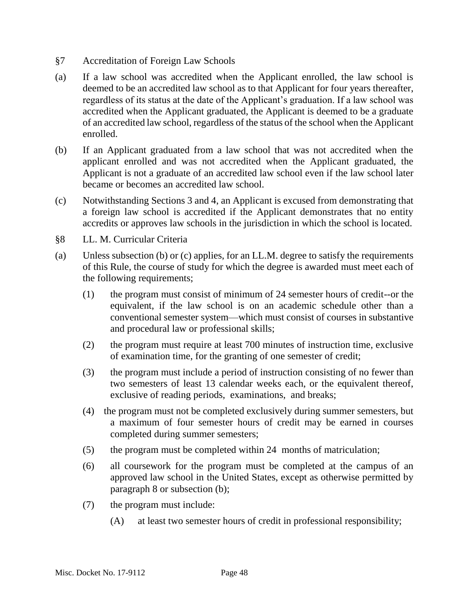- §7 Accreditation of Foreign Law Schools
- (a) If a law school was accredited when the Applicant enrolled, the law school is deemed to be an accredited law school as to that Applicant for four years thereafter, regardless of its status at the date of the Applicant's graduation. If a law school was accredited when the Applicant graduated, the Applicant is deemed to be a graduate of an accredited law school, regardless of the status of the school when the Applicant enrolled.
- (b) If an Applicant graduated from a law school that was not accredited when the applicant enrolled and was not accredited when the Applicant graduated, the Applicant is not a graduate of an accredited law school even if the law school later became or becomes an accredited law school.
- (c) Notwithstanding Sections 3 and 4, an Applicant is excused from demonstrating that a foreign law school is accredited if the Applicant demonstrates that no entity accredits or approves law schools in the jurisdiction in which the school is located.
- §8 LL. M. Curricular Criteria
- (a) Unless subsection (b) or (c) applies, for an LL.M. degree to satisfy the requirements of this Rule, the course of study for which the degree is awarded must meet each of the following requirements;
	- (1) the program must consist of minimum of 24 semester hours of credit--or the equivalent, if the law school is on an academic schedule other than a conventional semester system—which must consist of courses in substantive and procedural law or professional skills;
	- (2) the program must require at least 700 minutes of instruction time, exclusive of examination time, for the granting of one semester of credit;
	- (3) the program must include a period of instruction consisting of no fewer than two semesters of least 13 calendar weeks each, or the equivalent thereof, exclusive of reading periods, examinations, and breaks;
	- (4) the program must not be completed exclusively during summer semesters, but a maximum of four semester hours of credit may be earned in courses completed during summer semesters;
	- (5) the program must be completed within 24 months of matriculation;
	- (6) all coursework for the program must be completed at the campus of an approved law school in the United States, except as otherwise permitted by paragraph 8 or subsection (b);
	- (7) the program must include:
		- (A) at least two semester hours of credit in professional responsibility;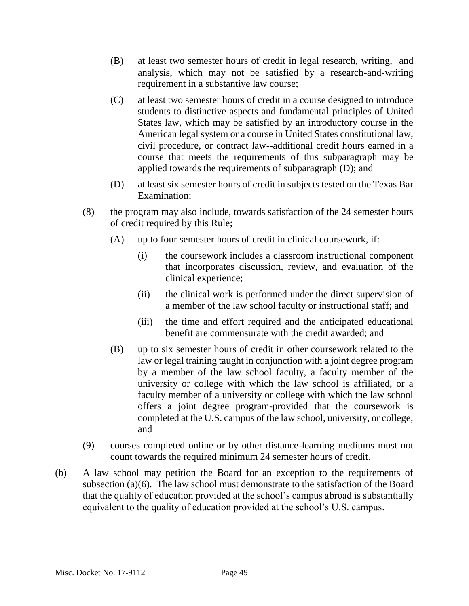- (B) at least two semester hours of credit in legal research, writing, and analysis, which may not be satisfied by a research-and-writing requirement in a substantive law course;
- (C) at least two semester hours of credit in a course designed to introduce students to distinctive aspects and fundamental principles of United States law, which may be satisfied by an introductory course in the American legal system or a course in United States constitutional law, civil procedure, or contract law--additional credit hours earned in a course that meets the requirements of this subparagraph may be applied towards the requirements of subparagraph (D); and
- (D) at least six semester hours of credit in subjects tested on the Texas Bar Examination;
- (8) the program may also include, towards satisfaction of the 24 semester hours of credit required by this Rule;
	- (A) up to four semester hours of credit in clinical coursework, if:
		- (i) the coursework includes a classroom instructional component that incorporates discussion, review, and evaluation of the clinical experience;
		- (ii) the clinical work is performed under the direct supervision of a member of the law school faculty or instructional staff; and
		- (iii) the time and effort required and the anticipated educational benefit are commensurate with the credit awarded; and
	- (B) up to six semester hours of credit in other coursework related to the law or legal training taught in conjunction with a joint degree program by a member of the law school faculty, a faculty member of the university or college with which the law school is affiliated, or a faculty member of a university or college with which the law school offers a joint degree program-provided that the coursework is completed at the U.S. campus of the law school, university, or college; and
- (9) courses completed online or by other distance-learning mediums must not count towards the required minimum 24 semester hours of credit.
- (b) A law school may petition the Board for an exception to the requirements of subsection (a)(6). The law school must demonstrate to the satisfaction of the Board that the quality of education provided at the school's campus abroad is substantially equivalent to the quality of education provided at the school's U.S. campus.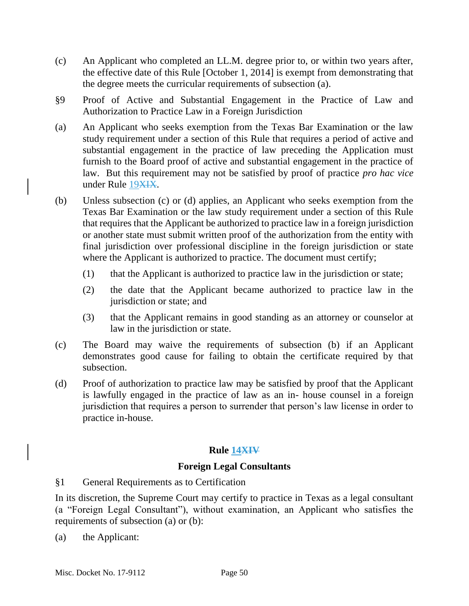- (c) An Applicant who completed an LL.M. degree prior to, or within two years after, the effective date of this Rule [October 1, 2014] is exempt from demonstrating that the degree meets the curricular requirements of subsection (a).
- §9 Proof of Active and Substantial Engagement in the Practice of Law and Authorization to Practice Law in a Foreign Jurisdiction
- (a) An Applicant who seeks exemption from the Texas Bar Examination or the law study requirement under a section of this Rule that requires a period of active and substantial engagement in the practice of law preceding the Application must furnish to the Board proof of active and substantial engagement in the practice of law. But this requirement may not be satisfied by proof of practice *pro hac vice*  under Rule 19XIX.
- (b) Unless subsection (c) or (d) applies, an Applicant who seeks exemption from the Texas Bar Examination or the law study requirement under a section of this Rule that requires that the Applicant be authorized to practice law in a foreign jurisdiction or another state must submit written proof of the authorization from the entity with final jurisdiction over professional discipline in the foreign jurisdiction or state where the Applicant is authorized to practice. The document must certify;
	- (1) that the Applicant is authorized to practice law in the jurisdiction or state;
	- (2) the date that the Applicant became authorized to practice law in the jurisdiction or state; and
	- (3) that the Applicant remains in good standing as an attorney or counselor at law in the jurisdiction or state.
- (c) The Board may waive the requirements of subsection (b) if an Applicant demonstrates good cause for failing to obtain the certificate required by that subsection.
- (d) Proof of authorization to practice law may be satisfied by proof that the Applicant is lawfully engaged in the practice of law as an in- house counsel in a foreign jurisdiction that requires a person to surrender that person's law license in order to practice in-house.

### **Rule 14XIV**

### **Foreign Legal Consultants**

§1 General Requirements as to Certification

In its discretion, the Supreme Court may certify to practice in Texas as a legal consultant (a "Foreign Legal Consultant"), without examination, an Applicant who satisfies the requirements of subsection (a) or (b):

(a) the Applicant: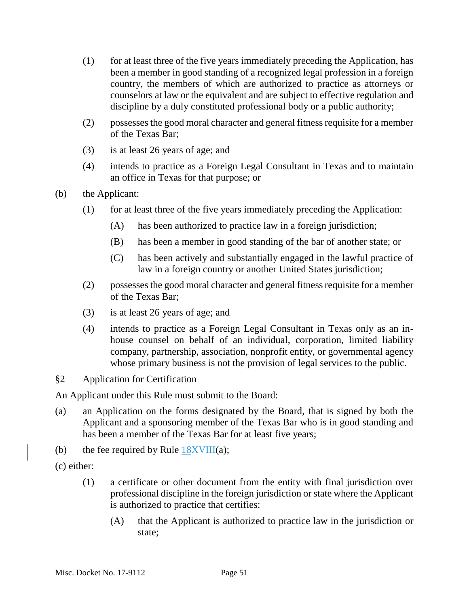- (1) for at least three of the five years immediately preceding the Application, has been a member in good standing of a recognized legal profession in a foreign country, the members of which are authorized to practice as attorneys or counselors at law or the equivalent and are subject to effective regulation and discipline by a duly constituted professional body or a public authority;
- (2) possesses the good moral character and general fitness requisite for a member of the Texas Bar;
- (3) is at least 26 years of age; and
- (4) intends to practice as a Foreign Legal Consultant in Texas and to maintain an office in Texas for that purpose; or
- (b) the Applicant:
	- (1) for at least three of the five years immediately preceding the Application:
		- (A) has been authorized to practice law in a foreign jurisdiction;
		- (B) has been a member in good standing of the bar of another state; or
		- (C) has been actively and substantially engaged in the lawful practice of law in a foreign country or another United States jurisdiction;
	- (2) possesses the good moral character and general fitness requisite for a member of the Texas Bar;
	- (3) is at least 26 years of age; and
	- (4) intends to practice as a Foreign Legal Consultant in Texas only as an inhouse counsel on behalf of an individual, corporation, limited liability company, partnership, association, nonprofit entity, or governmental agency whose primary business is not the provision of legal services to the public.
- §2 Application for Certification

An Applicant under this Rule must submit to the Board:

- (a) an Application on the forms designated by the Board, that is signed by both the Applicant and a sponsoring member of the Texas Bar who is in good standing and has been a member of the Texas Bar for at least five years;
- (b) the fee required by Rule  $18$ XVIII(a);
- (c) either:
	- (1) a certificate or other document from the entity with final jurisdiction over professional discipline in the foreign jurisdiction or state where the Applicant is authorized to practice that certifies:
		- (A) that the Applicant is authorized to practice law in the jurisdiction or state;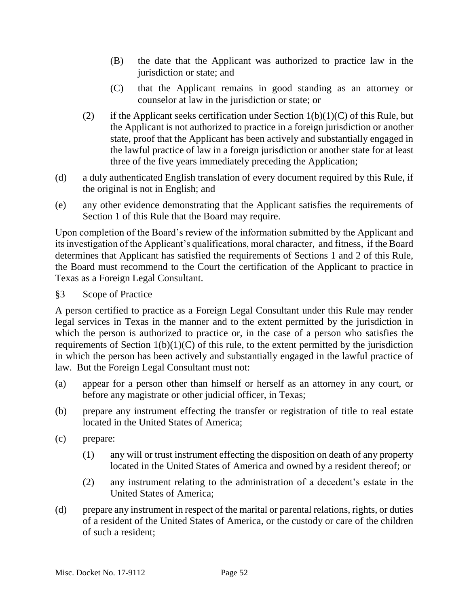- (B) the date that the Applicant was authorized to practice law in the jurisdiction or state; and
- (C) that the Applicant remains in good standing as an attorney or counselor at law in the jurisdiction or state; or
- (2) if the Applicant seeks certification under Section  $1(b)(1)(C)$  of this Rule, but the Applicant is not authorized to practice in a foreign jurisdiction or another state, proof that the Applicant has been actively and substantially engaged in the lawful practice of law in a foreign jurisdiction or another state for at least three of the five years immediately preceding the Application;
- (d) a duly authenticated English translation of every document required by this Rule, if the original is not in English; and
- (e) any other evidence demonstrating that the Applicant satisfies the requirements of Section 1 of this Rule that the Board may require.

Upon completion of the Board's review of the information submitted by the Applicant and its investigation of the Applicant's qualifications, moral character, and fitness, if the Board determines that Applicant has satisfied the requirements of Sections 1 and 2 of this Rule, the Board must recommend to the Court the certification of the Applicant to practice in Texas as a Foreign Legal Consultant.

§3 Scope of Practice

A person certified to practice as a Foreign Legal Consultant under this Rule may render legal services in Texas in the manner and to the extent permitted by the jurisdiction in which the person is authorized to practice or, in the case of a person who satisfies the requirements of Section  $1(b)(1)(C)$  of this rule, to the extent permitted by the jurisdiction in which the person has been actively and substantially engaged in the lawful practice of law. But the Foreign Legal Consultant must not:

- (a) appear for a person other than himself or herself as an attorney in any court, or before any magistrate or other judicial officer, in Texas;
- (b) prepare any instrument effecting the transfer or registration of title to real estate located in the United States of America;
- (c) prepare:
	- (1) any will or trust instrument effecting the disposition on death of any property located in the United States of America and owned by a resident thereof; or
	- (2) any instrument relating to the administration of a decedent's estate in the United States of America;
- (d) prepare any instrument in respect of the marital or parental relations, rights, or duties of a resident of the United States of America, or the custody or care of the children of such a resident;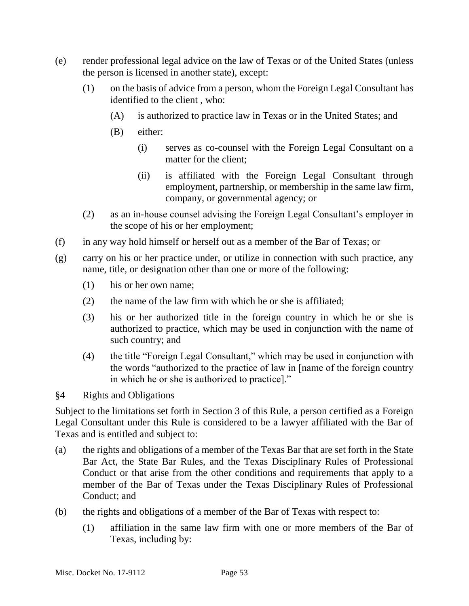- (e) render professional legal advice on the law of Texas or of the United States (unless the person is licensed in another state), except:
	- (1) on the basis of advice from a person, whom the Foreign Legal Consultant has identified to the client , who:
		- (A) is authorized to practice law in Texas or in the United States; and
		- (B) either:
			- (i) serves as co-counsel with the Foreign Legal Consultant on a matter for the client;
			- (ii) is affiliated with the Foreign Legal Consultant through employment, partnership, or membership in the same law firm, company, or governmental agency; or
	- (2) as an in-house counsel advising the Foreign Legal Consultant's employer in the scope of his or her employment;
- (f) in any way hold himself or herself out as a member of the Bar of Texas; or
- (g) carry on his or her practice under, or utilize in connection with such practice, any name, title, or designation other than one or more of the following:
	- (1) his or her own name;
	- (2) the name of the law firm with which he or she is affiliated;
	- (3) his or her authorized title in the foreign country in which he or she is authorized to practice, which may be used in conjunction with the name of such country; and
	- (4) the title "Foreign Legal Consultant," which may be used in conjunction with the words "authorized to the practice of law in [name of the foreign country in which he or she is authorized to practice]."

§4 Rights and Obligations

Subject to the limitations set forth in Section 3 of this Rule, a person certified as a Foreign Legal Consultant under this Rule is considered to be a lawyer affiliated with the Bar of Texas and is entitled and subject to:

- (a) the rights and obligations of a member of the Texas Bar that are set forth in the State Bar Act, the State Bar Rules, and the Texas Disciplinary Rules of Professional Conduct or that arise from the other conditions and requirements that apply to a member of the Bar of Texas under the Texas Disciplinary Rules of Professional Conduct; and
- (b) the rights and obligations of a member of the Bar of Texas with respect to:
	- (1) affiliation in the same law firm with one or more members of the Bar of Texas, including by: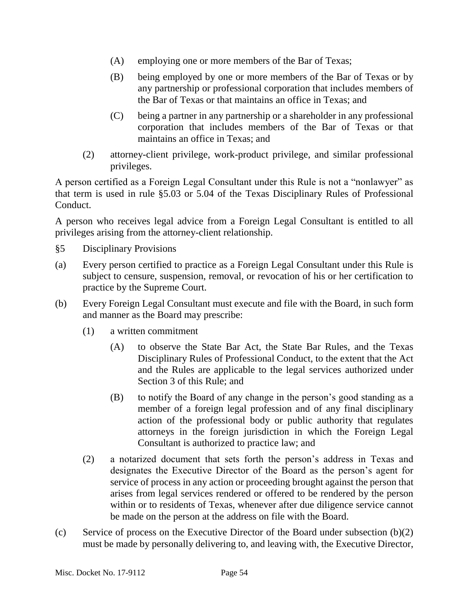- (A) employing one or more members of the Bar of Texas;
- (B) being employed by one or more members of the Bar of Texas or by any partnership or professional corporation that includes members of the Bar of Texas or that maintains an office in Texas; and
- (C) being a partner in any partnership or a shareholder in any professional corporation that includes members of the Bar of Texas or that maintains an office in Texas; and
- (2) attorney-client privilege, work-product privilege, and similar professional privileges.

A person certified as a Foreign Legal Consultant under this Rule is not a "nonlawyer" as that term is used in rule §5.03 or 5.04 of the Texas Disciplinary Rules of Professional Conduct.

A person who receives legal advice from a Foreign Legal Consultant is entitled to all privileges arising from the attorney-client relationship.

- §5 Disciplinary Provisions
- (a) Every person certified to practice as a Foreign Legal Consultant under this Rule is subject to censure, suspension, removal, or revocation of his or her certification to practice by the Supreme Court.
- (b) Every Foreign Legal Consultant must execute and file with the Board, in such form and manner as the Board may prescribe:
	- (1) a written commitment
		- (A) to observe the State Bar Act, the State Bar Rules, and the Texas Disciplinary Rules of Professional Conduct, to the extent that the Act and the Rules are applicable to the legal services authorized under Section 3 of this Rule; and
		- (B) to notify the Board of any change in the person's good standing as a member of a foreign legal profession and of any final disciplinary action of the professional body or public authority that regulates attorneys in the foreign jurisdiction in which the Foreign Legal Consultant is authorized to practice law; and
	- (2) a notarized document that sets forth the person's address in Texas and designates the Executive Director of the Board as the person's agent for service of process in any action or proceeding brought against the person that arises from legal services rendered or offered to be rendered by the person within or to residents of Texas, whenever after due diligence service cannot be made on the person at the address on file with the Board.
- (c) Service of process on the Executive Director of the Board under subsection (b)(2) must be made by personally delivering to, and leaving with, the Executive Director,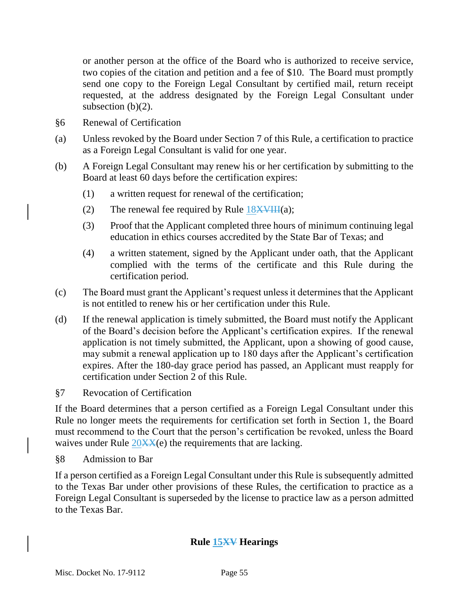or another person at the office of the Board who is authorized to receive service, two copies of the citation and petition and a fee of \$10. The Board must promptly send one copy to the Foreign Legal Consultant by certified mail, return receipt requested, at the address designated by the Foreign Legal Consultant under subsection  $(b)(2)$ .

- §6 Renewal of Certification
- (a) Unless revoked by the Board under Section 7 of this Rule, a certification to practice as a Foreign Legal Consultant is valid for one year.
- (b) A Foreign Legal Consultant may renew his or her certification by submitting to the Board at least 60 days before the certification expires:
	- (1) a written request for renewal of the certification;
	- (2) The renewal fee required by Rule  $18$ XVIII(a);
	- (3) Proof that the Applicant completed three hours of minimum continuing legal education in ethics courses accredited by the State Bar of Texas; and
	- (4) a written statement, signed by the Applicant under oath, that the Applicant complied with the terms of the certificate and this Rule during the certification period.
- (c) The Board must grant the Applicant's request unless it determines that the Applicant is not entitled to renew his or her certification under this Rule.
- (d) If the renewal application is timely submitted, the Board must notify the Applicant of the Board's decision before the Applicant's certification expires. If the renewal application is not timely submitted, the Applicant, upon a showing of good cause, may submit a renewal application up to 180 days after the Applicant's certification expires. After the 180-day grace period has passed, an Applicant must reapply for certification under Section 2 of this Rule.
- §7 Revocation of Certification

If the Board determines that a person certified as a Foreign Legal Consultant under this Rule no longer meets the requirements for certification set forth in Section 1, the Board must recommend to the Court that the person's certification be revoked, unless the Board waives under Rule  $20XX(e)$  the requirements that are lacking.

§8 Admission to Bar

If a person certified as a Foreign Legal Consultant under this Rule is subsequently admitted to the Texas Bar under other provisions of these Rules, the certification to practice as a Foreign Legal Consultant is superseded by the license to practice law as a person admitted to the Texas Bar.

## **Rule 15XV Hearings**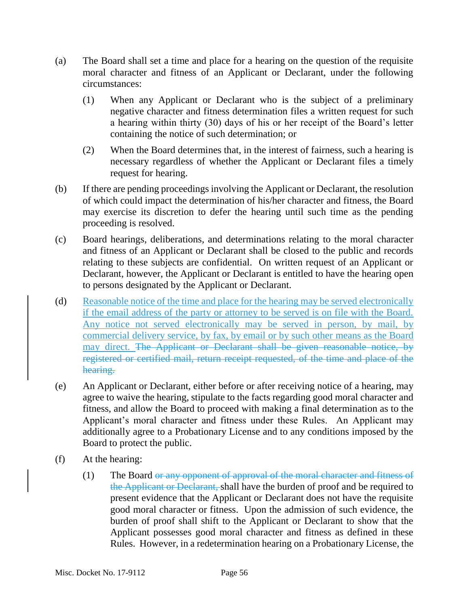- (a) The Board shall set a time and place for a hearing on the question of the requisite moral character and fitness of an Applicant or Declarant, under the following circumstances:
	- (1) When any Applicant or Declarant who is the subject of a preliminary negative character and fitness determination files a written request for such a hearing within thirty (30) days of his or her receipt of the Board's letter containing the notice of such determination; or
	- (2) When the Board determines that, in the interest of fairness, such a hearing is necessary regardless of whether the Applicant or Declarant files a timely request for hearing.
- (b) If there are pending proceedings involving the Applicant or Declarant, the resolution of which could impact the determination of his/her character and fitness, the Board may exercise its discretion to defer the hearing until such time as the pending proceeding is resolved.
- (c) Board hearings, deliberations, and determinations relating to the moral character and fitness of an Applicant or Declarant shall be closed to the public and records relating to these subjects are confidential. On written request of an Applicant or Declarant, however, the Applicant or Declarant is entitled to have the hearing open to persons designated by the Applicant or Declarant.
- (d) Reasonable notice of the time and place for the hearing may be served electronically if the email address of the party or attorney to be served is on file with the Board. Any notice not served electronically may be served in person, by mail, by commercial delivery service, by fax, by email or by such other means as the Board may direct. The Applicant or Declarant shall be given reasonable notice, by registered or certified mail, return receipt requested, of the time and place of the hearing.
- (e) An Applicant or Declarant, either before or after receiving notice of a hearing, may agree to waive the hearing, stipulate to the facts regarding good moral character and fitness, and allow the Board to proceed with making a final determination as to the Applicant's moral character and fitness under these Rules. An Applicant may additionally agree to a Probationary License and to any conditions imposed by the Board to protect the public.
- (f) At the hearing:
	- (1) The Board or any opponent of approval of the moral character and fitness of the Applicant or Declarant, shall have the burden of proof and be required to present evidence that the Applicant or Declarant does not have the requisite good moral character or fitness. Upon the admission of such evidence, the burden of proof shall shift to the Applicant or Declarant to show that the Applicant possesses good moral character and fitness as defined in these Rules. However, in a redetermination hearing on a Probationary License, the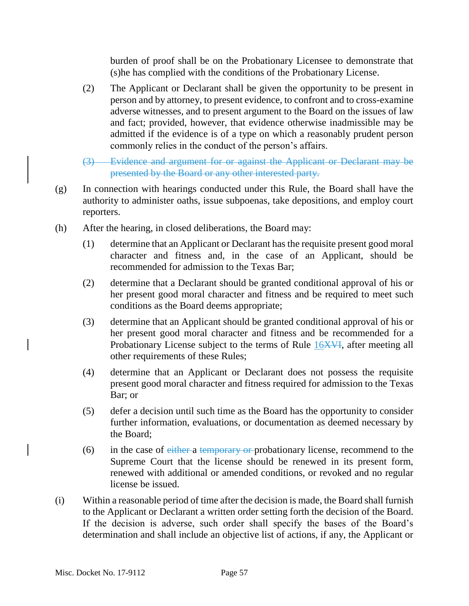burden of proof shall be on the Probationary Licensee to demonstrate that (s)he has complied with the conditions of the Probationary License.

- (2) The Applicant or Declarant shall be given the opportunity to be present in person and by attorney, to present evidence, to confront and to cross-examine adverse witnesses, and to present argument to the Board on the issues of law and fact; provided, however, that evidence otherwise inadmissible may be admitted if the evidence is of a type on which a reasonably prudent person commonly relies in the conduct of the person's affairs.
- (3) Evidence and argument for or against the Applicant or Declarant may be presented by the Board or any other interested party.
- (g) In connection with hearings conducted under this Rule, the Board shall have the authority to administer oaths, issue subpoenas, take depositions, and employ court reporters.
- (h) After the hearing, in closed deliberations, the Board may:
	- (1) determine that an Applicant or Declarant has the requisite present good moral character and fitness and, in the case of an Applicant, should be recommended for admission to the Texas Bar;
	- (2) determine that a Declarant should be granted conditional approval of his or her present good moral character and fitness and be required to meet such conditions as the Board deems appropriate;
	- (3) determine that an Applicant should be granted conditional approval of his or her present good moral character and fitness and be recommended for a Probationary License subject to the terms of Rule 16XVI, after meeting all other requirements of these Rules;
	- (4) determine that an Applicant or Declarant does not possess the requisite present good moral character and fitness required for admission to the Texas Bar; or
	- (5) defer a decision until such time as the Board has the opportunity to consider further information, evaluations, or documentation as deemed necessary by the Board;
	- $(6)$  in the case of either a temporary or probationary license, recommend to the Supreme Court that the license should be renewed in its present form, renewed with additional or amended conditions, or revoked and no regular license be issued.
- (i) Within a reasonable period of time after the decision is made, the Board shall furnish to the Applicant or Declarant a written order setting forth the decision of the Board. If the decision is adverse, such order shall specify the bases of the Board's determination and shall include an objective list of actions, if any, the Applicant or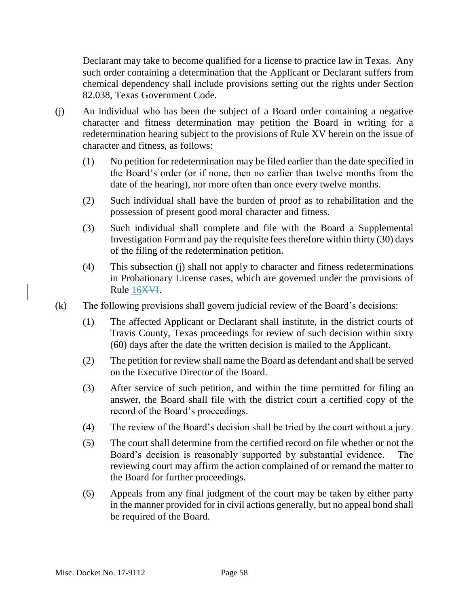Declarant may take to become qualified for a license to practice law in Texas. Any such order containing a determination that the Applicant or Declarant suffers from chemical dependency shall include provisions setting out the rights under Section 82.038, Texas Government Code.

- (j) An individual who has been the subject of a Board order containing a negative character and fitness determination may petition the Board in writing for a redetermination hearing subject to the provisions of Rule XV herein on the issue of character and fitness, as follows:
	- (1) No petition for redetermination may be filed earlier than the date specified in the Board's order (or if none, then no earlier than twelve months from the date of the hearing), nor more often than once every twelve months.
	- (2) Such individual shall have the burden of proof as to rehabilitation and the possession of present good moral character and fitness.
	- (3) Such individual shall complete and file with the Board a Supplemental Investigation Form and pay the requisite fees therefore within thirty (30) days of the filing of the redetermination petition.
	- (4) This subsection (j) shall not apply to character and fitness redeterminations in Probationary License cases, which are governed under the provisions of Rule 16XVI.
- (k) The following provisions shall govern judicial review of the Board's decisions:
	- (1) The affected Applicant or Declarant shall institute, in the district courts of Travis County, Texas proceedings for review of such decision within sixty (60) days after the date the written decision is mailed to the Applicant.
	- (2) The petition for review shall name the Board as defendant and shall be served on the Executive Director of the Board.
	- (3) After service of such petition, and within the time permitted for filing an answer, the Board shall file with the district court a certified copy of the record of the Board's proceedings.
	- (4) The review of the Board's decision shall be tried by the court without a jury.
	- (5) The court shall determine from the certified record on file whether or not the Board's decision is reasonably supported by substantial evidence. The reviewing court may affirm the action complained of or remand the matter to the Board for further proceedings.
	- (6) Appeals from any final judgment of the court may be taken by either party in the manner provided for in civil actions generally, but no appeal bond shall be required of the Board.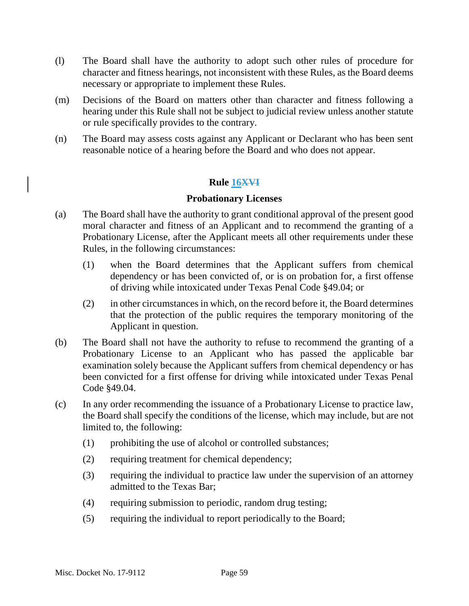- (l) The Board shall have the authority to adopt such other rules of procedure for character and fitness hearings, not inconsistent with these Rules, as the Board deems necessary or appropriate to implement these Rules.
- (m) Decisions of the Board on matters other than character and fitness following a hearing under this Rule shall not be subject to judicial review unless another statute or rule specifically provides to the contrary.
- (n) The Board may assess costs against any Applicant or Declarant who has been sent reasonable notice of a hearing before the Board and who does not appear.

## **Rule 16XVI**

### **Probationary Licenses**

- (a) The Board shall have the authority to grant conditional approval of the present good moral character and fitness of an Applicant and to recommend the granting of a Probationary License, after the Applicant meets all other requirements under these Rules, in the following circumstances:
	- (1) when the Board determines that the Applicant suffers from chemical dependency or has been convicted of, or is on probation for, a first offense of driving while intoxicated under Texas Penal Code §49.04; or
	- (2) in other circumstances in which, on the record before it, the Board determines that the protection of the public requires the temporary monitoring of the Applicant in question.
- (b) The Board shall not have the authority to refuse to recommend the granting of a Probationary License to an Applicant who has passed the applicable bar examination solely because the Applicant suffers from chemical dependency or has been convicted for a first offense for driving while intoxicated under Texas Penal Code §49.04.
- (c) In any order recommending the issuance of a Probationary License to practice law, the Board shall specify the conditions of the license, which may include, but are not limited to, the following:
	- (1) prohibiting the use of alcohol or controlled substances;
	- (2) requiring treatment for chemical dependency;
	- (3) requiring the individual to practice law under the supervision of an attorney admitted to the Texas Bar;
	- (4) requiring submission to periodic, random drug testing;
	- (5) requiring the individual to report periodically to the Board;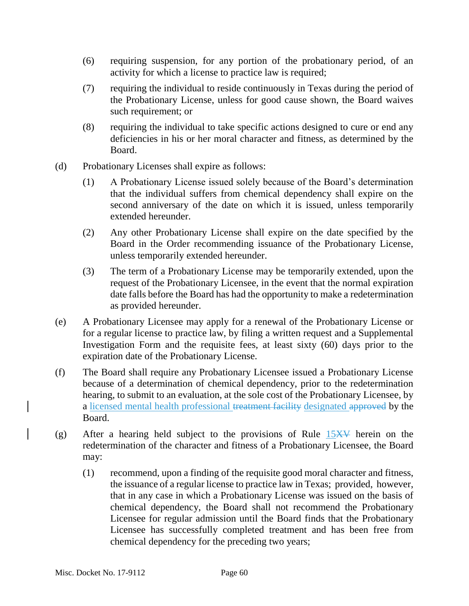- (6) requiring suspension, for any portion of the probationary period, of an activity for which a license to practice law is required;
- (7) requiring the individual to reside continuously in Texas during the period of the Probationary License, unless for good cause shown, the Board waives such requirement; or
- (8) requiring the individual to take specific actions designed to cure or end any deficiencies in his or her moral character and fitness, as determined by the Board.
- (d) Probationary Licenses shall expire as follows:
	- (1) A Probationary License issued solely because of the Board's determination that the individual suffers from chemical dependency shall expire on the second anniversary of the date on which it is issued, unless temporarily extended hereunder.
	- (2) Any other Probationary License shall expire on the date specified by the Board in the Order recommending issuance of the Probationary License, unless temporarily extended hereunder.
	- (3) The term of a Probationary License may be temporarily extended, upon the request of the Probationary Licensee, in the event that the normal expiration date falls before the Board has had the opportunity to make a redetermination as provided hereunder.
- (e) A Probationary Licensee may apply for a renewal of the Probationary License or for a regular license to practice law, by filing a written request and a Supplemental Investigation Form and the requisite fees, at least sixty (60) days prior to the expiration date of the Probationary License.
- (f) The Board shall require any Probationary Licensee issued a Probationary License because of a determination of chemical dependency, prior to the redetermination hearing, to submit to an evaluation, at the sole cost of the Probationary Licensee, by a licensed mental health professional treatment facility designated approved by the Board.
- (g) After a hearing held subject to the provisions of Rule  $15XV$  herein on the redetermination of the character and fitness of a Probationary Licensee, the Board may:
	- (1) recommend, upon a finding of the requisite good moral character and fitness, the issuance of a regular license to practice law in Texas; provided, however, that in any case in which a Probationary License was issued on the basis of chemical dependency, the Board shall not recommend the Probationary Licensee for regular admission until the Board finds that the Probationary Licensee has successfully completed treatment and has been free from chemical dependency for the preceding two years;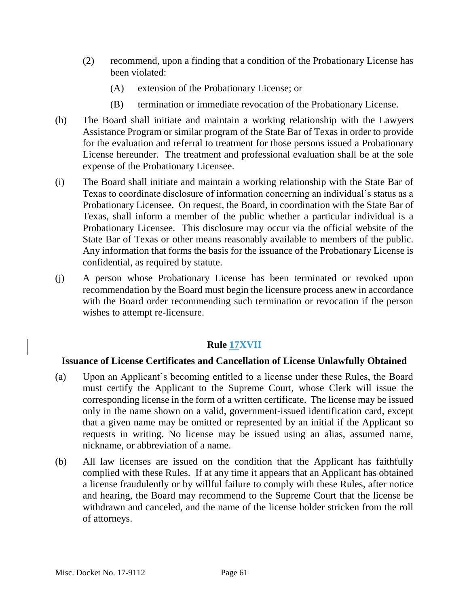- (2) recommend, upon a finding that a condition of the Probationary License has been violated:
	- (A) extension of the Probationary License; or
	- (B) termination or immediate revocation of the Probationary License.
- (h) The Board shall initiate and maintain a working relationship with the Lawyers Assistance Program or similar program of the State Bar of Texas in order to provide for the evaluation and referral to treatment for those persons issued a Probationary License hereunder. The treatment and professional evaluation shall be at the sole expense of the Probationary Licensee.
- (i) The Board shall initiate and maintain a working relationship with the State Bar of Texas to coordinate disclosure of information concerning an individual's status as a Probationary Licensee. On request, the Board, in coordination with the State Bar of Texas, shall inform a member of the public whether a particular individual is a Probationary Licensee. This disclosure may occur via the official website of the State Bar of Texas or other means reasonably available to members of the public. Any information that forms the basis for the issuance of the Probationary License is confidential, as required by statute.
- (j) A person whose Probationary License has been terminated or revoked upon recommendation by the Board must begin the licensure process anew in accordance with the Board order recommending such termination or revocation if the person wishes to attempt re-licensure.

### **Rule 17XVII**

#### **Issuance of License Certificates and Cancellation of License Unlawfully Obtained**

- (a) Upon an Applicant's becoming entitled to a license under these Rules, the Board must certify the Applicant to the Supreme Court, whose Clerk will issue the corresponding license in the form of a written certificate. The license may be issued only in the name shown on a valid, government-issued identification card, except that a given name may be omitted or represented by an initial if the Applicant so requests in writing. No license may be issued using an alias, assumed name, nickname, or abbreviation of a name.
- (b) All law licenses are issued on the condition that the Applicant has faithfully complied with these Rules. If at any time it appears that an Applicant has obtained a license fraudulently or by willful failure to comply with these Rules, after notice and hearing, the Board may recommend to the Supreme Court that the license be withdrawn and canceled, and the name of the license holder stricken from the roll of attorneys.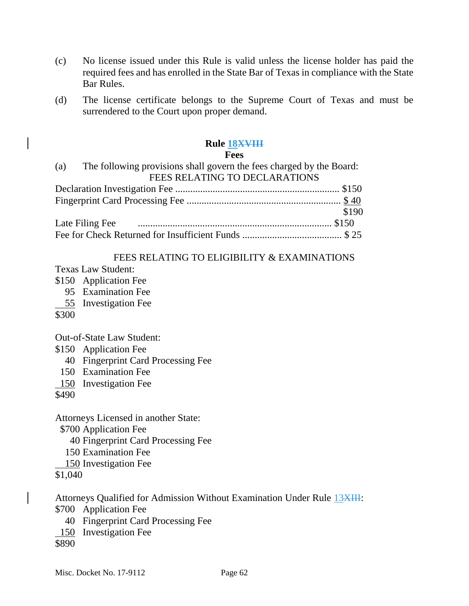- (c) No license issued under this Rule is valid unless the license holder has paid the required fees and has enrolled in the State Bar of Texas in compliance with the State Bar Rules.
- (d) The license certificate belongs to the Supreme Court of Texas and must be surrendered to the Court upon proper demand.

### **Rule 18XVIII**

#### **Fees**

(a) The following provisions shall govern the fees charged by the Board: FEES RELATING TO DECLARATIONS Declaration Investigation Fee .................................................................. \$150 Fingerprint Card Processing Fee .............................................................. \$ 40

|                 | \$190 |
|-----------------|-------|
| Late Filing Fee |       |
|                 |       |

#### FEES RELATING TO ELIGIBILITY & EXAMINATIONS

Texas Law Student:

- \$150 Application Fee
	- 95 Examination Fee
	- 55 Investigation Fee

\$300

Out-of-State Law Student:

- \$150 Application Fee
	- 40 Fingerprint Card Processing Fee
	- 150 Examination Fee
- 150 Investigation Fee

\$490

Attorneys Licensed in another State:

\$700 Application Fee

40 Fingerprint Card Processing Fee

- 150 Examination Fee
- 150 Investigation Fee

$$
\$1,\!040
$$

Attorneys Qualified for Admission Without Examination Under Rule 13XIII:

\$700 Application Fee

- 40 Fingerprint Card Processing Fee
- 150 Investigation Fee

\$890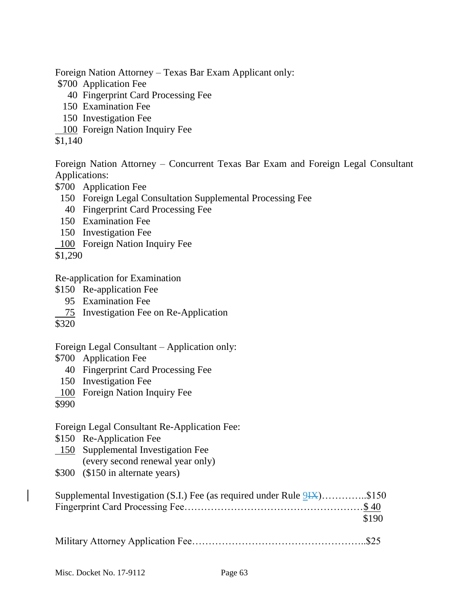Foreign Nation Attorney – Texas Bar Exam Applicant only:

- \$700 Application Fee
	- 40 Fingerprint Card Processing Fee
	- 150 Examination Fee
	- 150 Investigation Fee
- 100 Foreign Nation Inquiry Fee

\$1,140

Foreign Nation Attorney – Concurrent Texas Bar Exam and Foreign Legal Consultant Applications:

- \$700 Application Fee
	- 150 Foreign Legal Consultation Supplemental Processing Fee
	- 40 Fingerprint Card Processing Fee
	- 150 Examination Fee
	- 150 Investigation Fee
- 100 Foreign Nation Inquiry Fee

\$1,290

Re-application for Examination

- \$150 Re-application Fee
	- 95 Examination Fee
	- 75 Investigation Fee on Re-Application

\$320

Foreign Legal Consultant – Application only:

- \$700 Application Fee
	- 40 Fingerprint Card Processing Fee
	- 150 Investigation Fee
- 100 Foreign Nation Inquiry Fee

\$990

Foreign Legal Consultant Re-Application Fee:

- \$150 Re-Application Fee
- 150 Supplemental Investigation Fee (every second renewal year only)
- \$300 (\$150 in alternate years)

| Supplemental Investigation (S.I.) Fee (as required under Rule $9H$ )\$150 |       |
|---------------------------------------------------------------------------|-------|
|                                                                           |       |
|                                                                           | \$190 |
|                                                                           |       |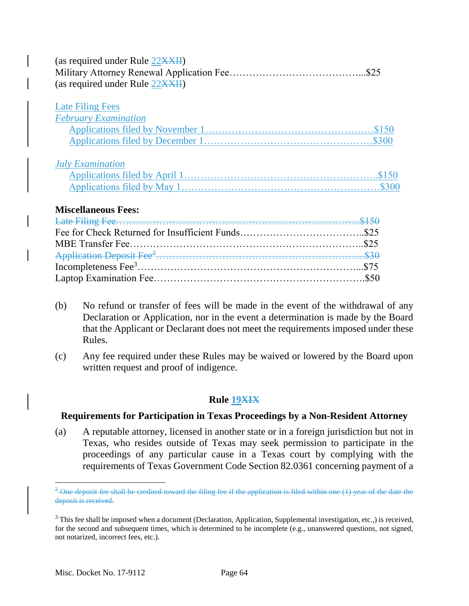| (as required under Rule $22$ XXII) |  |  |
|------------------------------------|--|--|
|                                    |  |  |
| (as required under Rule $22$ XXII) |  |  |
|                                    |  |  |

## Late Filing Fees *February Examination* Applications filed by November 1……………………………………………\$150 Applications filed by December 1……………………………………………\$300

### *July Examination* Applications filed by April 1…………………………………………………..\$150 Applications filed by May 1……………………………………………………\$300

## **Miscellaneous Fees:**

- (b) No refund or transfer of fees will be made in the event of the withdrawal of any Declaration or Application, nor in the event a determination is made by the Board that the Applicant or Declarant does not meet the requirements imposed under these Rules.
- (c) Any fee required under these Rules may be waived or lowered by the Board upon written request and proof of indigence.

# **Rule 19XIX**

# **Requirements for Participation in Texas Proceedings by a Non-Resident Attorney**

(a) A reputable attorney, licensed in another state or in a foreign jurisdiction but not in Texas, who resides outside of Texas may seek permission to participate in the proceedings of any particular cause in a Texas court by complying with the requirements of Texas Government Code Section 82.0361 concerning payment of a

 $\overline{a}$ 

 $2^2$ -One deposit fee shall be credited toward the filing fee if the application is filed within one (1) year of the date the deposit is received.

<sup>&</sup>lt;sup>3</sup> This fee shall be imposed when a document (Declaration, Application, Supplemental investigation, etc.,) is received, for the second and subsequent times, which is determined to be incomplete (e.g., unanswered questions, not signed, not notarized, incorrect fees, etc.).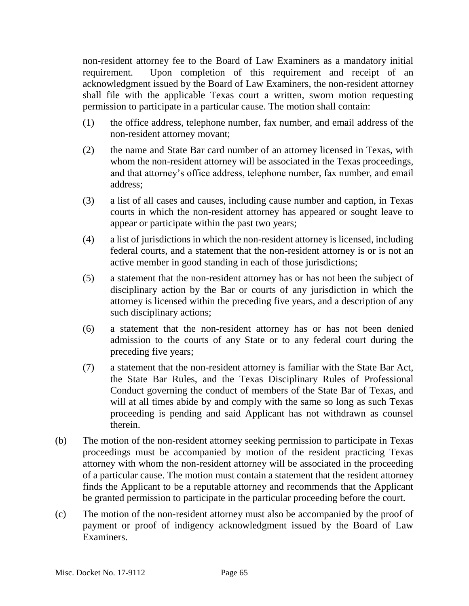non-resident attorney fee to the Board of Law Examiners as a mandatory initial requirement. Upon completion of this requirement and receipt of an acknowledgment issued by the Board of Law Examiners, the non-resident attorney shall file with the applicable Texas court a written, sworn motion requesting permission to participate in a particular cause. The motion shall contain:

- (1) the office address, telephone number, fax number, and email address of the non-resident attorney movant;
- (2) the name and State Bar card number of an attorney licensed in Texas, with whom the non-resident attorney will be associated in the Texas proceedings, and that attorney's office address, telephone number, fax number, and email address;
- (3) a list of all cases and causes, including cause number and caption, in Texas courts in which the non-resident attorney has appeared or sought leave to appear or participate within the past two years;
- (4) a list of jurisdictions in which the non-resident attorney is licensed, including federal courts, and a statement that the non-resident attorney is or is not an active member in good standing in each of those jurisdictions;
- (5) a statement that the non-resident attorney has or has not been the subject of disciplinary action by the Bar or courts of any jurisdiction in which the attorney is licensed within the preceding five years, and a description of any such disciplinary actions;
- (6) a statement that the non-resident attorney has or has not been denied admission to the courts of any State or to any federal court during the preceding five years;
- (7) a statement that the non-resident attorney is familiar with the State Bar Act, the State Bar Rules, and the Texas Disciplinary Rules of Professional Conduct governing the conduct of members of the State Bar of Texas, and will at all times abide by and comply with the same so long as such Texas proceeding is pending and said Applicant has not withdrawn as counsel therein.
- (b) The motion of the non-resident attorney seeking permission to participate in Texas proceedings must be accompanied by motion of the resident practicing Texas attorney with whom the non-resident attorney will be associated in the proceeding of a particular cause. The motion must contain a statement that the resident attorney finds the Applicant to be a reputable attorney and recommends that the Applicant be granted permission to participate in the particular proceeding before the court.
- (c) The motion of the non-resident attorney must also be accompanied by the proof of payment or proof of indigency acknowledgment issued by the Board of Law Examiners.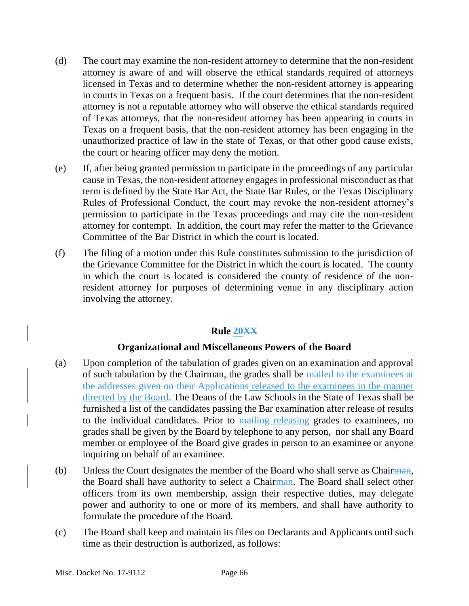- (d) The court may examine the non-resident attorney to determine that the non-resident attorney is aware of and will observe the ethical standards required of attorneys licensed in Texas and to determine whether the non-resident attorney is appearing in courts in Texas on a frequent basis. If the court determines that the non-resident attorney is not a reputable attorney who will observe the ethical standards required of Texas attorneys, that the non-resident attorney has been appearing in courts in Texas on a frequent basis, that the non-resident attorney has been engaging in the unauthorized practice of law in the state of Texas, or that other good cause exists, the court or hearing officer may deny the motion.
- (e) If, after being granted permission to participate in the proceedings of any particular cause in Texas, the non-resident attorney engages in professional misconduct as that term is defined by the State Bar Act, the State Bar Rules, or the Texas Disciplinary Rules of Professional Conduct, the court may revoke the non-resident attorney's permission to participate in the Texas proceedings and may cite the non-resident attorney for contempt. In addition, the court may refer the matter to the Grievance Committee of the Bar District in which the court is located.
- (f) The filing of a motion under this Rule constitutes submission to the jurisdiction of the Grievance Committee for the District in which the court is located. The county in which the court is located is considered the county of residence of the nonresident attorney for purposes of determining venue in any disciplinary action involving the attorney.

# **Rule 20XX**

### **Organizational and Miscellaneous Powers of the Board**

- (a) Upon completion of the tabulation of grades given on an examination and approval of such tabulation by the Chairman, the grades shall be mailed to the examinees at the addresses given on their Applications released to the examinees in the manner directed by the Board. The Deans of the Law Schools in the State of Texas shall be furnished a list of the candidates passing the Bar examination after release of results to the individual candidates. Prior to mailing releasing grades to examinees, no grades shall be given by the Board by telephone to any person, nor shall any Board member or employee of the Board give grades in person to an examinee or anyone inquiring on behalf of an examinee.
- (b) Unless the Court designates the member of the Board who shall serve as Chairman, the Board shall have authority to select a Chairman. The Board shall select other officers from its own membership, assign their respective duties, may delegate power and authority to one or more of its members, and shall have authority to formulate the procedure of the Board.
- (c) The Board shall keep and maintain its files on Declarants and Applicants until such time as their destruction is authorized, as follows: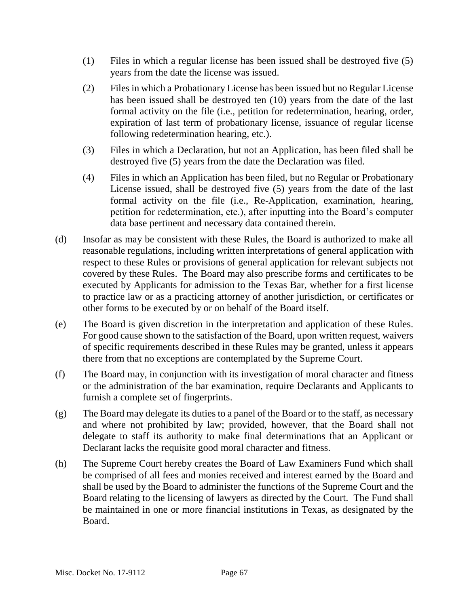- (1) Files in which a regular license has been issued shall be destroyed five (5) years from the date the license was issued.
- (2) Files in which a Probationary License has been issued but no Regular License has been issued shall be destroyed ten (10) years from the date of the last formal activity on the file (i.e., petition for redetermination, hearing, order, expiration of last term of probationary license, issuance of regular license following redetermination hearing, etc.).
- (3) Files in which a Declaration, but not an Application, has been filed shall be destroyed five (5) years from the date the Declaration was filed.
- (4) Files in which an Application has been filed, but no Regular or Probationary License issued, shall be destroyed five (5) years from the date of the last formal activity on the file (i.e., Re-Application, examination, hearing, petition for redetermination, etc.), after inputting into the Board's computer data base pertinent and necessary data contained therein.
- (d) Insofar as may be consistent with these Rules, the Board is authorized to make all reasonable regulations, including written interpretations of general application with respect to these Rules or provisions of general application for relevant subjects not covered by these Rules. The Board may also prescribe forms and certificates to be executed by Applicants for admission to the Texas Bar, whether for a first license to practice law or as a practicing attorney of another jurisdiction, or certificates or other forms to be executed by or on behalf of the Board itself.
- (e) The Board is given discretion in the interpretation and application of these Rules. For good cause shown to the satisfaction of the Board, upon written request, waivers of specific requirements described in these Rules may be granted, unless it appears there from that no exceptions are contemplated by the Supreme Court.
- (f) The Board may, in conjunction with its investigation of moral character and fitness or the administration of the bar examination, require Declarants and Applicants to furnish a complete set of fingerprints.
- (g) The Board may delegate its duties to a panel of the Board or to the staff, as necessary and where not prohibited by law; provided, however, that the Board shall not delegate to staff its authority to make final determinations that an Applicant or Declarant lacks the requisite good moral character and fitness.
- (h) The Supreme Court hereby creates the Board of Law Examiners Fund which shall be comprised of all fees and monies received and interest earned by the Board and shall be used by the Board to administer the functions of the Supreme Court and the Board relating to the licensing of lawyers as directed by the Court. The Fund shall be maintained in one or more financial institutions in Texas, as designated by the Board.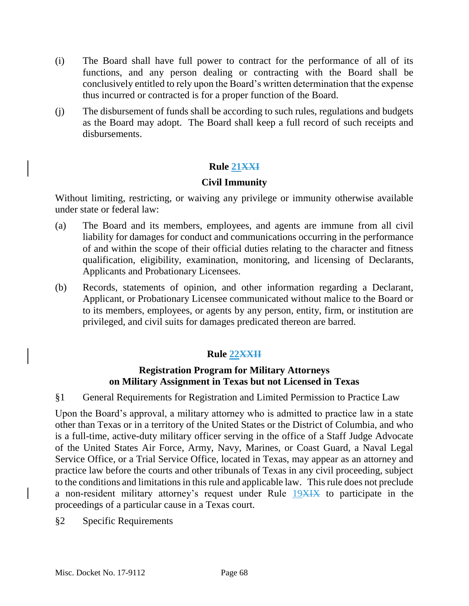- (i) The Board shall have full power to contract for the performance of all of its functions, and any person dealing or contracting with the Board shall be conclusively entitled to rely upon the Board's written determination that the expense thus incurred or contracted is for a proper function of the Board.
- (j) The disbursement of funds shall be according to such rules, regulations and budgets as the Board may adopt. The Board shall keep a full record of such receipts and disbursements.

## **Rule 21XXI**

### **Civil Immunity**

Without limiting, restricting, or waiving any privilege or immunity otherwise available under state or federal law:

- (a) The Board and its members, employees, and agents are immune from all civil liability for damages for conduct and communications occurring in the performance of and within the scope of their official duties relating to the character and fitness qualification, eligibility, examination, monitoring, and licensing of Declarants, Applicants and Probationary Licensees.
- (b) Records, statements of opinion, and other information regarding a Declarant, Applicant, or Probationary Licensee communicated without malice to the Board or to its members, employees, or agents by any person, entity, firm, or institution are privileged, and civil suits for damages predicated thereon are barred.

# **Rule 22XXII**

### **Registration Program for Military Attorneys on Military Assignment in Texas but not Licensed in Texas**

§1 General Requirements for Registration and Limited Permission to Practice Law

Upon the Board's approval, a military attorney who is admitted to practice law in a state other than Texas or in a territory of the United States or the District of Columbia, and who is a full-time, active-duty military officer serving in the office of a Staff Judge Advocate of the United States Air Force, Army, Navy, Marines, or Coast Guard, a Naval Legal Service Office, or a Trial Service Office, located in Texas, may appear as an attorney and practice law before the courts and other tribunals of Texas in any civil proceeding, subject to the conditions and limitations in this rule and applicable law. This rule does not preclude a non-resident military attorney's request under Rule 19XIX to participate in the proceedings of a particular cause in a Texas court.

§2 Specific Requirements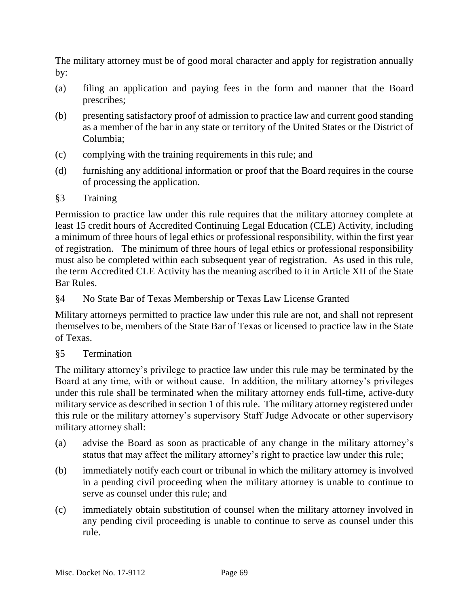The military attorney must be of good moral character and apply for registration annually by:

- (a) filing an application and paying fees in the form and manner that the Board prescribes;
- (b) presenting satisfactory proof of admission to practice law and current good standing as a member of the bar in any state or territory of the United States or the District of Columbia;
- (c) complying with the training requirements in this rule; and
- (d) furnishing any additional information or proof that the Board requires in the course of processing the application.

### §3 Training

Permission to practice law under this rule requires that the military attorney complete at least 15 credit hours of Accredited Continuing Legal Education (CLE) Activity, including a minimum of three hours of legal ethics or professional responsibility, within the first year of registration. The minimum of three hours of legal ethics or professional responsibility must also be completed within each subsequent year of registration. As used in this rule, the term Accredited CLE Activity has the meaning ascribed to it in Article XII of the State Bar Rules.

§4 No State Bar of Texas Membership or Texas Law License Granted

Military attorneys permitted to practice law under this rule are not, and shall not represent themselves to be, members of the State Bar of Texas or licensed to practice law in the State of Texas.

### §5 Termination

The military attorney's privilege to practice law under this rule may be terminated by the Board at any time, with or without cause. In addition, the military attorney's privileges under this rule shall be terminated when the military attorney ends full-time, active-duty military service as described in section 1 of this rule. The military attorney registered under this rule or the military attorney's supervisory Staff Judge Advocate or other supervisory military attorney shall:

- (a) advise the Board as soon as practicable of any change in the military attorney's status that may affect the military attorney's right to practice law under this rule;
- (b) immediately notify each court or tribunal in which the military attorney is involved in a pending civil proceeding when the military attorney is unable to continue to serve as counsel under this rule; and
- (c) immediately obtain substitution of counsel when the military attorney involved in any pending civil proceeding is unable to continue to serve as counsel under this rule.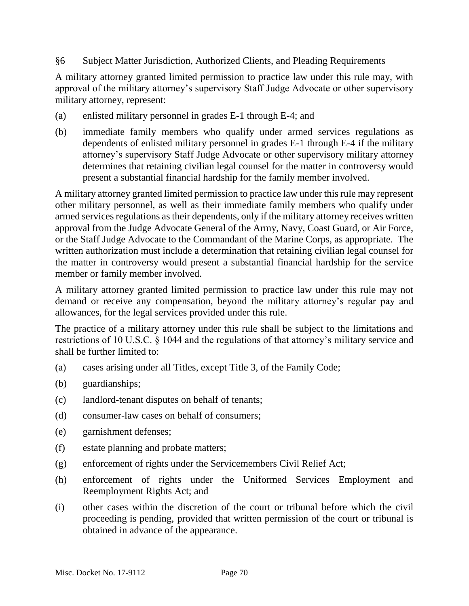§6 Subject Matter Jurisdiction, Authorized Clients, and Pleading Requirements

A military attorney granted limited permission to practice law under this rule may, with approval of the military attorney's supervisory Staff Judge Advocate or other supervisory military attorney, represent:

- (a) enlisted military personnel in grades E-1 through E-4; and
- (b) immediate family members who qualify under armed services regulations as dependents of enlisted military personnel in grades E-1 through E-4 if the military attorney's supervisory Staff Judge Advocate or other supervisory military attorney determines that retaining civilian legal counsel for the matter in controversy would present a substantial financial hardship for the family member involved.

A military attorney granted limited permission to practice law under this rule may represent other military personnel, as well as their immediate family members who qualify under armed services regulations as their dependents, only if the military attorney receives written approval from the Judge Advocate General of the Army, Navy, Coast Guard, or Air Force, or the Staff Judge Advocate to the Commandant of the Marine Corps, as appropriate. The written authorization must include a determination that retaining civilian legal counsel for the matter in controversy would present a substantial financial hardship for the service member or family member involved.

A military attorney granted limited permission to practice law under this rule may not demand or receive any compensation, beyond the military attorney's regular pay and allowances, for the legal services provided under this rule.

The practice of a military attorney under this rule shall be subject to the limitations and restrictions of 10 U.S.C. § 1044 and the regulations of that attorney's military service and shall be further limited to:

- (a) cases arising under all Titles, except Title 3, of the Family Code;
- (b) guardianships;
- (c) landlord-tenant disputes on behalf of tenants;
- (d) consumer-law cases on behalf of consumers;
- (e) garnishment defenses;
- (f) estate planning and probate matters;
- (g) enforcement of rights under the Servicemembers Civil Relief Act;
- (h) enforcement of rights under the Uniformed Services Employment and Reemployment Rights Act; and
- (i) other cases within the discretion of the court or tribunal before which the civil proceeding is pending, provided that written permission of the court or tribunal is obtained in advance of the appearance.